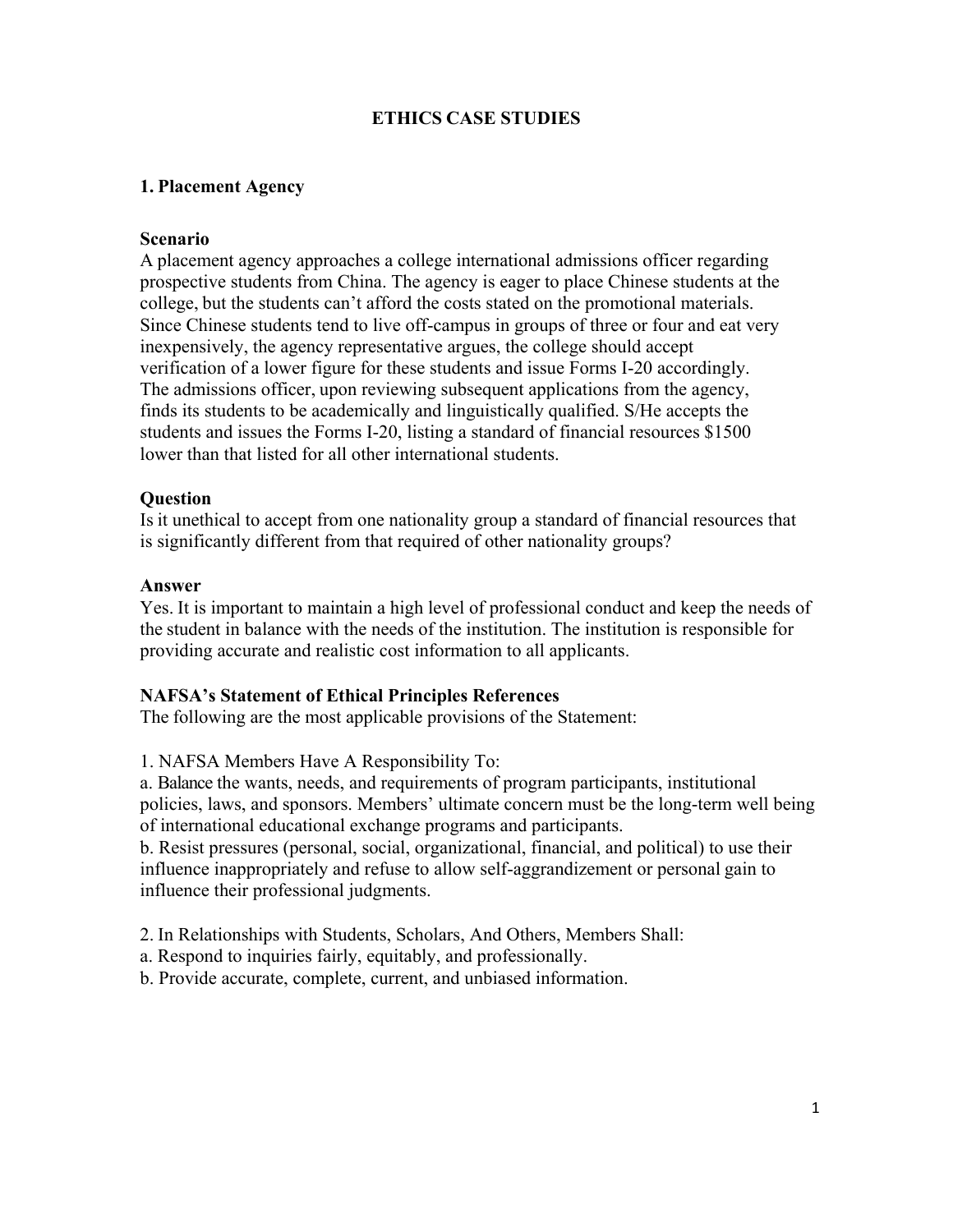## **ETHICS CASE STUDIES**

## **1. Placement Agency**

#### **Scenario**

A placement agency approaches a college international admissions officer regarding prospective students from China. The agency is eager to place Chinese students at the college, but the students can't afford the costs stated on the promotional materials. Since Chinese students tend to live off-campus in groups of three or four and eat very inexpensively, the agency representative argues, the college should accept verification of a lower figure for these students and issue Forms I-20 accordingly. The admissions officer, upon reviewing subsequent applications from the agency, finds its students to be academically and linguistically qualified. S/He accepts the students and issues the Forms I-20, listing a standard of financial resources \$1500 lower than that listed for all other international students.

#### **Question**

Is it unethical to accept from one nationality group a standard of financial resources that is significantly different from that required of other nationality groups?

#### **Answer**

Yes. It is important to maintain a high level of professional conduct and keep the needs of the student in balance with the needs of the institution. The institution is responsible for providing accurate and realistic cost information to all applicants.

#### **NAFSA's Statement of Ethical Principles References**

The following are the most applicable provisions of the Statement:

1. NAFSA Members Have A Responsibility To:

a. Balance the wants, needs, and requirements of program participants, institutional policies, laws, and sponsors. Members' ultimate concern must be the long-term well being of international educational exchange programs and participants.

b. Resist pressures (personal, social, organizational, financial, and political) to use their influence inappropriately and refuse to allow self-aggrandizement or personal gain to influence their professional judgments.

2. In Relationships with Students, Scholars, And Others, Members Shall:

- a. Respond to inquiries fairly, equitably, and professionally.
- b. Provide accurate, complete, current, and unbiased information.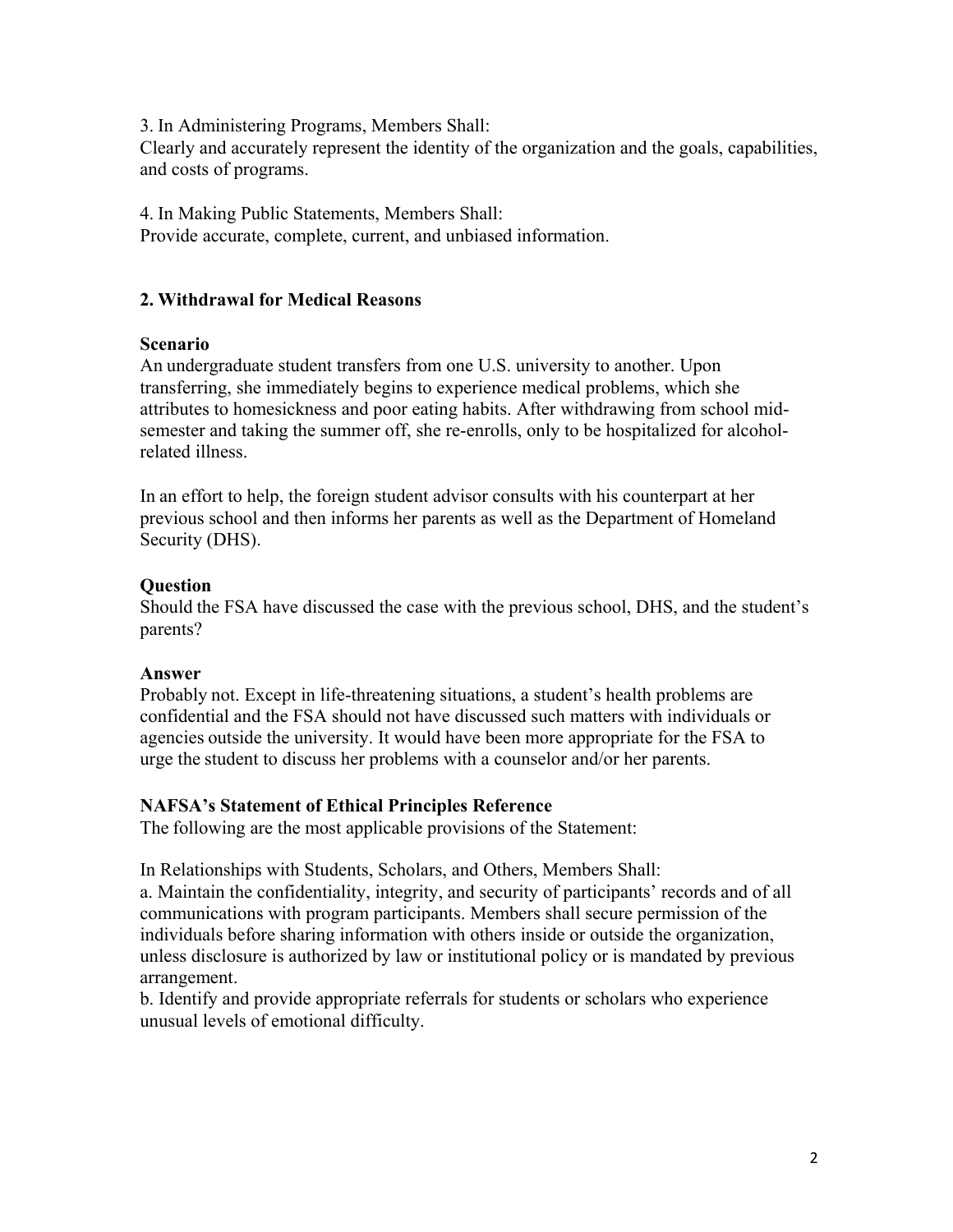3. In Administering Programs, Members Shall:

Clearly and accurately represent the identity of the organization and the goals, capabilities, and costs of programs.

4. In Making Public Statements, Members Shall: Provide accurate, complete, current, and unbiased information.

# **2. Withdrawal for Medical Reasons**

## **Scenario**

An undergraduate student transfers from one U.S. university to another. Upon transferring, she immediately begins to experience medical problems, which she attributes to homesickness and poor eating habits. After withdrawing from school midsemester and taking the summer off, she re-enrolls, only to be hospitalized for alcoholrelated illness.

In an effort to help, the foreign student advisor consults with his counterpart at her previous school and then informs her parents as well as the Department of Homeland Security (DHS).

# **Question**

Should the FSA have discussed the case with the previous school, DHS, and the student's parents?

# **Answer**

Probably not. Except in life-threatening situations, a student's health problems are confidential and the FSA should not have discussed such matters with individuals or agencies outside the university. It would have been more appropriate for the FSA to urge the student to discuss her problems with a counselor and/or her parents.

# **NAFSA's Statement of Ethical Principles Reference**

The following are the most applicable provisions of the Statement:

In Relationships with Students, Scholars, and Others, Members Shall:

a. Maintain the confidentiality, integrity, and security of participants' records and of all communications with program participants. Members shall secure permission of the individuals before sharing information with others inside or outside the organization, unless disclosure is authorized by law or institutional policy or is mandated by previous arrangement.

b. Identify and provide appropriate referrals for students or scholars who experience unusual levels of emotional difficulty.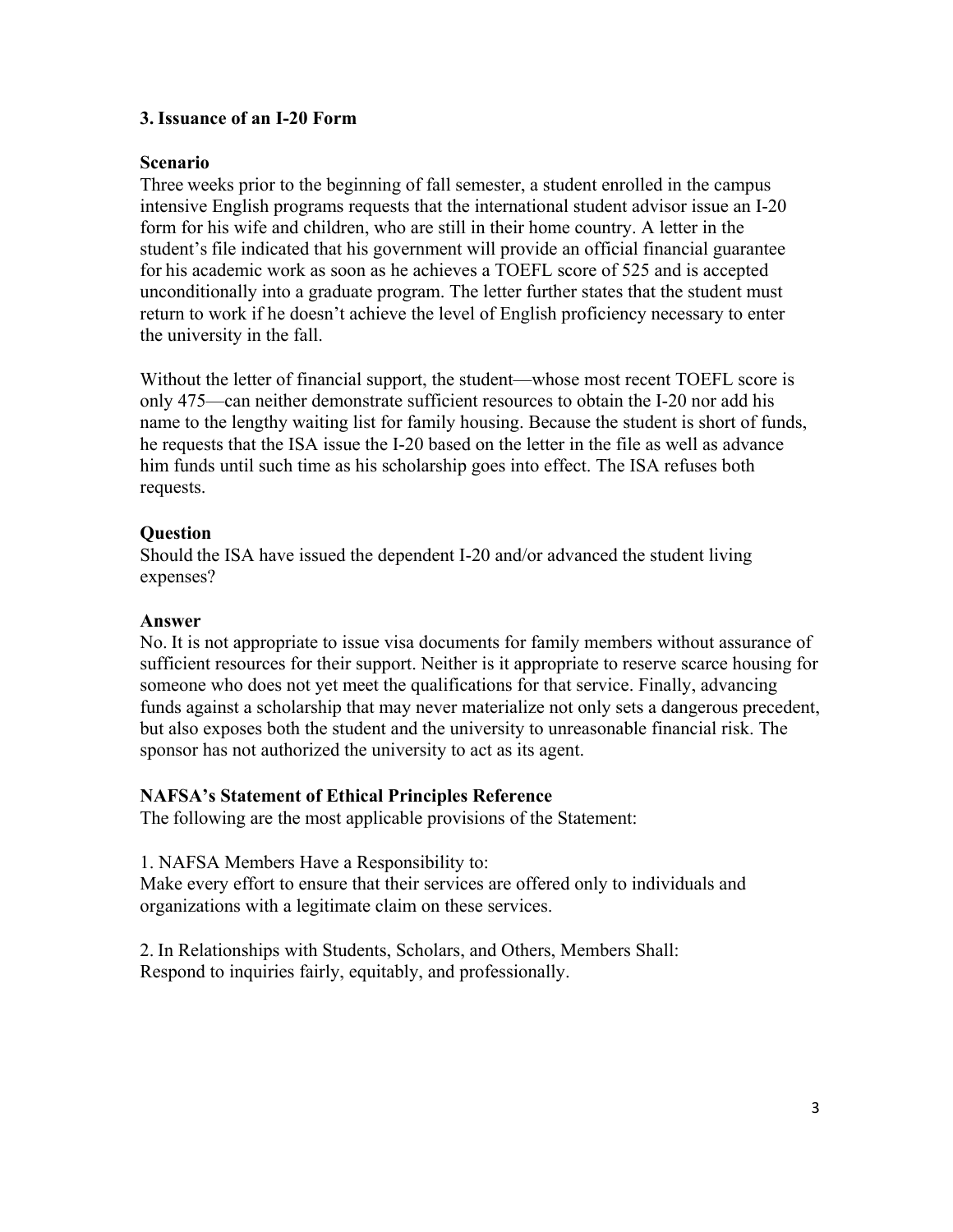## **3. Issuance of an I-20 Form**

#### **Scenario**

Three weeks prior to the beginning of fall semester, a student enrolled in the campus intensive English programs requests that the international student advisor issue an I-20 form for his wife and children, who are still in their home country. A letter in the student's file indicated that his government will provide an official financial guarantee for his academic work as soon as he achieves a TOEFL score of 525 and is accepted unconditionally into a graduate program. The letter further states that the student must return to work if he doesn't achieve the level of English proficiency necessary to enter the university in the fall.

Without the letter of financial support, the student—whose most recent TOEFL score is only 475—can neither demonstrate sufficient resources to obtain the I-20 nor add his name to the lengthy waiting list for family housing. Because the student is short of funds, he requests that the ISA issue the I-20 based on the letter in the file as well as advance him funds until such time as his scholarship goes into effect. The ISA refuses both requests.

## **Question**

Should the ISA have issued the dependent I-20 and/or advanced the student living expenses?

## **Answer**

No. It is not appropriate to issue visa documents for family members without assurance of sufficient resources for their support. Neither is it appropriate to reserve scarce housing for someone who does not yet meet the qualifications for that service. Finally, advancing funds against a scholarship that may never materialize not only sets a dangerous precedent, but also exposes both the student and the university to unreasonable financial risk. The sponsor has not authorized the university to act as its agent.

## **NAFSA's Statement of Ethical Principles Reference**

The following are the most applicable provisions of the Statement:

1. NAFSA Members Have a Responsibility to:

Make every effort to ensure that their services are offered only to individuals and organizations with a legitimate claim on these services.

2. In Relationships with Students, Scholars, and Others, Members Shall: Respond to inquiries fairly, equitably, and professionally.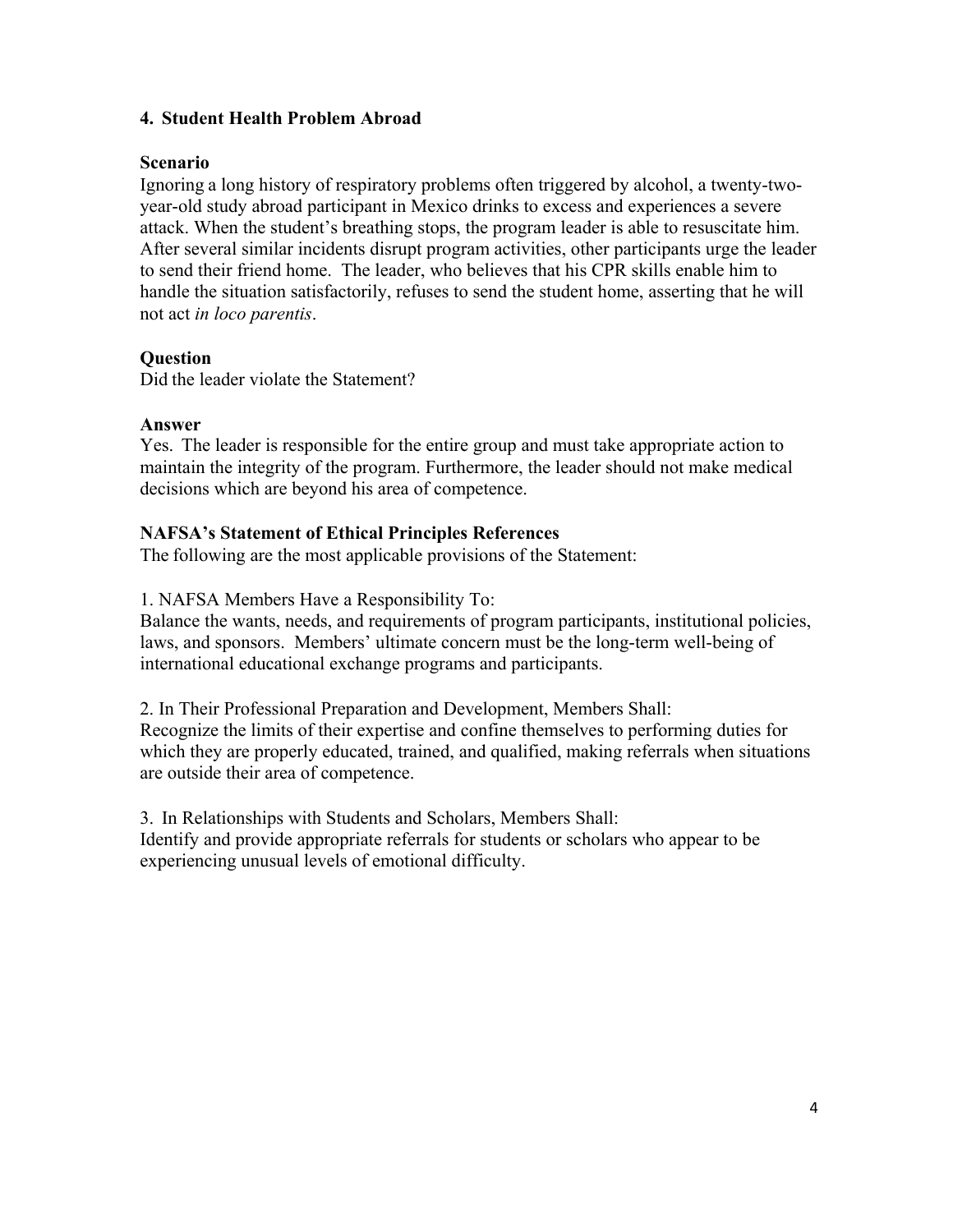## **4. Student Health Problem Abroad**

## **Scenario**

Ignoring a long history of respiratory problems often triggered by alcohol, a twenty-twoyear-old study abroad participant in Mexico drinks to excess and experiences a severe attack. When the student's breathing stops, the program leader is able to resuscitate him. After several similar incidents disrupt program activities, other participants urge the leader to send their friend home. The leader, who believes that his CPR skills enable him to handle the situation satisfactorily, refuses to send the student home, asserting that he will not act *in loco parentis*.

# **Question**

Did the leader violate the Statement?

## **Answer**

Yes. The leader is responsible for the entire group and must take appropriate action to maintain the integrity of the program. Furthermore, the leader should not make medical decisions which are beyond his area of competence.

# **NAFSA's Statement of Ethical Principles References**

The following are the most applicable provisions of the Statement:

## 1. NAFSA Members Have a Responsibility To:

Balance the wants, needs, and requirements of program participants, institutional policies, laws, and sponsors. Members' ultimate concern must be the long-term well-being of international educational exchange programs and participants.

2. In Their Professional Preparation and Development, Members Shall: Recognize the limits of their expertise and confine themselves to performing duties for which they are properly educated, trained, and qualified, making referrals when situations are outside their area of competence.

3. In Relationships with Students and Scholars, Members Shall: Identify and provide appropriate referrals for students or scholars who appear to be experiencing unusual levels of emotional difficulty.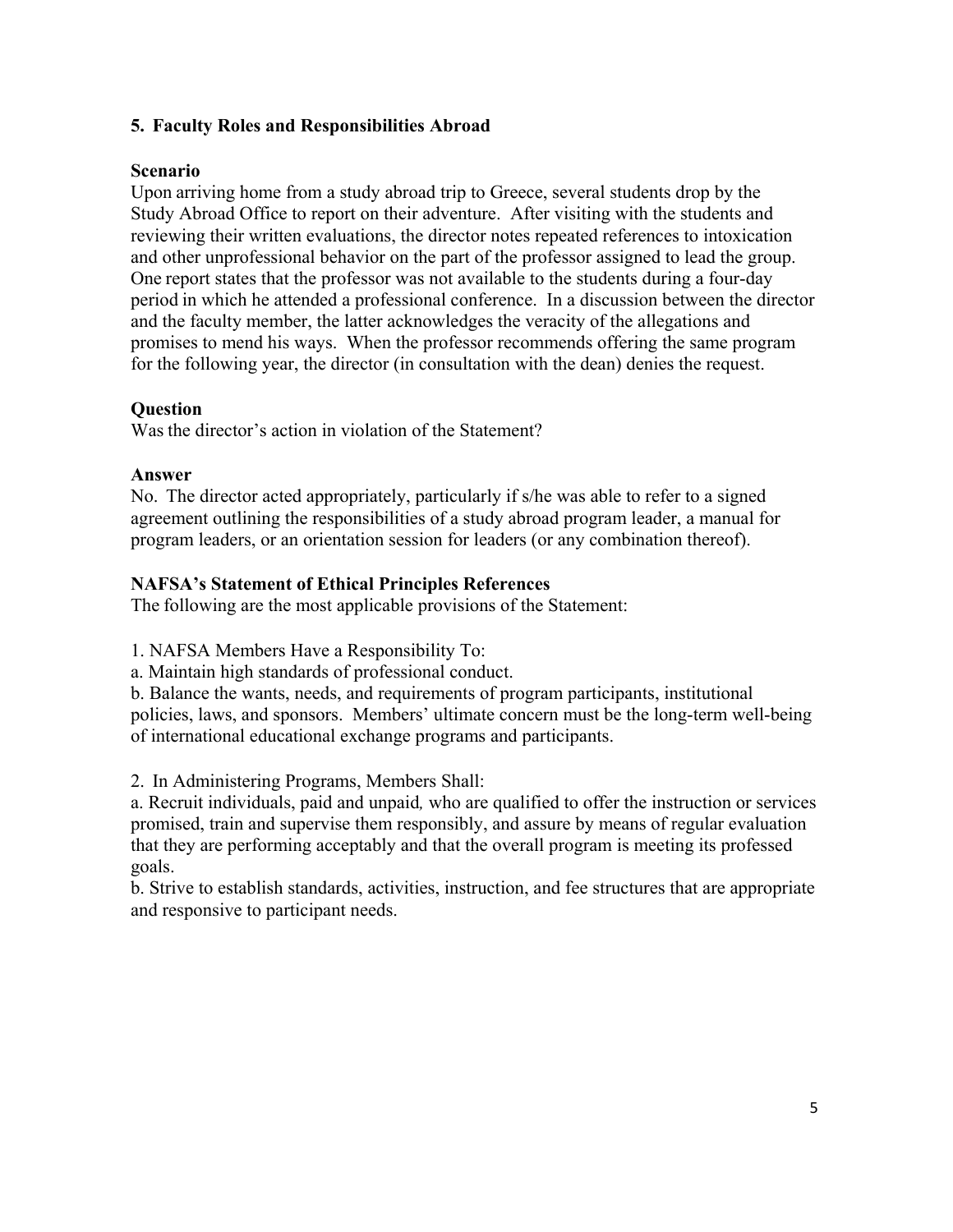## **5. Faculty Roles and Responsibilities Abroad**

## **Scenario**

Upon arriving home from a study abroad trip to Greece, several students drop by the Study Abroad Office to report on their adventure. After visiting with the students and reviewing their written evaluations, the director notes repeated references to intoxication and other unprofessional behavior on the part of the professor assigned to lead the group. One report states that the professor was not available to the students during a four-day period in which he attended a professional conference. In a discussion between the director and the faculty member, the latter acknowledges the veracity of the allegations and promises to mend his ways. When the professor recommends offering the same program for the following year, the director (in consultation with the dean) denies the request.

#### **Question**

Was the director's action in violation of the Statement?

#### **Answer**

No. The director acted appropriately, particularly if s/he was able to refer to a signed agreement outlining the responsibilities of a study abroad program leader, a manual for program leaders, or an orientation session for leaders (or any combination thereof).

## **NAFSA's Statement of Ethical Principles References**

The following are the most applicable provisions of the Statement:

1. NAFSA Members Have a Responsibility To:

a. Maintain high standards of professional conduct.

b. Balance the wants, needs, and requirements of program participants, institutional policies, laws, and sponsors. Members' ultimate concern must be the long-term well-being of international educational exchange programs and participants.

2. In Administering Programs, Members Shall:

a. Recruit individuals, paid and unpaid*,* who are qualified to offer the instruction or services promised, train and supervise them responsibly, and assure by means of regular evaluation that they are performing acceptably and that the overall program is meeting its professed goals.

b. Strive to establish standards, activities, instruction, and fee structures that are appropriate and responsive to participant needs.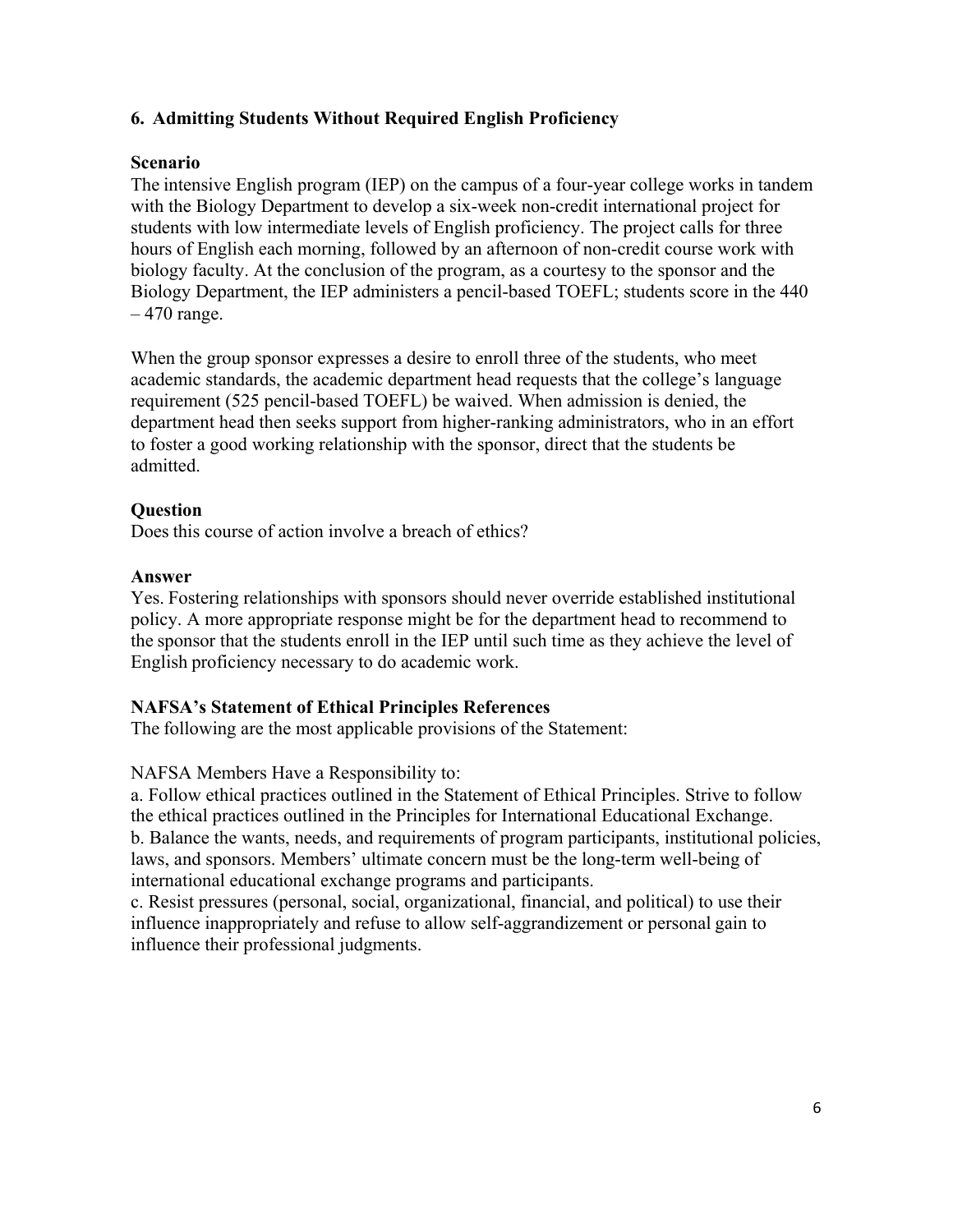# **6. Admitting Students Without Required English Proficiency**

## **Scenario**

The intensive English program (IEP) on the campus of a four-year college works in tandem with the Biology Department to develop a six-week non-credit international project for students with low intermediate levels of English proficiency. The project calls for three hours of English each morning, followed by an afternoon of non-credit course work with biology faculty. At the conclusion of the program, as a courtesy to the sponsor and the Biology Department, the IEP administers a pencil-based TOEFL; students score in the 440  $-470$  range.

When the group sponsor expresses a desire to enroll three of the students, who meet academic standards, the academic department head requests that the college's language requirement (525 pencil-based TOEFL) be waived. When admission is denied, the department head then seeks support from higher-ranking administrators, who in an effort to foster a good working relationship with the sponsor, direct that the students be admitted.

## **Question**

Does this course of action involve a breach of ethics?

## **Answer**

Yes. Fostering relationships with sponsors should never override established institutional policy. A more appropriate response might be for the department head to recommend to the sponsor that the students enroll in the IEP until such time as they achieve the level of English proficiency necessary to do academic work.

## **NAFSA's Statement of Ethical Principles References**

The following are the most applicable provisions of the Statement:

## NAFSA Members Have a Responsibility to:

a. Follow ethical practices outlined in the Statement of Ethical Principles. Strive to follow the ethical practices outlined in the Principles for International Educational Exchange. b. Balance the wants, needs, and requirements of program participants, institutional policies, laws, and sponsors. Members' ultimate concern must be the long-term well-being of international educational exchange programs and participants.

c. Resist pressures (personal, social, organizational, financial, and political) to use their influence inappropriately and refuse to allow self-aggrandizement or personal gain to influence their professional judgments.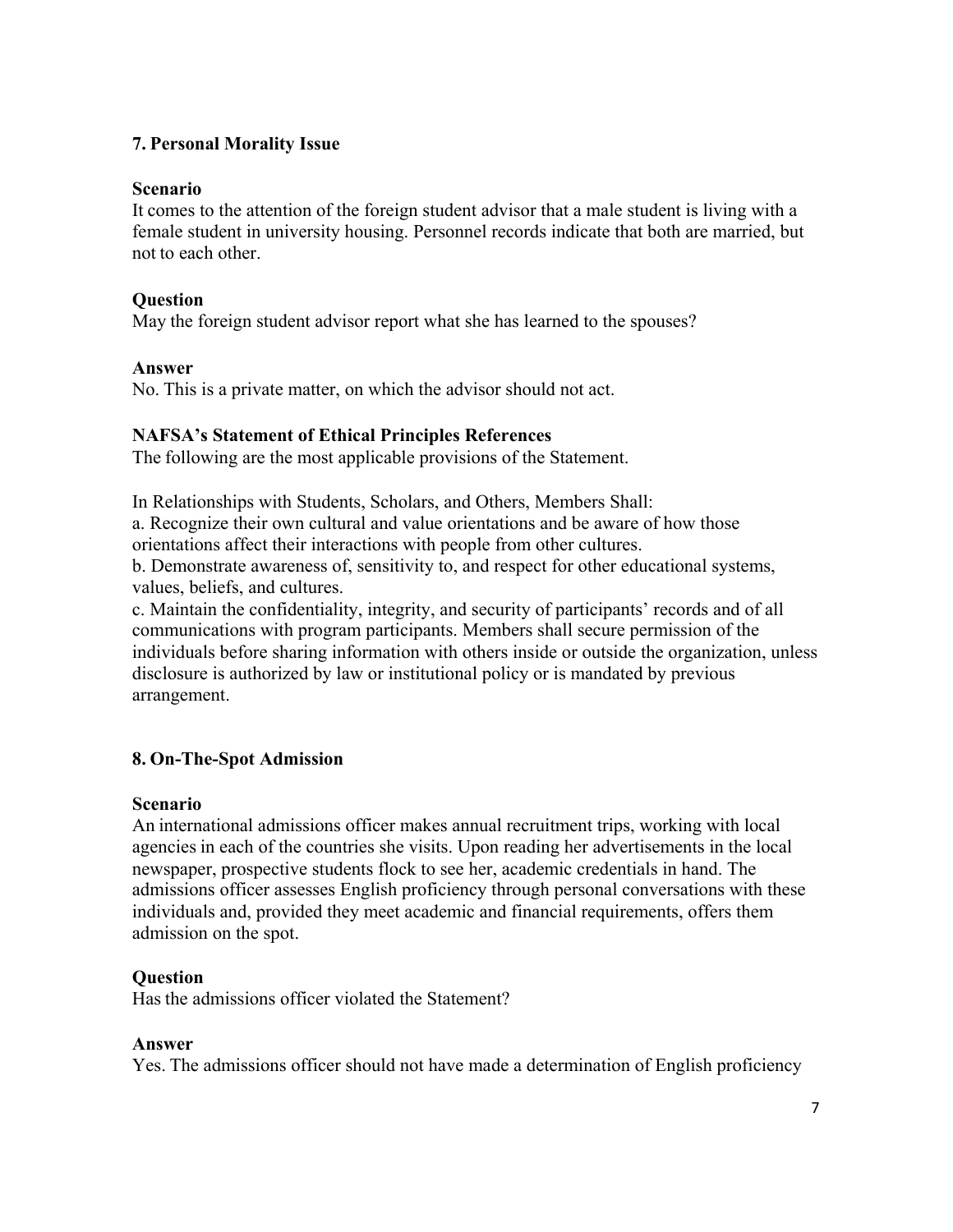# **7. Personal Morality Issue**

## **Scenario**

It comes to the attention of the foreign student advisor that a male student is living with a female student in university housing. Personnel records indicate that both are married, but not to each other.

## **Question**

May the foreign student advisor report what she has learned to the spouses?

## **Answer**

No. This is a private matter, on which the advisor should not act.

## **NAFSA's Statement of Ethical Principles References**

The following are the most applicable provisions of the Statement.

In Relationships with Students, Scholars, and Others, Members Shall:

a. Recognize their own cultural and value orientations and be aware of how those orientations affect their interactions with people from other cultures.

b. Demonstrate awareness of, sensitivity to, and respect for other educational systems, values, beliefs, and cultures.

c. Maintain the confidentiality, integrity, and security of participants' records and of all communications with program participants. Members shall secure permission of the individuals before sharing information with others inside or outside the organization, unless disclosure is authorized by law or institutional policy or is mandated by previous arrangement.

# **8. On-The-Spot Admission**

## **Scenario**

An international admissions officer makes annual recruitment trips, working with local agencies in each of the countries she visits. Upon reading her advertisements in the local newspaper, prospective students flock to see her, academic credentials in hand. The admissions officer assesses English proficiency through personal conversations with these individuals and, provided they meet academic and financial requirements, offers them admission on the spot.

# **Question**

Has the admissions officer violated the Statement?

## **Answer**

Yes. The admissions officer should not have made a determination of English proficiency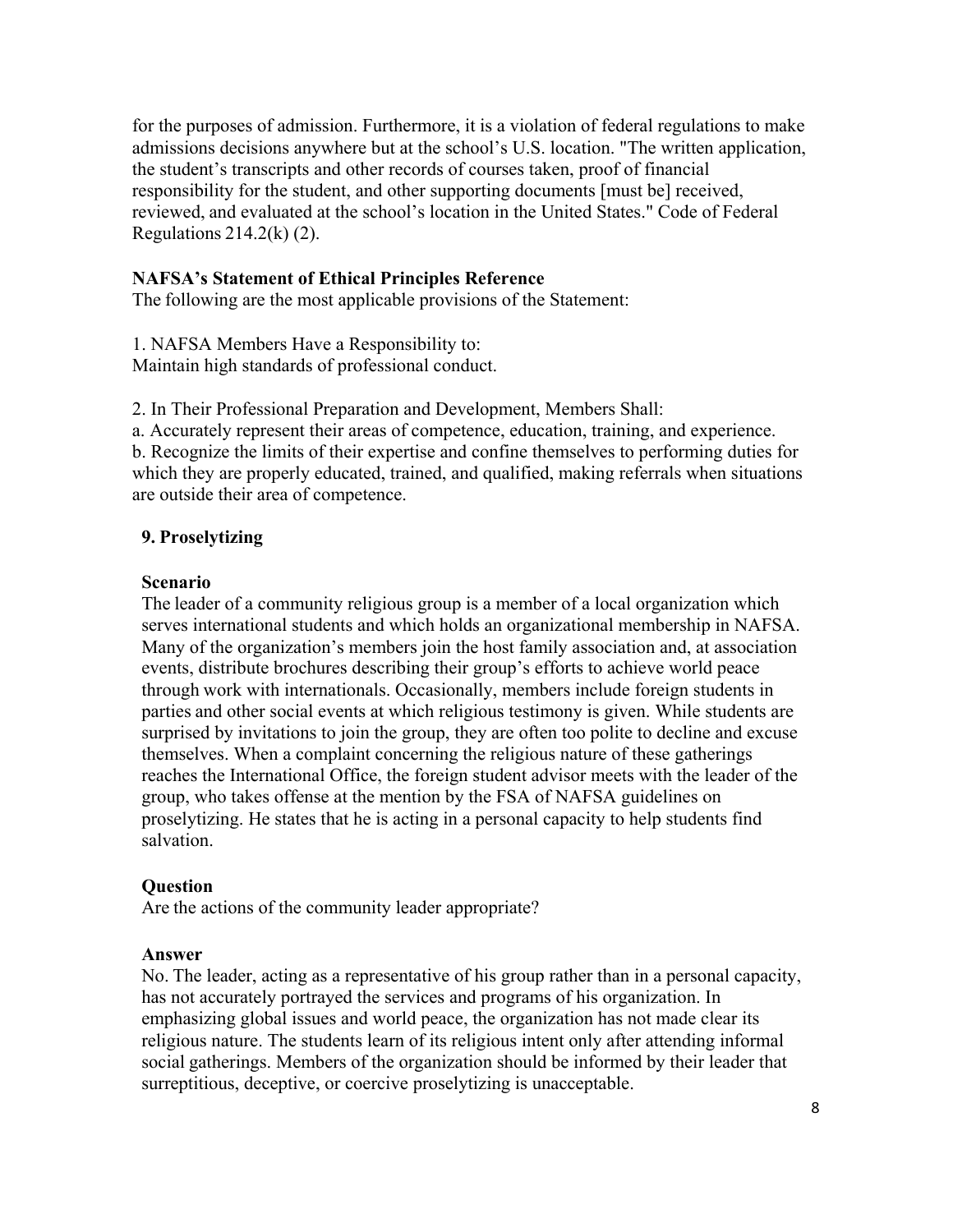for the purposes of admission. Furthermore, it is a violation of federal regulations to make admissions decisions anywhere but at the school's U.S. location. "The written application, the student's transcripts and other records of courses taken, proof of financial responsibility for the student, and other supporting documents [must be] received, reviewed, and evaluated at the school's location in the United States." Code of Federal Regulations  $214.2(k)$  (2).

#### **NAFSA's Statement of Ethical Principles Reference**

The following are the most applicable provisions of the Statement:

1. NAFSA Members Have a Responsibility to:

Maintain high standards of professional conduct.

2. In Their Professional Preparation and Development, Members Shall:

a. Accurately represent their areas of competence, education, training, and experience. b. Recognize the limits of their expertise and confine themselves to performing duties for which they are properly educated, trained, and qualified, making referrals when situations are outside their area of competence.

#### **9. Proselytizing**

#### **Scenario**

The leader of a community religious group is a member of a local organization which serves international students and which holds an organizational membership in NAFSA. Many of the organization's members join the host family association and, at association events, distribute brochures describing their group's efforts to achieve world peace through work with internationals. Occasionally, members include foreign students in parties and other social events at which religious testimony is given. While students are surprised by invitations to join the group, they are often too polite to decline and excuse themselves. When a complaint concerning the religious nature of these gatherings reaches the International Office, the foreign student advisor meets with the leader of the group, who takes offense at the mention by the FSA of NAFSA guidelines on proselytizing. He states that he is acting in a personal capacity to help students find salvation.

#### **Question**

Are the actions of the community leader appropriate?

#### **Answer**

No. The leader, acting as a representative of his group rather than in a personal capacity, has not accurately portrayed the services and programs of his organization. In emphasizing global issues and world peace, the organization has not made clear its religious nature. The students learn of its religious intent only after attending informal social gatherings. Members of the organization should be informed by their leader that surreptitious, deceptive, or coercive proselytizing is unacceptable.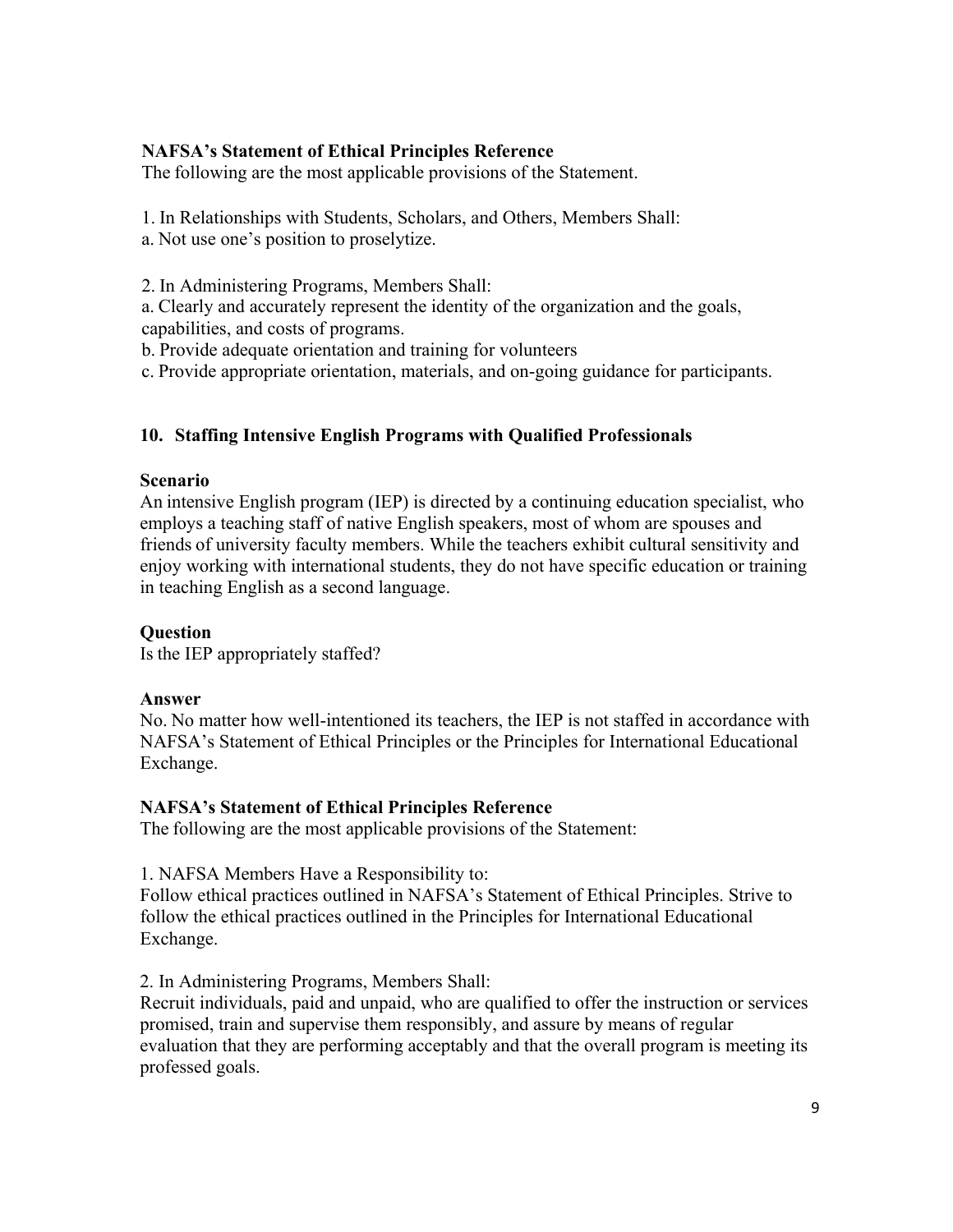# **NAFSA's Statement of Ethical Principles Reference**

The following are the most applicable provisions of the Statement.

1. In Relationships with Students, Scholars, and Others, Members Shall:

a. Not use one's position to proselytize.

2. In Administering Programs, Members Shall:

a. Clearly and accurately represent the identity of the organization and the goals,

capabilities, and costs of programs.

b. Provide adequate orientation and training for volunteers

c. Provide appropriate orientation, materials, and on-going guidance for participants.

# **10. Staffing Intensive English Programs with Qualified Professionals**

## **Scenario**

An intensive English program (IEP) is directed by a continuing education specialist, who employs a teaching staff of native English speakers, most of whom are spouses and friends of university faculty members. While the teachers exhibit cultural sensitivity and enjoy working with international students, they do not have specific education or training in teaching English as a second language.

# **Question**

Is the IEP appropriately staffed?

# **Answer**

No. No matter how well-intentioned its teachers, the IEP is not staffed in accordance with NAFSA's Statement of Ethical Principles or the Principles for International Educational Exchange.

# **NAFSA's Statement of Ethical Principles Reference**

The following are the most applicable provisions of the Statement:

1. NAFSA Members Have a Responsibility to:

Follow ethical practices outlined in NAFSA's Statement of Ethical Principles. Strive to follow the ethical practices outlined in the Principles for International Educational Exchange.

2. In Administering Programs, Members Shall:

Recruit individuals, paid and unpaid, who are qualified to offer the instruction or services promised, train and supervise them responsibly, and assure by means of regular evaluation that they are performing acceptably and that the overall program is meeting its professed goals.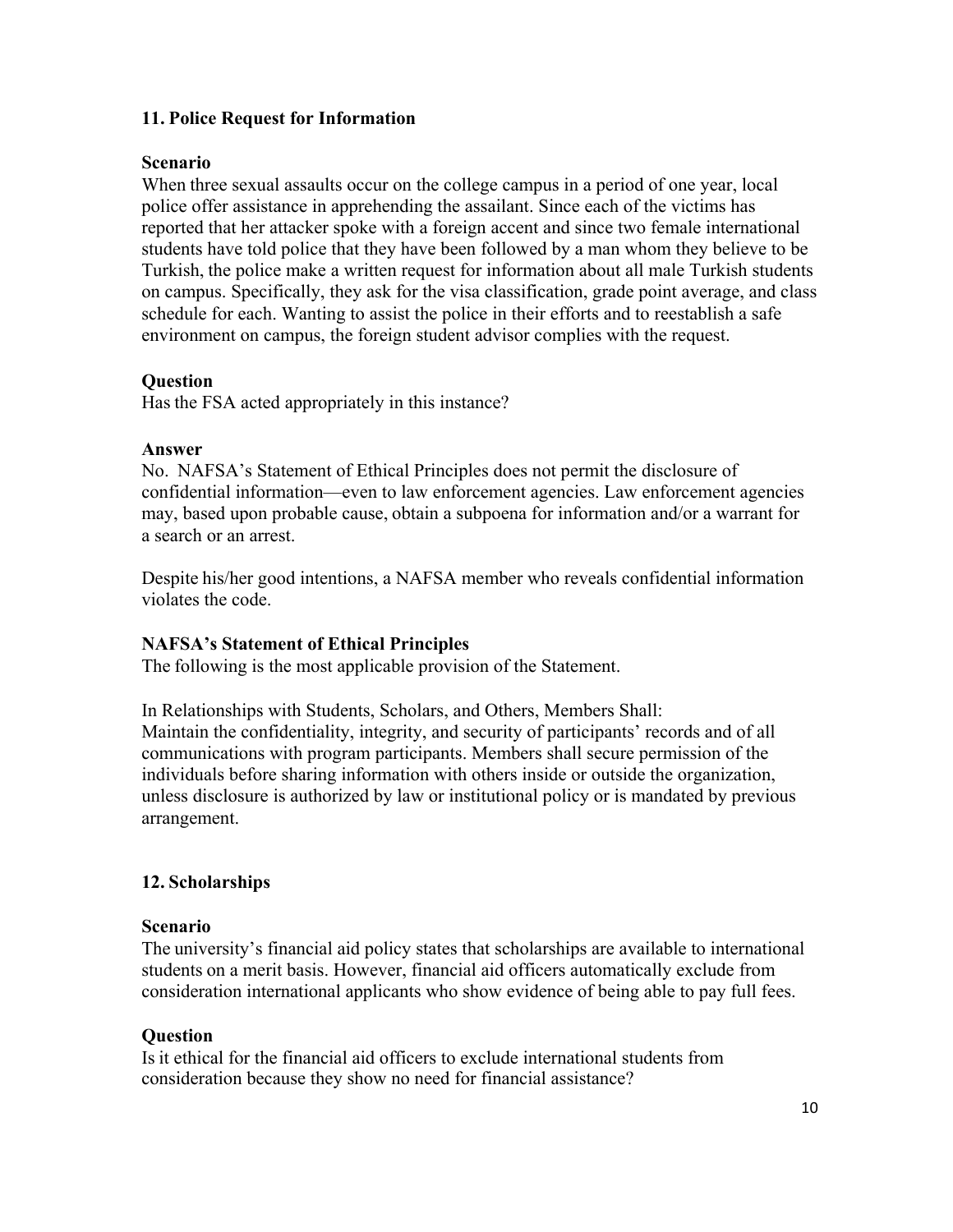## **11. Police Request for Information**

## **Scenario**

When three sexual assaults occur on the college campus in a period of one year, local police offer assistance in apprehending the assailant. Since each of the victims has reported that her attacker spoke with a foreign accent and since two female international students have told police that they have been followed by a man whom they believe to be Turkish, the police make a written request for information about all male Turkish students on campus. Specifically, they ask for the visa classification, grade point average, and class schedule for each. Wanting to assist the police in their efforts and to reestablish a safe environment on campus, the foreign student advisor complies with the request.

## **Question**

Has the FSA acted appropriately in this instance?

## **Answer**

No. NAFSA's Statement of Ethical Principles does not permit the disclosure of confidential information—even to law enforcement agencies. Law enforcement agencies may, based upon probable cause, obtain a subpoena for information and/or a warrant for a search or an arrest.

Despite his/her good intentions, a NAFSA member who reveals confidential information violates the code.

## **NAFSA's Statement of Ethical Principles**

The following is the most applicable provision of the Statement.

In Relationships with Students, Scholars, and Others, Members Shall: Maintain the confidentiality, integrity, and security of participants' records and of all communications with program participants. Members shall secure permission of the individuals before sharing information with others inside or outside the organization, unless disclosure is authorized by law or institutional policy or is mandated by previous arrangement.

## **12. Scholarships**

#### **Scenario**

The university's financial aid policy states that scholarships are available to international students on a merit basis. However, financial aid officers automatically exclude from consideration international applicants who show evidence of being able to pay full fees.

## **Question**

Is it ethical for the financial aid officers to exclude international students from consideration because they show no need for financial assistance?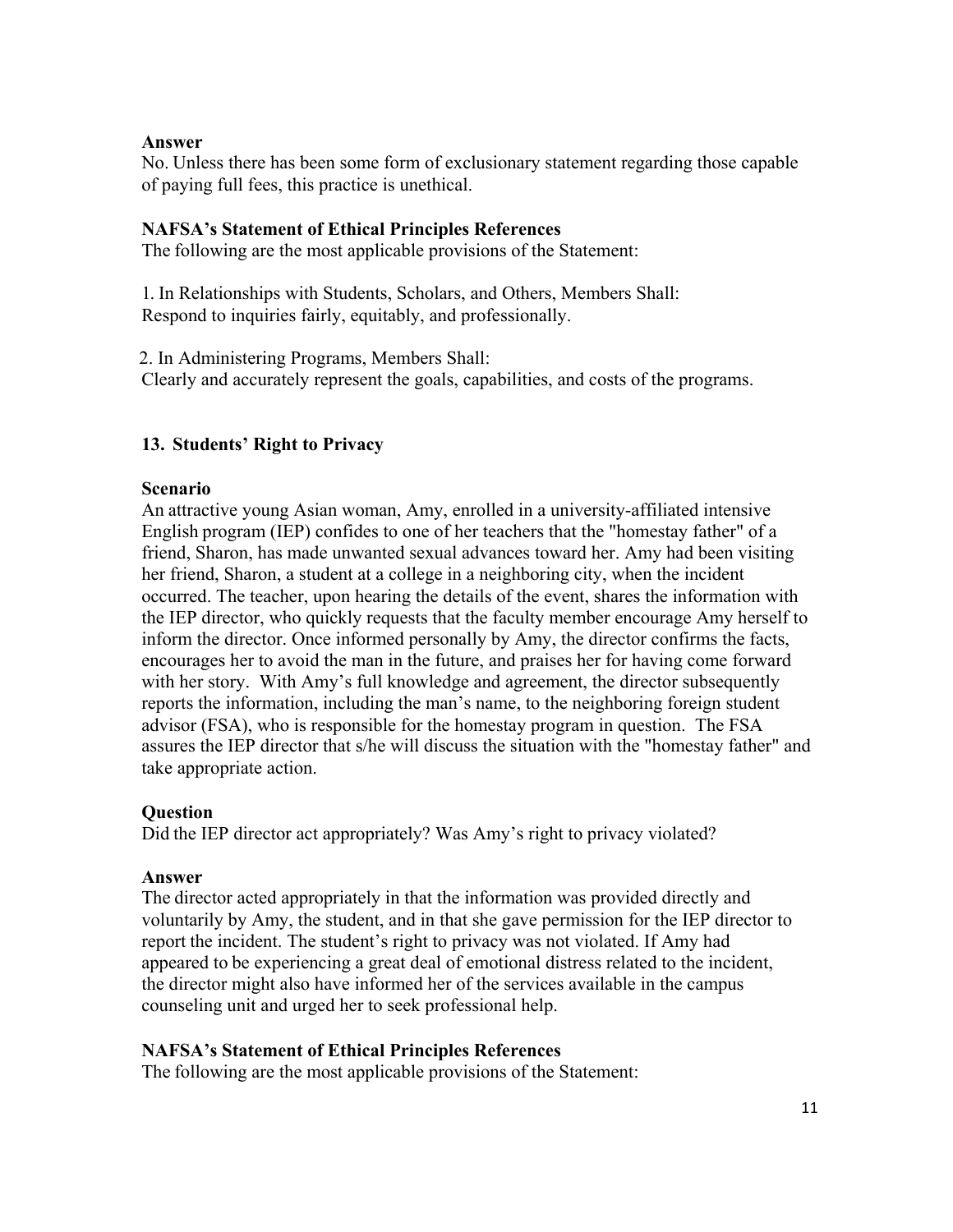## **Answer**

No. Unless there has been some form of exclusionary statement regarding those capable of paying full fees, this practice is unethical.

# **NAFSA's Statement of Ethical Principles References**

The following are the most applicable provisions of the Statement:

1. In Relationships with Students, Scholars, and Others, Members Shall: Respond to inquiries fairly, equitably, and professionally.

2. In Administering Programs, Members Shall: Clearly and accurately represent the goals, capabilities, and costs of the programs.

# **13. Students' Right to Privacy**

## **Scenario**

An attractive young Asian woman, Amy, enrolled in a university-affiliated intensive English program (IEP) confides to one of her teachers that the "homestay father" of a friend, Sharon, has made unwanted sexual advances toward her. Amy had been visiting her friend, Sharon, a student at a college in a neighboring city, when the incident occurred. The teacher, upon hearing the details of the event, shares the information with the IEP director, who quickly requests that the faculty member encourage Amy herself to inform the director. Once informed personally by Amy, the director confirms the facts, encourages her to avoid the man in the future, and praises her for having come forward with her story. With Amy's full knowledge and agreement, the director subsequently reports the information, including the man's name, to the neighboring foreign student advisor (FSA), who is responsible for the homestay program in question. The FSA assures the IEP director that s/he will discuss the situation with the "homestay father" and take appropriate action.

# **Question**

Did the IEP director act appropriately? Was Amy's right to privacy violated?

## **Answer**

The director acted appropriately in that the information was provided directly and voluntarily by Amy, the student, and in that she gave permission for the IEP director to report the incident. The student's right to privacy was not violated. If Amy had appeared to be experiencing a great deal of emotional distress related to the incident, the director might also have informed her of the services available in the campus counseling unit and urged her to seek professional help.

# **NAFSA's Statement of Ethical Principles References**

The following are the most applicable provisions of the Statement: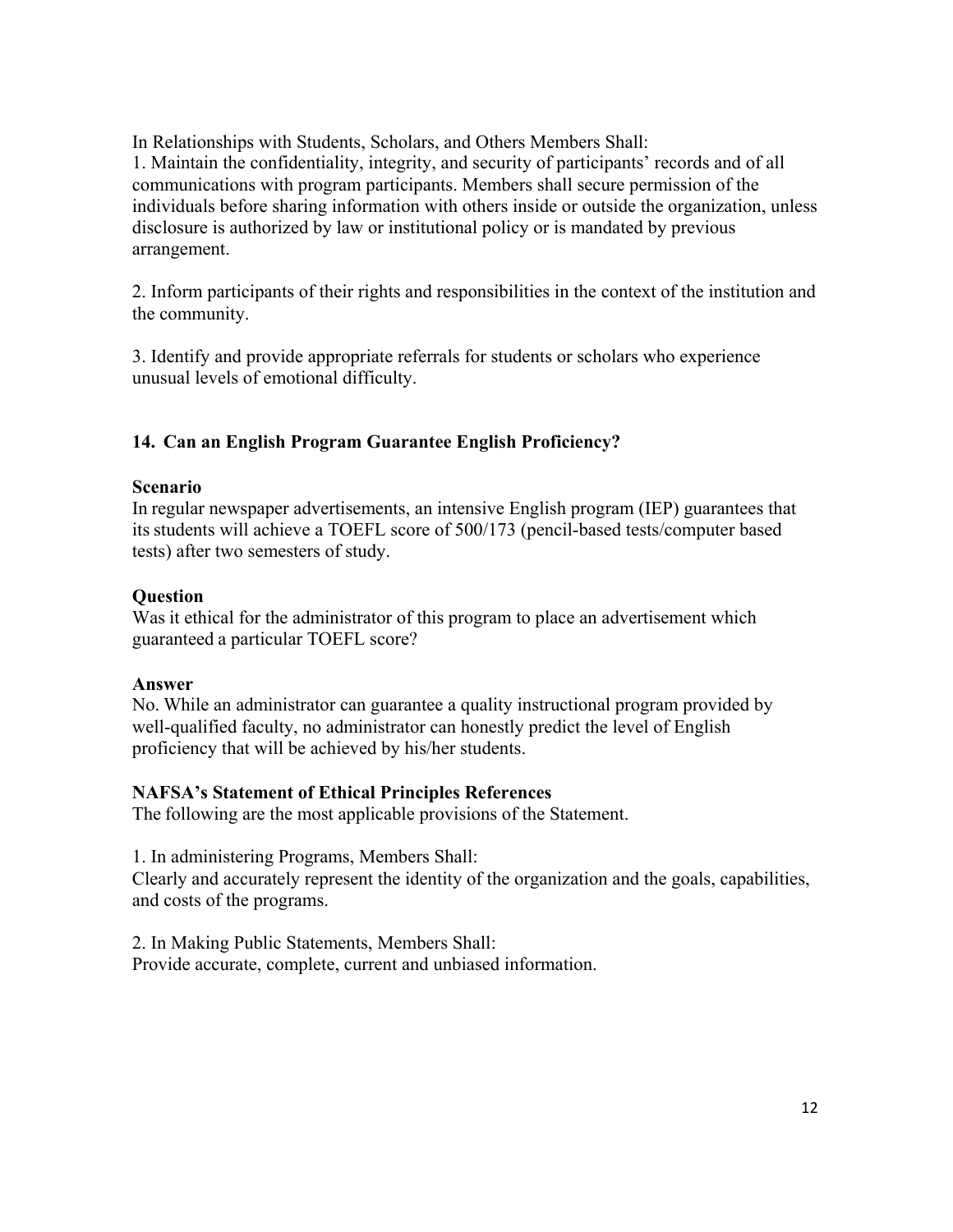In Relationships with Students, Scholars, and Others Members Shall:

1. Maintain the confidentiality, integrity, and security of participants' records and of all communications with program participants. Members shall secure permission of the individuals before sharing information with others inside or outside the organization, unless disclosure is authorized by law or institutional policy or is mandated by previous arrangement.

2. Inform participants of their rights and responsibilities in the context of the institution and the community.

3. Identify and provide appropriate referrals for students or scholars who experience unusual levels of emotional difficulty.

# **14. Can an English Program Guarantee English Proficiency?**

## **Scenario**

In regular newspaper advertisements, an intensive English program (IEP) guarantees that its students will achieve a TOEFL score of 500/173 (pencil-based tests/computer based tests) after two semesters of study.

## **Question**

Was it ethical for the administrator of this program to place an advertisement which guaranteed a particular TOEFL score?

# **Answer**

No. While an administrator can guarantee a quality instructional program provided by well-qualified faculty, no administrator can honestly predict the level of English proficiency that will be achieved by his/her students.

# **NAFSA's Statement of Ethical Principles References**

The following are the most applicable provisions of the Statement.

1. In administering Programs, Members Shall:

Clearly and accurately represent the identity of the organization and the goals, capabilities, and costs of the programs.

2. In Making Public Statements, Members Shall: Provide accurate, complete, current and unbiased information.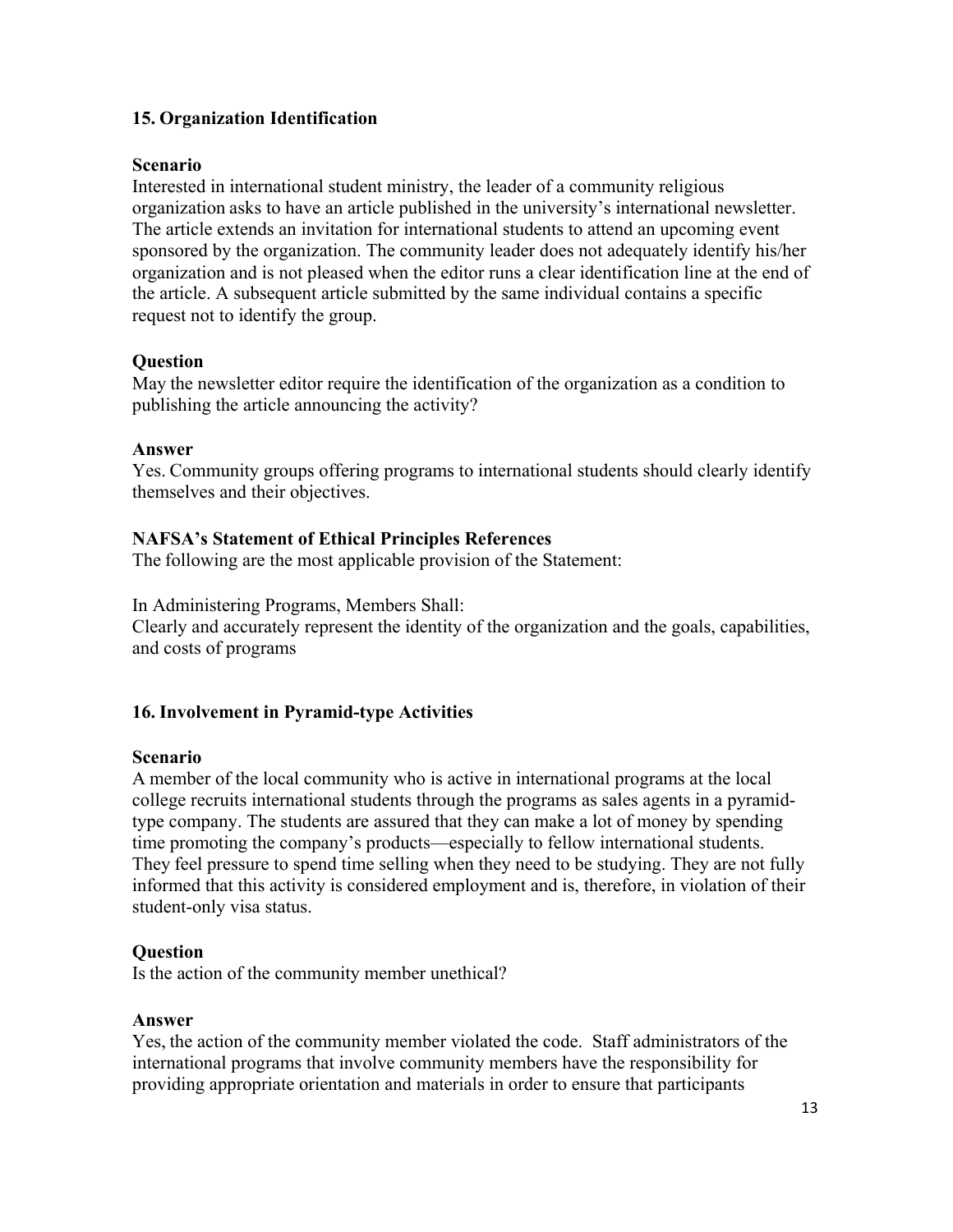# **15. Organization Identification**

## **Scenario**

Interested in international student ministry, the leader of a community religious organization asks to have an article published in the university's international newsletter. The article extends an invitation for international students to attend an upcoming event sponsored by the organization. The community leader does not adequately identify his/her organization and is not pleased when the editor runs a clear identification line at the end of the article. A subsequent article submitted by the same individual contains a specific request not to identify the group.

## **Question**

May the newsletter editor require the identification of the organization as a condition to publishing the article announcing the activity?

## **Answer**

Yes. Community groups offering programs to international students should clearly identify themselves and their objectives.

## **NAFSA's Statement of Ethical Principles References**

The following are the most applicable provision of the Statement:

In Administering Programs, Members Shall:

Clearly and accurately represent the identity of the organization and the goals, capabilities, and costs of programs

# **16. Involvement in Pyramid-type Activities**

## **Scenario**

A member of the local community who is active in international programs at the local college recruits international students through the programs as sales agents in a pyramidtype company. The students are assured that they can make a lot of money by spending time promoting the company's products—especially to fellow international students. They feel pressure to spend time selling when they need to be studying. They are not fully informed that this activity is considered employment and is, therefore, in violation of their student-only visa status.

## **Question**

Is the action of the community member unethical?

## **Answer**

Yes, the action of the community member violated the code. Staff administrators of the international programs that involve community members have the responsibility for providing appropriate orientation and materials in order to ensure that participants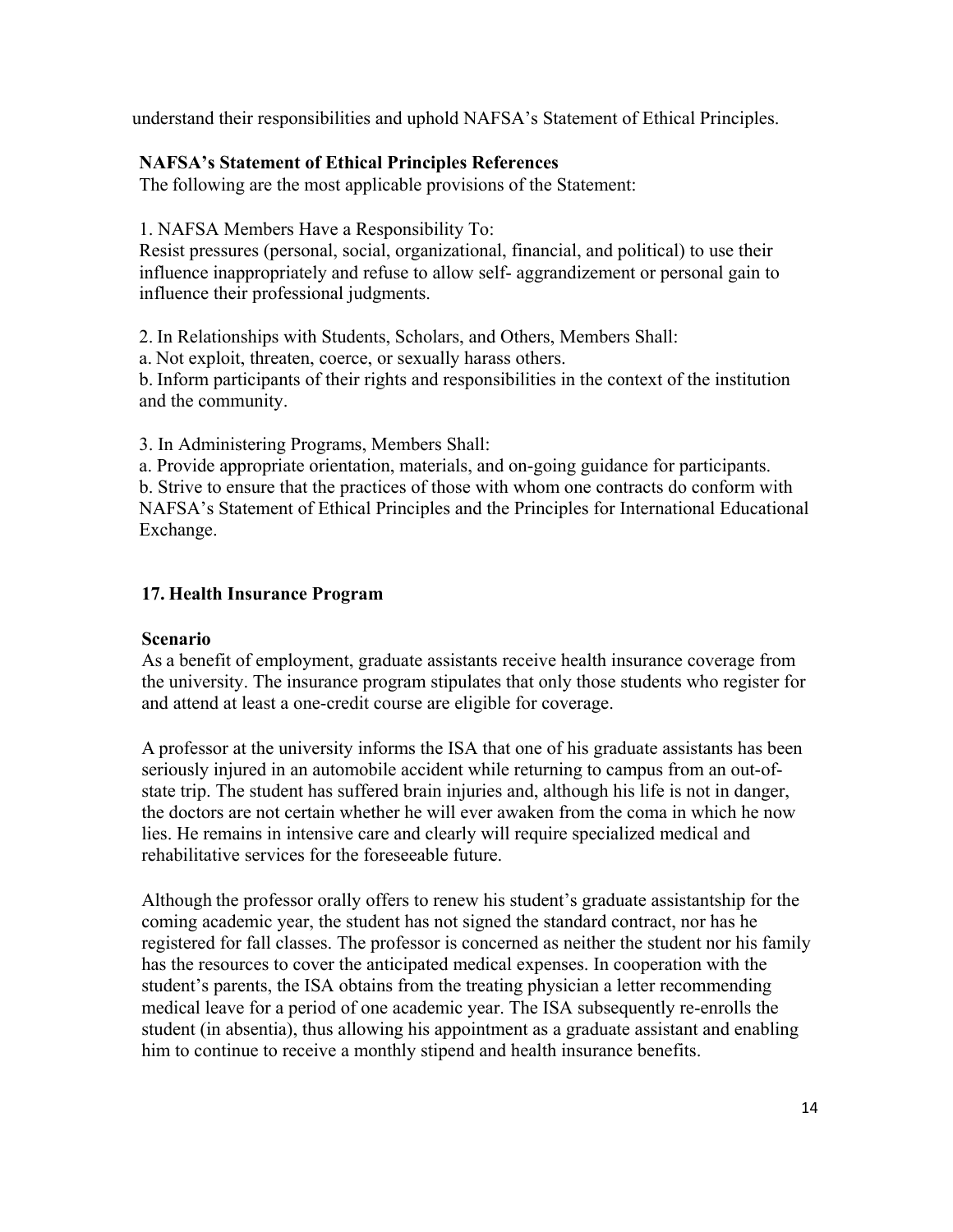understand their responsibilities and uphold NAFSA's Statement of Ethical Principles.

## **NAFSA's Statement of Ethical Principles References**

The following are the most applicable provisions of the Statement:

1. NAFSA Members Have a Responsibility To:

Resist pressures (personal, social, organizational, financial, and political) to use their influence inappropriately and refuse to allow self- aggrandizement or personal gain to influence their professional judgments.

2. In Relationships with Students, Scholars, and Others, Members Shall:

a. Not exploit, threaten, coerce, or sexually harass others.

b. Inform participants of their rights and responsibilities in the context of the institution and the community.

3. In Administering Programs, Members Shall:

a. Provide appropriate orientation, materials, and on-going guidance for participants. b. Strive to ensure that the practices of those with whom one contracts do conform with NAFSA's Statement of Ethical Principles and the Principles for International Educational Exchange.

# **17. Health Insurance Program**

# **Scenario**

As a benefit of employment, graduate assistants receive health insurance coverage from the university. The insurance program stipulates that only those students who register for and attend at least a one-credit course are eligible for coverage.

A professor at the university informs the ISA that one of his graduate assistants has been seriously injured in an automobile accident while returning to campus from an out-ofstate trip. The student has suffered brain injuries and, although his life is not in danger, the doctors are not certain whether he will ever awaken from the coma in which he now lies. He remains in intensive care and clearly will require specialized medical and rehabilitative services for the foreseeable future.

Although the professor orally offers to renew his student's graduate assistantship for the coming academic year, the student has not signed the standard contract, nor has he registered for fall classes. The professor is concerned as neither the student nor his family has the resources to cover the anticipated medical expenses. In cooperation with the student's parents, the ISA obtains from the treating physician a letter recommending medical leave for a period of one academic year. The ISA subsequently re-enrolls the student (in absentia), thus allowing his appointment as a graduate assistant and enabling him to continue to receive a monthly stipend and health insurance benefits.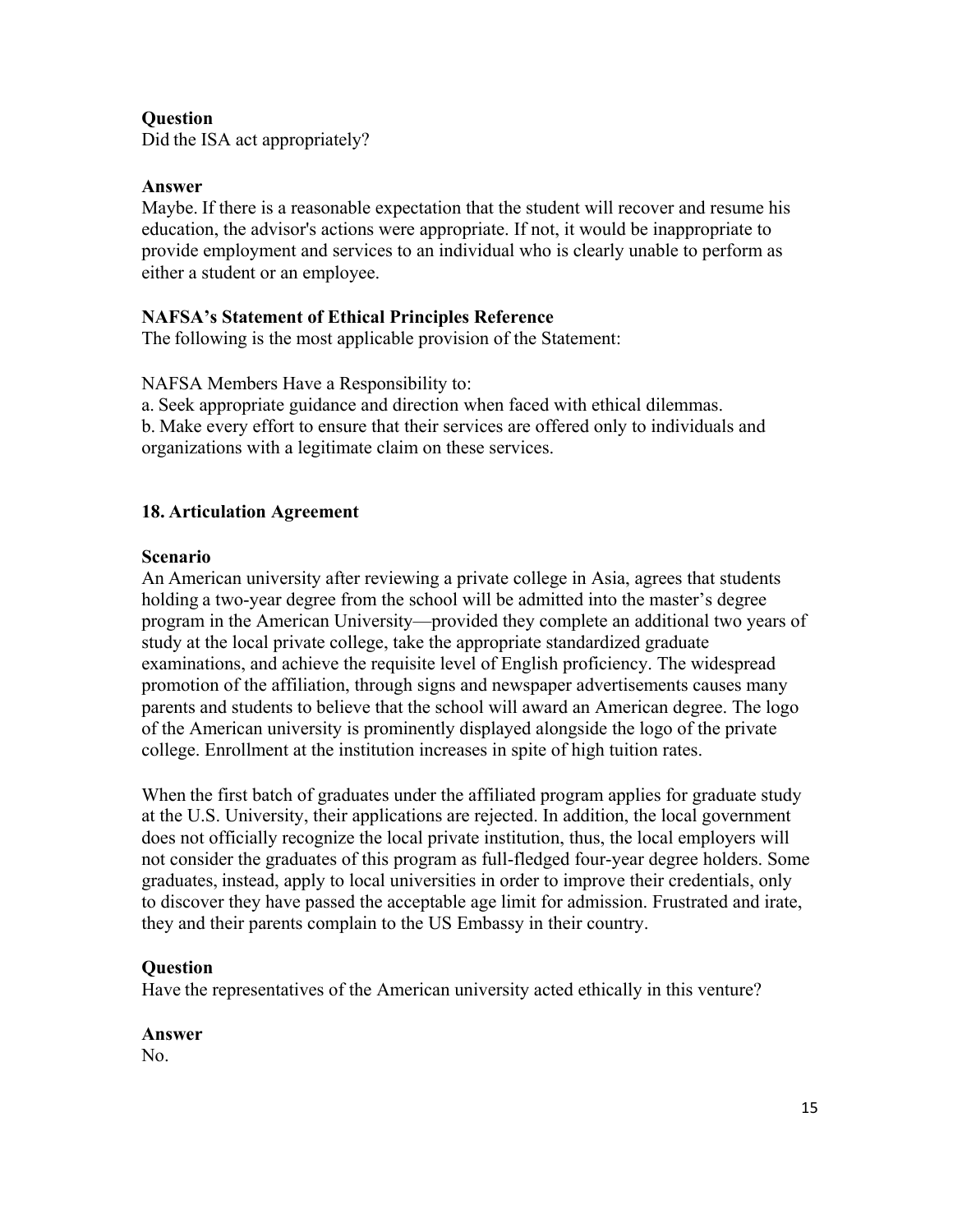## **Question**

Did the ISA act appropriately?

#### **Answer**

Maybe. If there is a reasonable expectation that the student will recover and resume his education, the advisor's actions were appropriate. If not, it would be inappropriate to provide employment and services to an individual who is clearly unable to perform as either a student or an employee.

## **NAFSA's Statement of Ethical Principles Reference**

The following is the most applicable provision of the Statement:

NAFSA Members Have a Responsibility to:

a. Seek appropriate guidance and direction when faced with ethical dilemmas. b. Make every effort to ensure that their services are offered only to individuals and organizations with a legitimate claim on these services.

## **18. Articulation Agreement**

## **Scenario**

An American university after reviewing a private college in Asia, agrees that students holding a two-year degree from the school will be admitted into the master's degree program in the American University—provided they complete an additional two years of study at the local private college, take the appropriate standardized graduate examinations, and achieve the requisite level of English proficiency. The widespread promotion of the affiliation, through signs and newspaper advertisements causes many parents and students to believe that the school will award an American degree. The logo of the American university is prominently displayed alongside the logo of the private college. Enrollment at the institution increases in spite of high tuition rates.

When the first batch of graduates under the affiliated program applies for graduate study at the U.S. University, their applications are rejected. In addition, the local government does not officially recognize the local private institution, thus, the local employers will not consider the graduates of this program as full-fledged four-year degree holders. Some graduates, instead, apply to local universities in order to improve their credentials, only to discover they have passed the acceptable age limit for admission. Frustrated and irate, they and their parents complain to the US Embassy in their country.

## **Question**

Have the representatives of the American university acted ethically in this venture?

## **Answer**

No.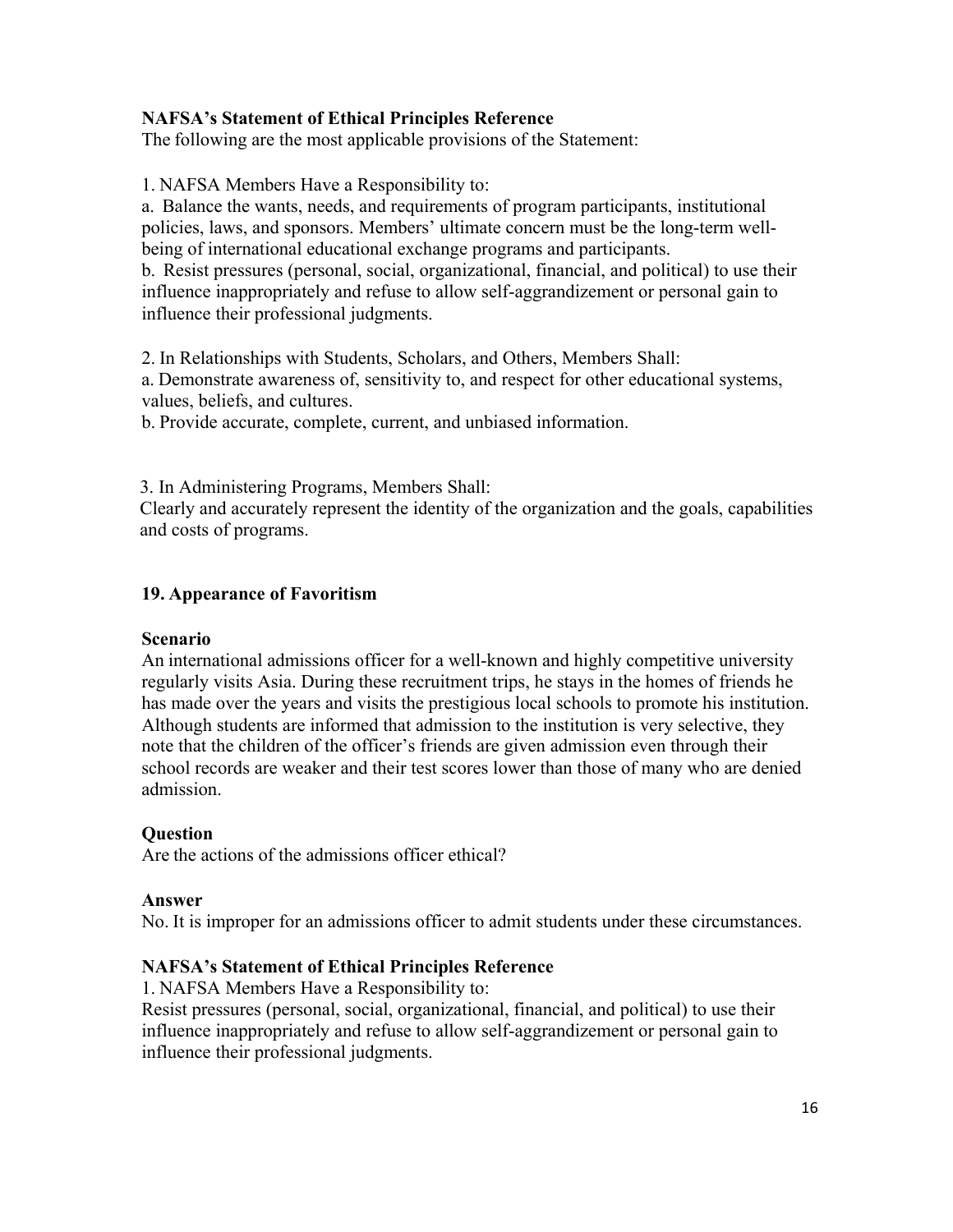## **NAFSA's Statement of Ethical Principles Reference**

The following are the most applicable provisions of the Statement:

1. NAFSA Members Have a Responsibility to:

a. Balance the wants, needs, and requirements of program participants, institutional policies, laws, and sponsors. Members' ultimate concern must be the long-term wellbeing of international educational exchange programs and participants.

b. Resist pressures (personal, social, organizational, financial, and political) to use their influence inappropriately and refuse to allow self-aggrandizement or personal gain to influence their professional judgments.

2. In Relationships with Students, Scholars, and Others, Members Shall:

a. Demonstrate awareness of, sensitivity to, and respect for other educational systems, values, beliefs, and cultures.

b. Provide accurate, complete, current, and unbiased information.

3. In Administering Programs, Members Shall:

Clearly and accurately represent the identity of the organization and the goals, capabilities and costs of programs.

## **19. Appearance of Favoritism**

#### **Scenario**

An international admissions officer for a well-known and highly competitive university regularly visits Asia. During these recruitment trips, he stays in the homes of friends he has made over the years and visits the prestigious local schools to promote his institution. Although students are informed that admission to the institution is very selective, they note that the children of the officer's friends are given admission even through their school records are weaker and their test scores lower than those of many who are denied admission.

## **Question**

Are the actions of the admissions officer ethical?

#### **Answer**

No. It is improper for an admissions officer to admit students under these circumstances.

## **NAFSA's Statement of Ethical Principles Reference**

1. NAFSA Members Have a Responsibility to:

Resist pressures (personal, social, organizational, financial, and political) to use their influence inappropriately and refuse to allow self-aggrandizement or personal gain to influence their professional judgments.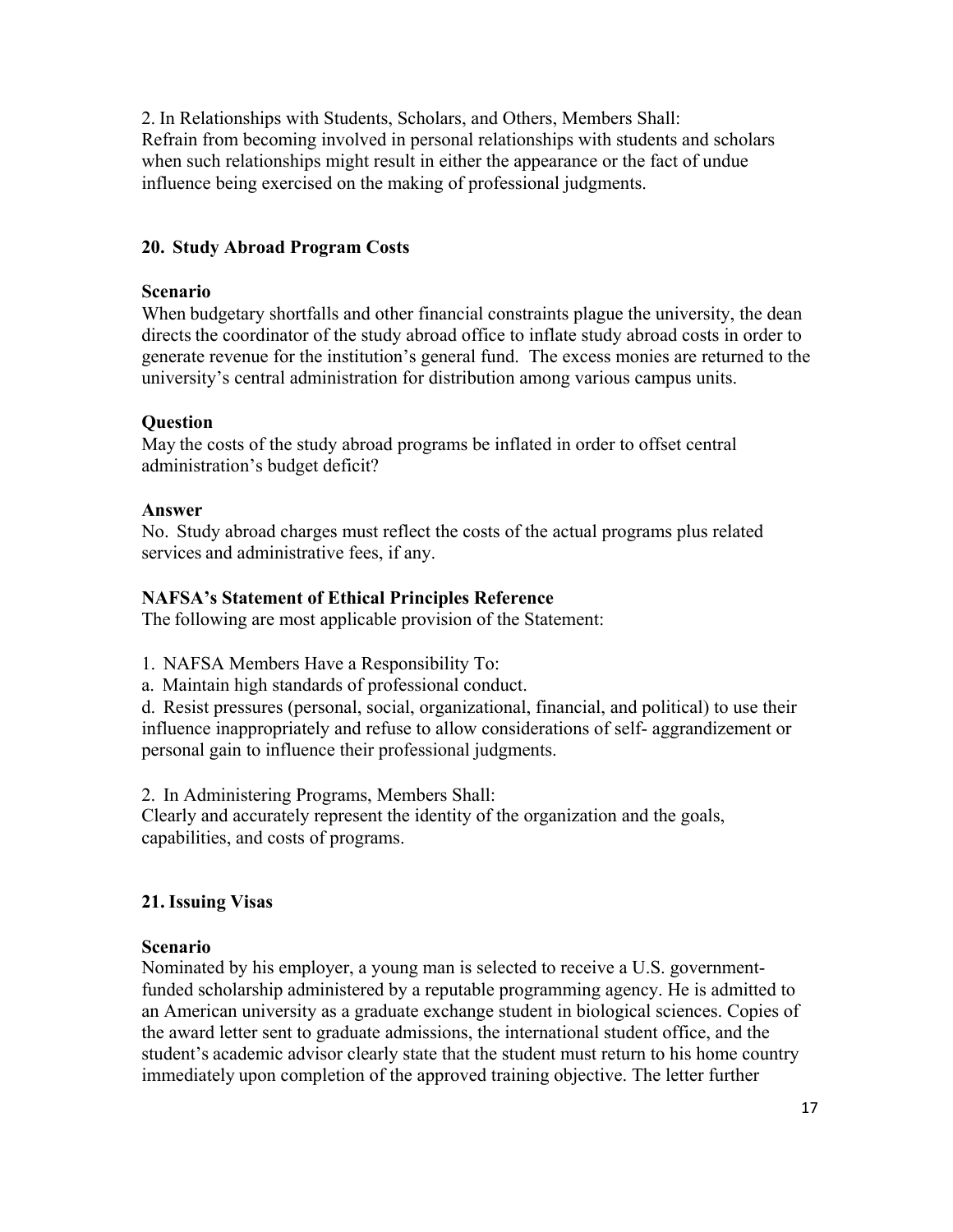2. In Relationships with Students, Scholars, and Others, Members Shall: Refrain from becoming involved in personal relationships with students and scholars when such relationships might result in either the appearance or the fact of undue influence being exercised on the making of professional judgments.

## **20. Study Abroad Program Costs**

#### **Scenario**

When budgetary shortfalls and other financial constraints plague the university, the dean directs the coordinator of the study abroad office to inflate study abroad costs in order to generate revenue for the institution's general fund. The excess monies are returned to the university's central administration for distribution among various campus units.

## **Question**

May the costs of the study abroad programs be inflated in order to offset central administration's budget deficit?

#### **Answer**

No. Study abroad charges must reflect the costs of the actual programs plus related services and administrative fees, if any.

## **NAFSA's Statement of Ethical Principles Reference**

The following are most applicable provision of the Statement:

1. NAFSA Members Have a Responsibility To:

a. Maintain high standards of professional conduct.

d. Resist pressures (personal, social, organizational, financial, and political) to use their influence inappropriately and refuse to allow considerations of self- aggrandizement or personal gain to influence their professional judgments.

2. In Administering Programs, Members Shall:

Clearly and accurately represent the identity of the organization and the goals, capabilities, and costs of programs.

## **21. Issuing Visas**

## **Scenario**

Nominated by his employer, a young man is selected to receive a U.S. governmentfunded scholarship administered by a reputable programming agency. He is admitted to an American university as a graduate exchange student in biological sciences. Copies of the award letter sent to graduate admissions, the international student office, and the student's academic advisor clearly state that the student must return to his home country immediately upon completion of the approved training objective. The letter further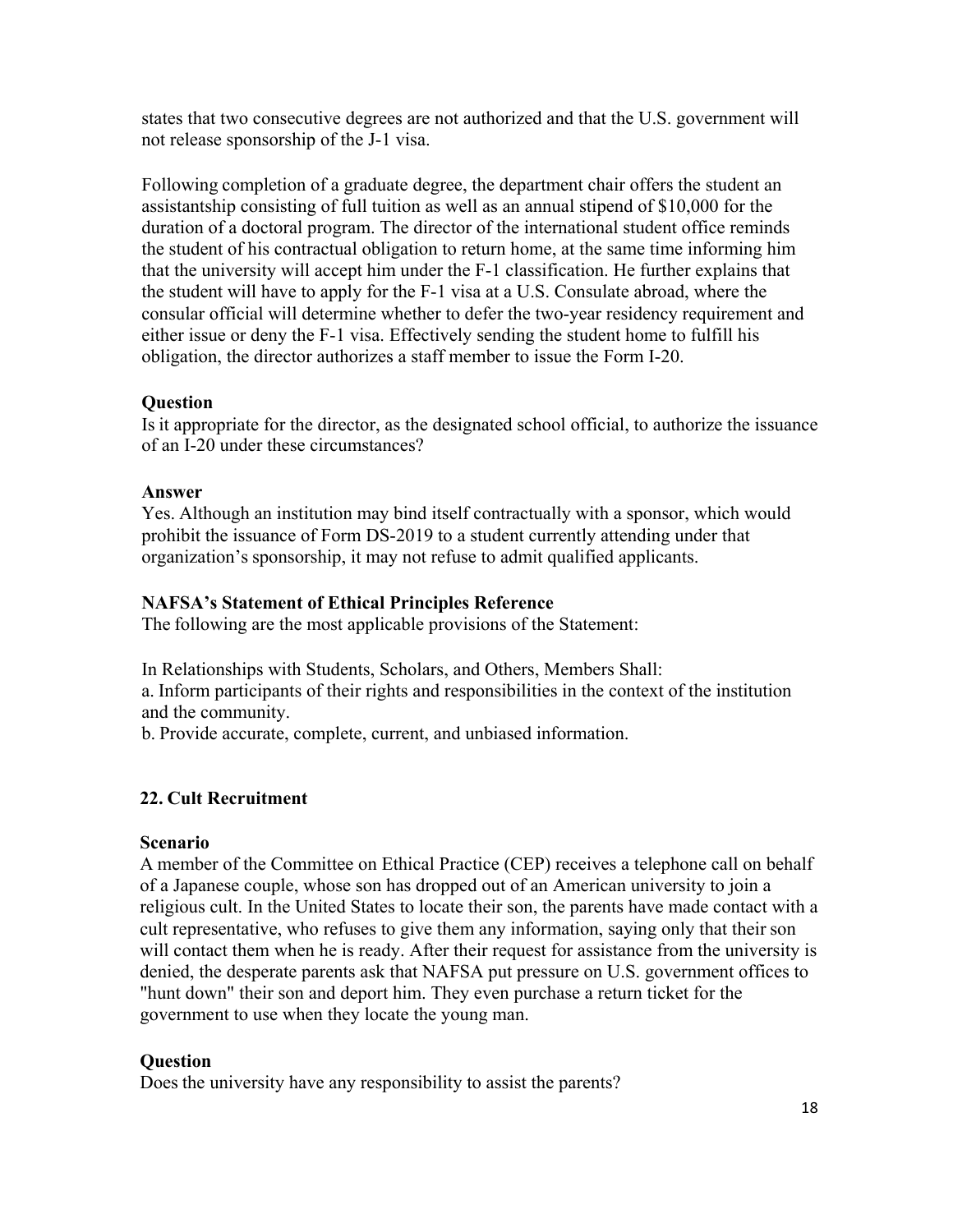states that two consecutive degrees are not authorized and that the U.S. government will not release sponsorship of the J-1 visa.

Following completion of a graduate degree, the department chair offers the student an assistantship consisting of full tuition as well as an annual stipend of \$10,000 for the duration of a doctoral program. The director of the international student office reminds the student of his contractual obligation to return home, at the same time informing him that the university will accept him under the F-1 classification. He further explains that the student will have to apply for the F-1 visa at a U.S. Consulate abroad, where the consular official will determine whether to defer the two-year residency requirement and either issue or deny the F-1 visa. Effectively sending the student home to fulfill his obligation, the director authorizes a staff member to issue the Form I-20.

## **Question**

Is it appropriate for the director, as the designated school official, to authorize the issuance of an I-20 under these circumstances?

## **Answer**

Yes. Although an institution may bind itself contractually with a sponsor, which would prohibit the issuance of Form DS-2019 to a student currently attending under that organization's sponsorship, it may not refuse to admit qualified applicants.

## **NAFSA's Statement of Ethical Principles Reference**

The following are the most applicable provisions of the Statement:

In Relationships with Students, Scholars, and Others, Members Shall: a. Inform participants of their rights and responsibilities in the context of the institution and the community.

b. Provide accurate, complete, current, and unbiased information.

# **22. Cult Recruitment**

## **Scenario**

A member of the Committee on Ethical Practice (CEP) receives a telephone call on behalf of a Japanese couple, whose son has dropped out of an American university to join a religious cult. In the United States to locate their son, the parents have made contact with a cult representative, who refuses to give them any information, saying only that their son will contact them when he is ready. After their request for assistance from the university is denied, the desperate parents ask that NAFSA put pressure on U.S. government offices to "hunt down" their son and deport him. They even purchase a return ticket for the government to use when they locate the young man.

## **Question**

Does the university have any responsibility to assist the parents?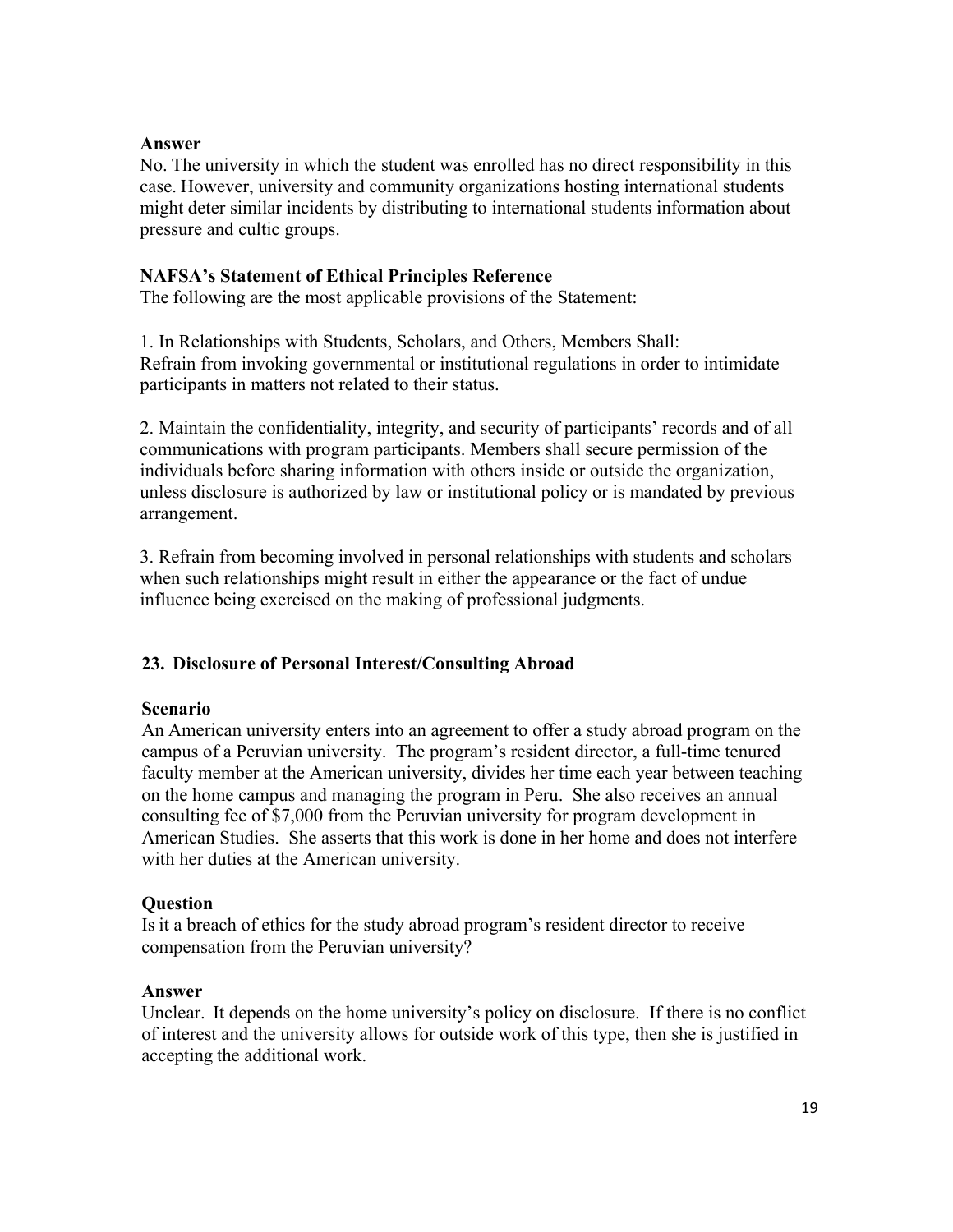#### **Answer**

No. The university in which the student was enrolled has no direct responsibility in this case. However, university and community organizations hosting international students might deter similar incidents by distributing to international students information about pressure and cultic groups.

## **NAFSA's Statement of Ethical Principles Reference**

The following are the most applicable provisions of the Statement:

1. In Relationships with Students, Scholars, and Others, Members Shall: Refrain from invoking governmental or institutional regulations in order to intimidate participants in matters not related to their status.

2. Maintain the confidentiality, integrity, and security of participants' records and of all communications with program participants. Members shall secure permission of the individuals before sharing information with others inside or outside the organization, unless disclosure is authorized by law or institutional policy or is mandated by previous arrangement.

3. Refrain from becoming involved in personal relationships with students and scholars when such relationships might result in either the appearance or the fact of undue influence being exercised on the making of professional judgments.

# **23. Disclosure of Personal Interest/Consulting Abroad**

## **Scenario**

An American university enters into an agreement to offer a study abroad program on the campus of a Peruvian university. The program's resident director, a full-time tenured faculty member at the American university, divides her time each year between teaching on the home campus and managing the program in Peru. She also receives an annual consulting fee of \$7,000 from the Peruvian university for program development in American Studies. She asserts that this work is done in her home and does not interfere with her duties at the American university.

## **Question**

Is it a breach of ethics for the study abroad program's resident director to receive compensation from the Peruvian university?

## **Answer**

Unclear. It depends on the home university's policy on disclosure. If there is no conflict of interest and the university allows for outside work of this type, then she is justified in accepting the additional work.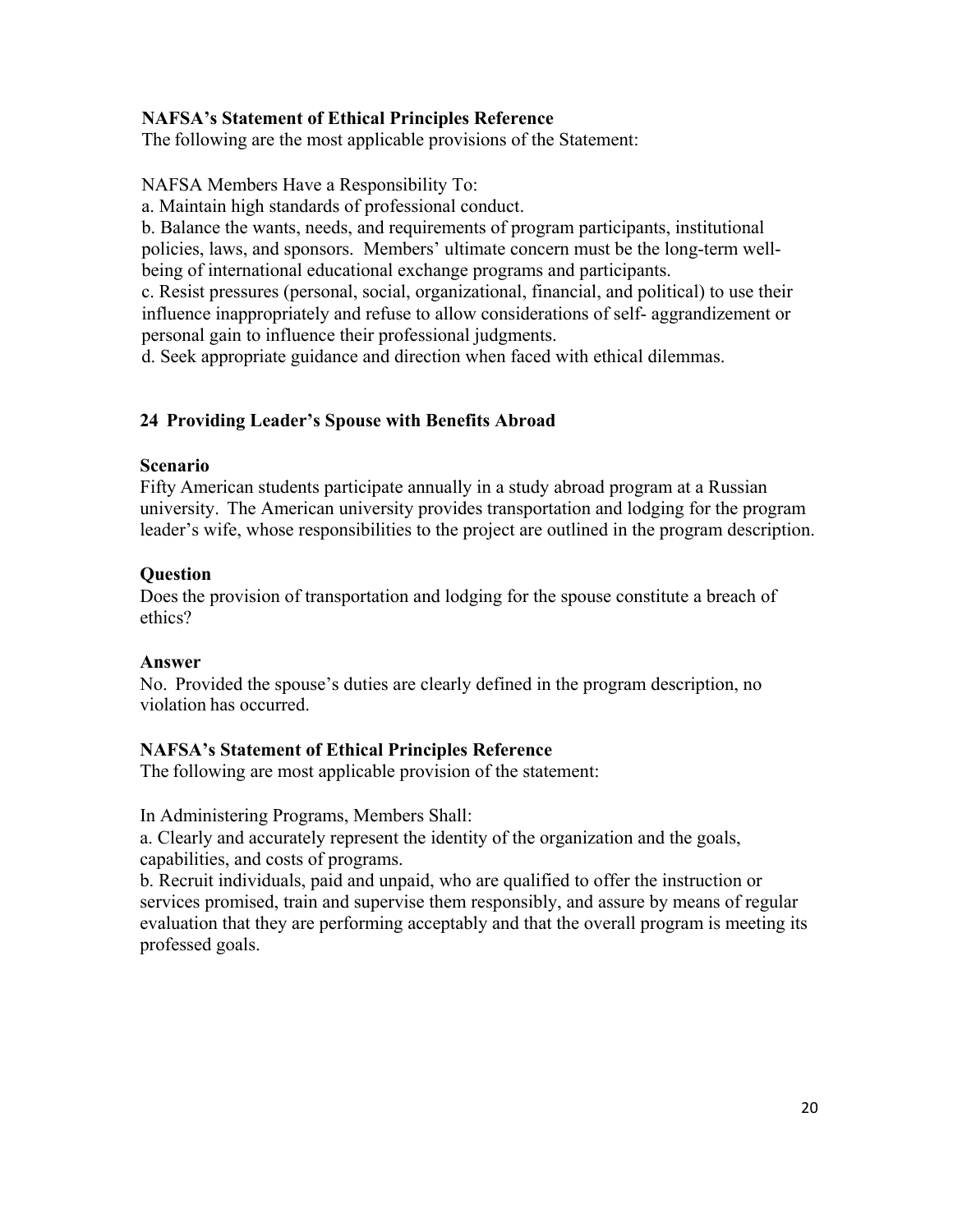# **NAFSA's Statement of Ethical Principles Reference**

The following are the most applicable provisions of the Statement:

NAFSA Members Have a Responsibility To:

a. Maintain high standards of professional conduct.

b. Balance the wants, needs, and requirements of program participants, institutional policies, laws, and sponsors. Members' ultimate concern must be the long-term wellbeing of international educational exchange programs and participants.

c. Resist pressures (personal, social, organizational, financial, and political) to use their influence inappropriately and refuse to allow considerations of self- aggrandizement or personal gain to influence their professional judgments.

d. Seek appropriate guidance and direction when faced with ethical dilemmas.

## **24 Providing Leader's Spouse with Benefits Abroad**

#### **Scenario**

Fifty American students participate annually in a study abroad program at a Russian university. The American university provides transportation and lodging for the program leader's wife, whose responsibilities to the project are outlined in the program description.

## **Question**

Does the provision of transportation and lodging for the spouse constitute a breach of ethics?

## **Answer**

No. Provided the spouse's duties are clearly defined in the program description, no violation has occurred.

## **NAFSA's Statement of Ethical Principles Reference**

The following are most applicable provision of the statement:

In Administering Programs, Members Shall:

a. Clearly and accurately represent the identity of the organization and the goals, capabilities, and costs of programs.

b. Recruit individuals, paid and unpaid, who are qualified to offer the instruction or services promised, train and supervise them responsibly, and assure by means of regular evaluation that they are performing acceptably and that the overall program is meeting its professed goals.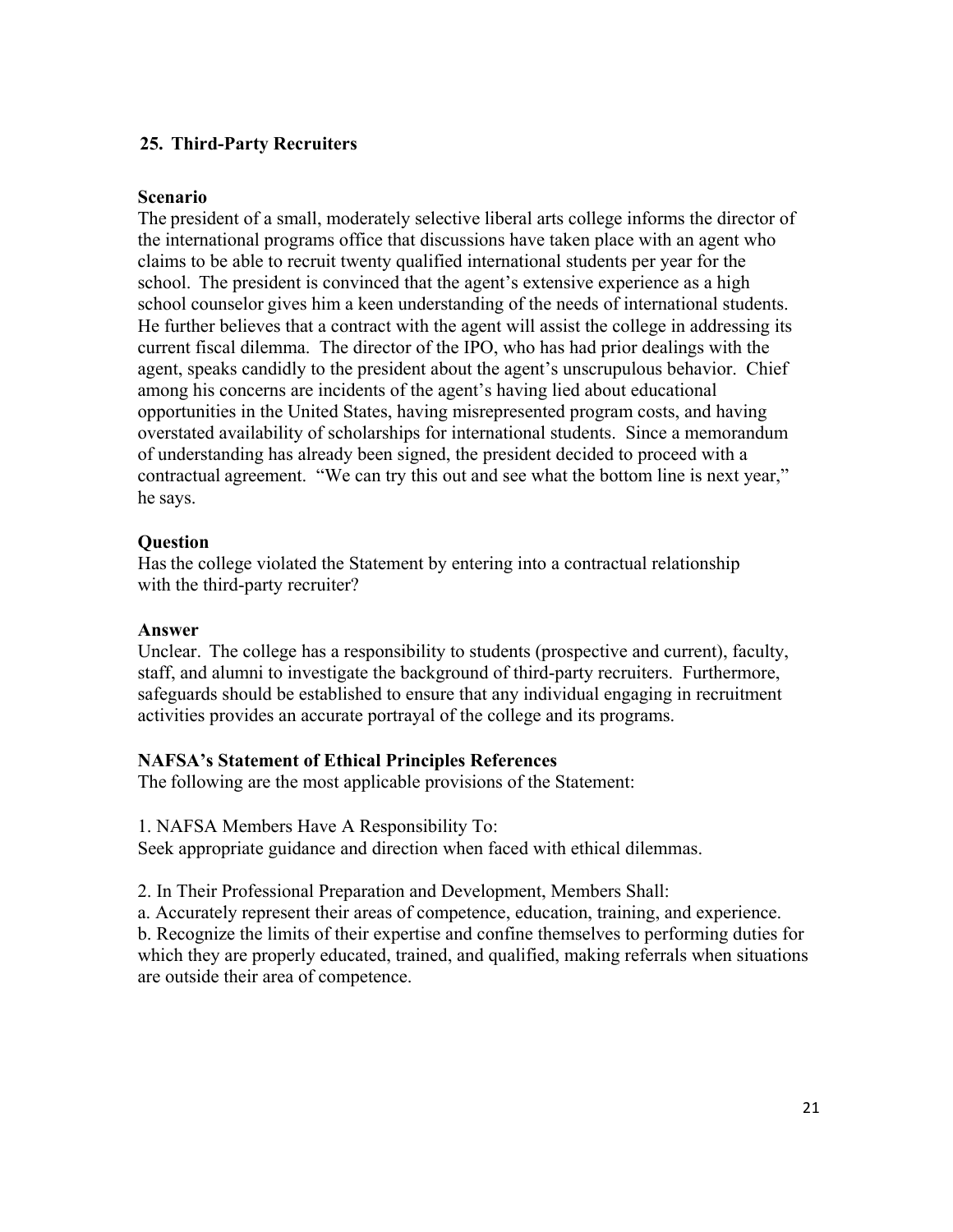# **25. Third-Party Recruiters**

#### **Scenario**

The president of a small, moderately selective liberal arts college informs the director of the international programs office that discussions have taken place with an agent who claims to be able to recruit twenty qualified international students per year for the school. The president is convinced that the agent's extensive experience as a high school counselor gives him a keen understanding of the needs of international students. He further believes that a contract with the agent will assist the college in addressing its current fiscal dilemma. The director of the IPO, who has had prior dealings with the agent, speaks candidly to the president about the agent's unscrupulous behavior. Chief among his concerns are incidents of the agent's having lied about educational opportunities in the United States, having misrepresented program costs, and having overstated availability of scholarships for international students. Since a memorandum of understanding has already been signed, the president decided to proceed with a contractual agreement. "We can try this out and see what the bottom line is next year," he says.

## **Question**

Has the college violated the Statement by entering into a contractual relationship with the third-party recruiter?

#### **Answer**

Unclear. The college has a responsibility to students (prospective and current), faculty, staff, and alumni to investigate the background of third-party recruiters. Furthermore, safeguards should be established to ensure that any individual engaging in recruitment activities provides an accurate portrayal of the college and its programs.

## **NAFSA's Statement of Ethical Principles References**

The following are the most applicable provisions of the Statement:

1. NAFSA Members Have A Responsibility To:

Seek appropriate guidance and direction when faced with ethical dilemmas.

2. In Their Professional Preparation and Development, Members Shall:

a. Accurately represent their areas of competence, education, training, and experience.

b. Recognize the limits of their expertise and confine themselves to performing duties for which they are properly educated, trained, and qualified, making referrals when situations are outside their area of competence.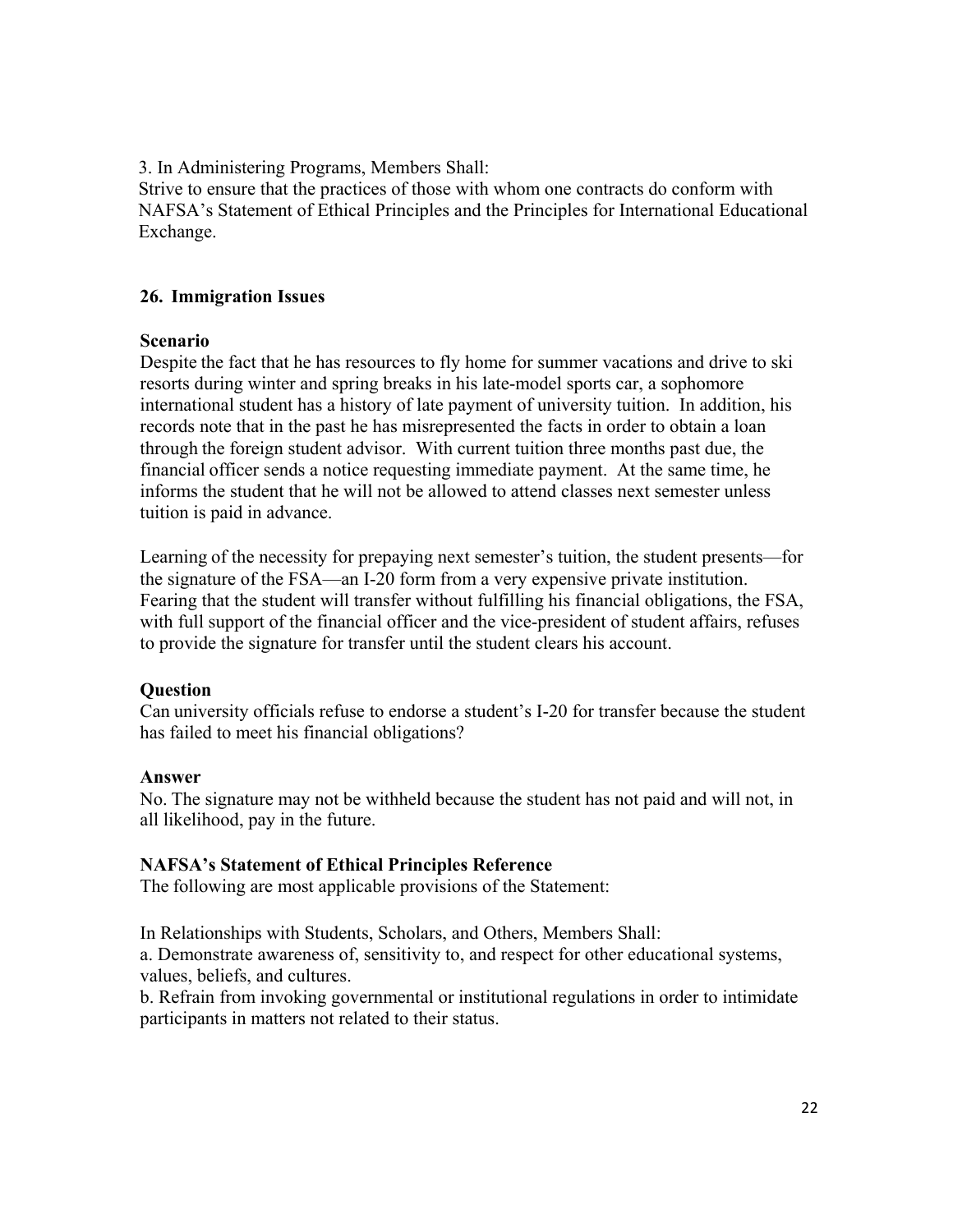3. In Administering Programs, Members Shall:

Strive to ensure that the practices of those with whom one contracts do conform with NAFSA's Statement of Ethical Principles and the Principles for International Educational Exchange.

## **26. Immigration Issues**

#### **Scenario**

Despite the fact that he has resources to fly home for summer vacations and drive to ski resorts during winter and spring breaks in his late-model sports car, a sophomore international student has a history of late payment of university tuition. In addition, his records note that in the past he has misrepresented the facts in order to obtain a loan through the foreign student advisor. With current tuition three months past due, the financial officer sends a notice requesting immediate payment. At the same time, he informs the student that he will not be allowed to attend classes next semester unless tuition is paid in advance.

Learning of the necessity for prepaying next semester's tuition, the student presents—for the signature of the FSA—an I-20 form from a very expensive private institution. Fearing that the student will transfer without fulfilling his financial obligations, the FSA, with full support of the financial officer and the vice-president of student affairs, refuses to provide the signature for transfer until the student clears his account.

## **Question**

Can university officials refuse to endorse a student's I-20 for transfer because the student has failed to meet his financial obligations?

## **Answer**

No. The signature may not be withheld because the student has not paid and will not, in all likelihood, pay in the future.

## **NAFSA's Statement of Ethical Principles Reference**

The following are most applicable provisions of the Statement:

In Relationships with Students, Scholars, and Others, Members Shall:

a. Demonstrate awareness of, sensitivity to, and respect for other educational systems, values, beliefs, and cultures.

b. Refrain from invoking governmental or institutional regulations in order to intimidate participants in matters not related to their status.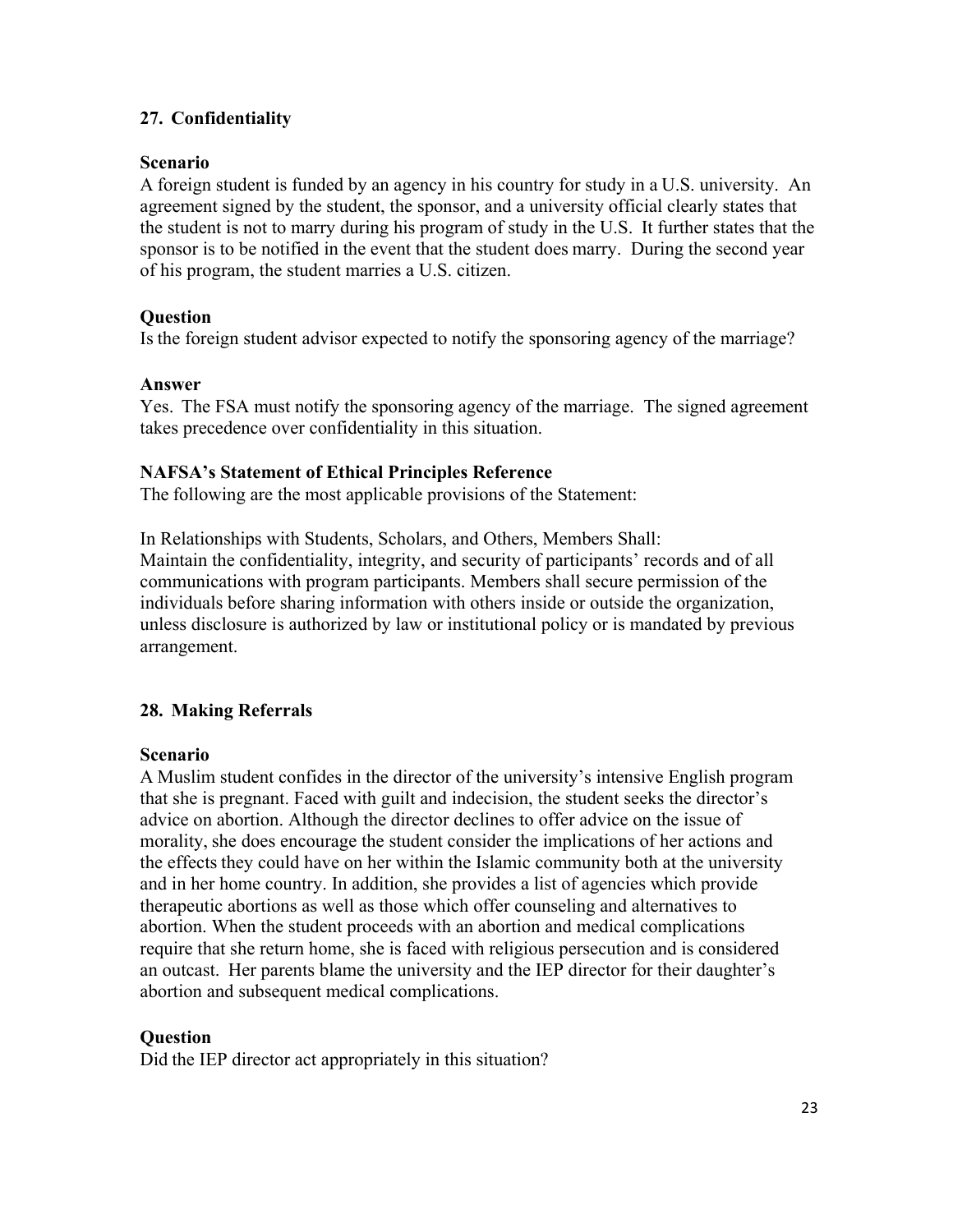# **27. Confidentiality**

## **Scenario**

A foreign student is funded by an agency in his country for study in a U.S. university. An agreement signed by the student, the sponsor, and a university official clearly states that the student is not to marry during his program of study in the U.S. It further states that the sponsor is to be notified in the event that the student does marry. During the second year of his program, the student marries a U.S. citizen.

## **Question**

Is the foreign student advisor expected to notify the sponsoring agency of the marriage?

## **Answer**

Yes. The FSA must notify the sponsoring agency of the marriage. The signed agreement takes precedence over confidentiality in this situation.

## **NAFSA's Statement of Ethical Principles Reference**

The following are the most applicable provisions of the Statement:

In Relationships with Students, Scholars, and Others, Members Shall: Maintain the confidentiality, integrity, and security of participants' records and of all communications with program participants. Members shall secure permission of the individuals before sharing information with others inside or outside the organization, unless disclosure is authorized by law or institutional policy or is mandated by previous arrangement.

# **28. Making Referrals**

## **Scenario**

A Muslim student confides in the director of the university's intensive English program that she is pregnant. Faced with guilt and indecision, the student seeks the director's advice on abortion. Although the director declines to offer advice on the issue of morality, she does encourage the student consider the implications of her actions and the effects they could have on her within the Islamic community both at the university and in her home country. In addition, she provides a list of agencies which provide therapeutic abortions as well as those which offer counseling and alternatives to abortion. When the student proceeds with an abortion and medical complications require that she return home, she is faced with religious persecution and is considered an outcast. Her parents blame the university and the IEP director for their daughter's abortion and subsequent medical complications.

# **Question**

Did the IEP director act appropriately in this situation?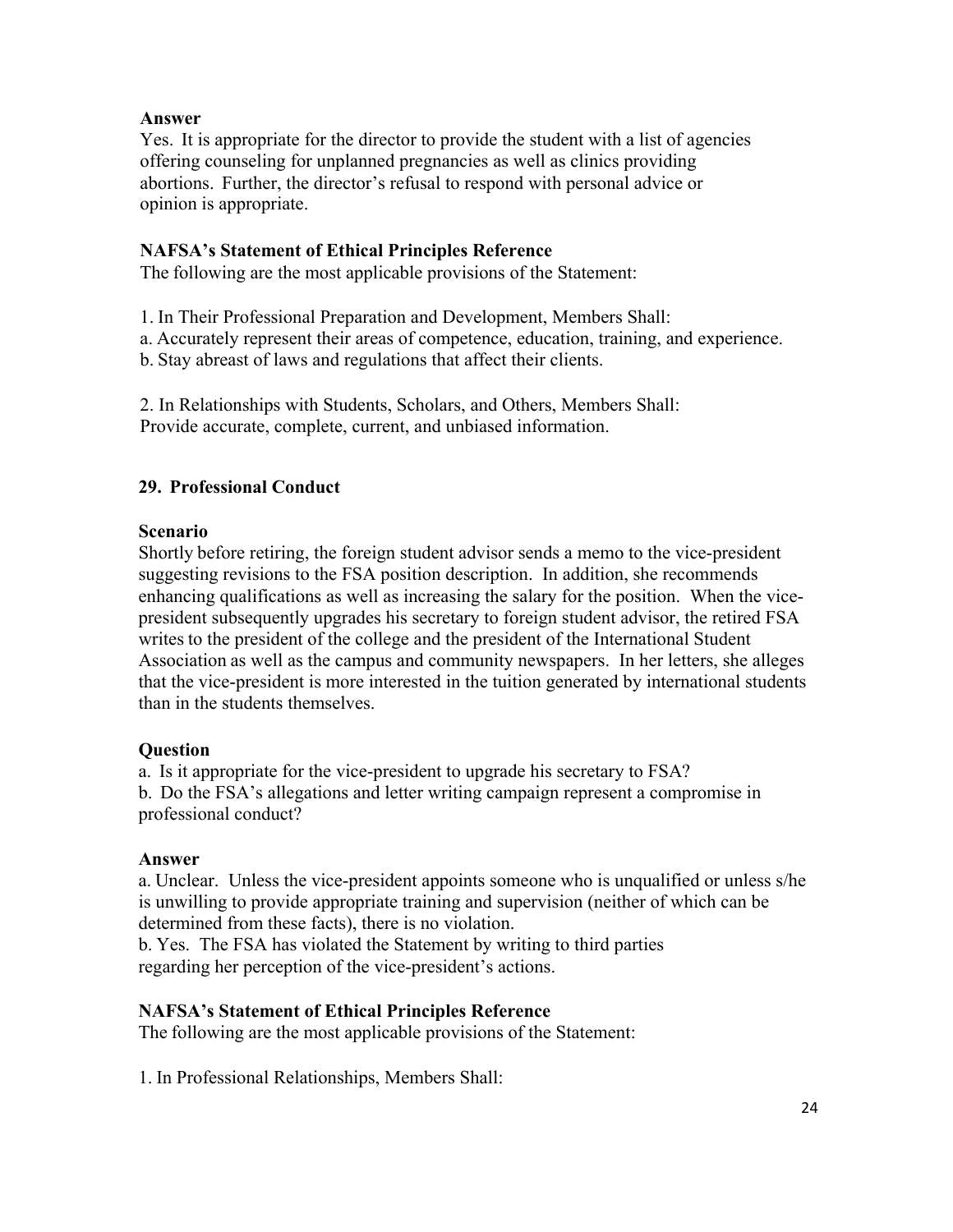## **Answer**

Yes. It is appropriate for the director to provide the student with a list of agencies offering counseling for unplanned pregnancies as well as clinics providing abortions. Further, the director's refusal to respond with personal advice or opinion is appropriate.

# **NAFSA's Statement of Ethical Principles Reference**

The following are the most applicable provisions of the Statement:

1. In Their Professional Preparation and Development, Members Shall:

a. Accurately represent their areas of competence, education, training, and experience.

b. Stay abreast of laws and regulations that affect their clients.

2. In Relationships with Students, Scholars, and Others, Members Shall: Provide accurate, complete, current, and unbiased information.

## **29. Professional Conduct**

## **Scenario**

Shortly before retiring, the foreign student advisor sends a memo to the vice-president suggesting revisions to the FSA position description. In addition, she recommends enhancing qualifications as well as increasing the salary for the position. When the vicepresident subsequently upgrades his secretary to foreign student advisor, the retired FSA writes to the president of the college and the president of the International Student Association as well as the campus and community newspapers. In her letters, she alleges that the vice-president is more interested in the tuition generated by international students than in the students themselves.

## **Question**

a. Is it appropriate for the vice-president to upgrade his secretary to FSA? b. Do the FSA's allegations and letter writing campaign represent a compromise in professional conduct?

## **Answer**

a. Unclear. Unless the vice-president appoints someone who is unqualified or unless s/he is unwilling to provide appropriate training and supervision (neither of which can be determined from these facts), there is no violation.

b. Yes. The FSA has violated the Statement by writing to third parties regarding her perception of the vice-president's actions.

## **NAFSA's Statement of Ethical Principles Reference**

The following are the most applicable provisions of the Statement:

1. In Professional Relationships, Members Shall: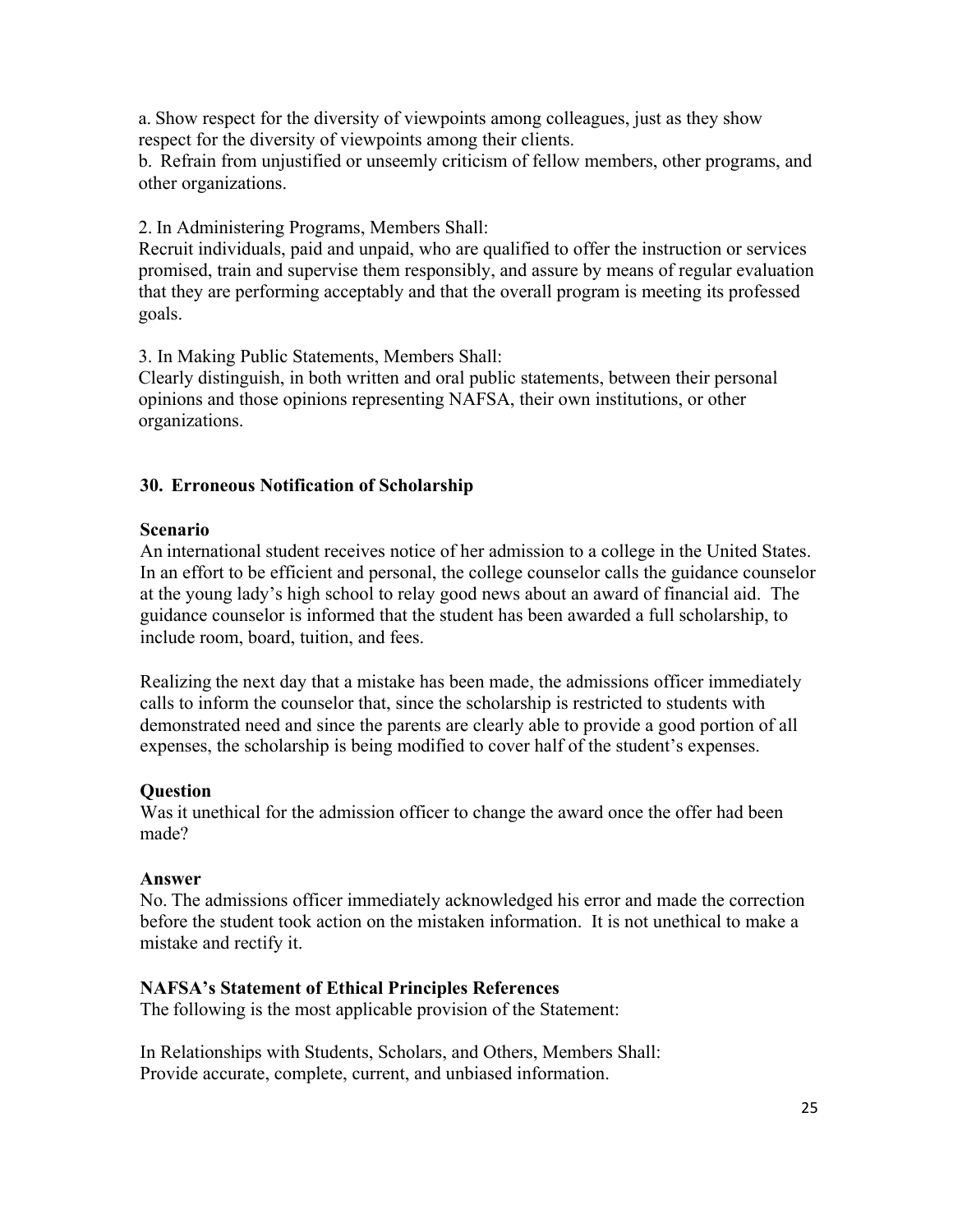a. Show respect for the diversity of viewpoints among colleagues, just as they show respect for the diversity of viewpoints among their clients.

b. Refrain from unjustified or unseemly criticism of fellow members, other programs, and other organizations.

2. In Administering Programs, Members Shall:

Recruit individuals, paid and unpaid, who are qualified to offer the instruction or services promised, train and supervise them responsibly, and assure by means of regular evaluation that they are performing acceptably and that the overall program is meeting its professed goals.

3. In Making Public Statements, Members Shall:

Clearly distinguish, in both written and oral public statements, between their personal opinions and those opinions representing NAFSA, their own institutions, or other organizations.

## **30. Erroneous Notification of Scholarship**

#### **Scenario**

An international student receives notice of her admission to a college in the United States. In an effort to be efficient and personal, the college counselor calls the guidance counselor at the young lady's high school to relay good news about an award of financial aid. The guidance counselor is informed that the student has been awarded a full scholarship, to include room, board, tuition, and fees.

Realizing the next day that a mistake has been made, the admissions officer immediately calls to inform the counselor that, since the scholarship is restricted to students with demonstrated need and since the parents are clearly able to provide a good portion of all expenses, the scholarship is being modified to cover half of the student's expenses.

#### **Question**

Was it unethical for the admission officer to change the award once the offer had been made?

#### **Answer**

No. The admissions officer immediately acknowledged his error and made the correction before the student took action on the mistaken information. It is not unethical to make a mistake and rectify it.

#### **NAFSA's Statement of Ethical Principles References**

The following is the most applicable provision of the Statement:

In Relationships with Students, Scholars, and Others, Members Shall: Provide accurate, complete, current, and unbiased information.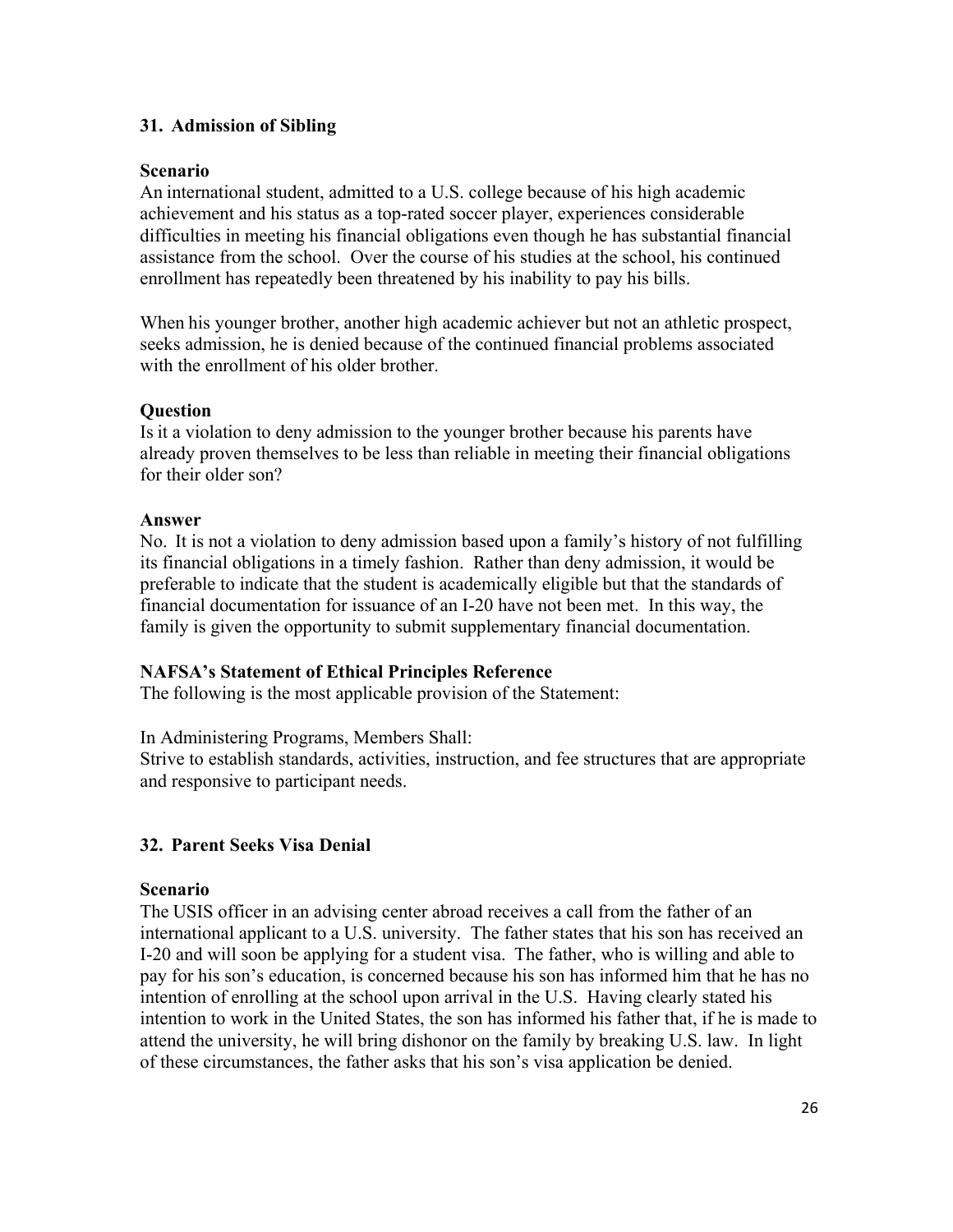# **31. Admission of Sibling**

## **Scenario**

An international student, admitted to a U.S. college because of his high academic achievement and his status as a top-rated soccer player, experiences considerable difficulties in meeting his financial obligations even though he has substantial financial assistance from the school. Over the course of his studies at the school, his continued enrollment has repeatedly been threatened by his inability to pay his bills.

When his younger brother, another high academic achiever but not an athletic prospect, seeks admission, he is denied because of the continued financial problems associated with the enrollment of his older brother.

## **Question**

Is it a violation to deny admission to the younger brother because his parents have already proven themselves to be less than reliable in meeting their financial obligations for their older son?

#### **Answer**

No. It is not a violation to deny admission based upon a family's history of not fulfilling its financial obligations in a timely fashion. Rather than deny admission, it would be preferable to indicate that the student is academically eligible but that the standards of financial documentation for issuance of an I-20 have not been met. In this way, the family is given the opportunity to submit supplementary financial documentation.

## **NAFSA's Statement of Ethical Principles Reference**

The following is the most applicable provision of the Statement:

In Administering Programs, Members Shall:

Strive to establish standards, activities, instruction, and fee structures that are appropriate and responsive to participant needs.

## **32. Parent Seeks Visa Denial**

## **Scenario**

The USIS officer in an advising center abroad receives a call from the father of an international applicant to a U.S. university. The father states that his son has received an I-20 and will soon be applying for a student visa. The father, who is willing and able to pay for his son's education, is concerned because his son has informed him that he has no intention of enrolling at the school upon arrival in the U.S. Having clearly stated his intention to work in the United States, the son has informed his father that, if he is made to attend the university, he will bring dishonor on the family by breaking U.S. law. In light of these circumstances, the father asks that his son's visa application be denied.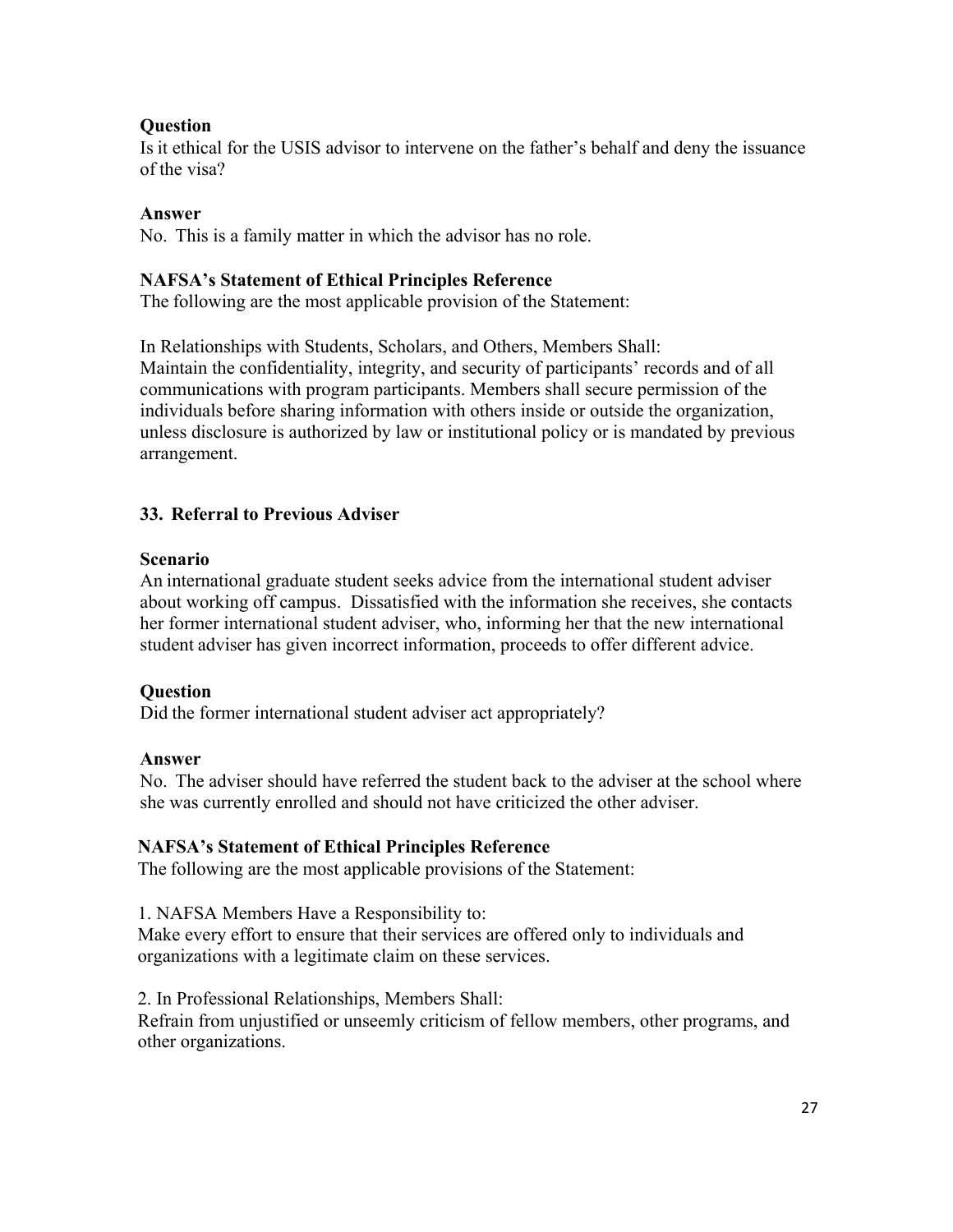# **Question**

Is it ethical for the USIS advisor to intervene on the father's behalf and deny the issuance of the visa?

# **Answer**

No. This is a family matter in which the advisor has no role.

# **NAFSA's Statement of Ethical Principles Reference**

The following are the most applicable provision of the Statement:

In Relationships with Students, Scholars, and Others, Members Shall: Maintain the confidentiality, integrity, and security of participants' records and of all communications with program participants. Members shall secure permission of the individuals before sharing information with others inside or outside the organization, unless disclosure is authorized by law or institutional policy or is mandated by previous arrangement.

# **33. Referral to Previous Adviser**

# **Scenario**

An international graduate student seeks advice from the international student adviser about working off campus. Dissatisfied with the information she receives, she contacts her former international student adviser, who, informing her that the new international student adviser has given incorrect information, proceeds to offer different advice.

# **Question**

Did the former international student adviser act appropriately?

# **Answer**

No. The adviser should have referred the student back to the adviser at the school where she was currently enrolled and should not have criticized the other adviser.

# **NAFSA's Statement of Ethical Principles Reference**

The following are the most applicable provisions of the Statement:

1. NAFSA Members Have a Responsibility to:

Make every effort to ensure that their services are offered only to individuals and organizations with a legitimate claim on these services.

2. In Professional Relationships, Members Shall:

Refrain from unjustified or unseemly criticism of fellow members, other programs, and other organizations.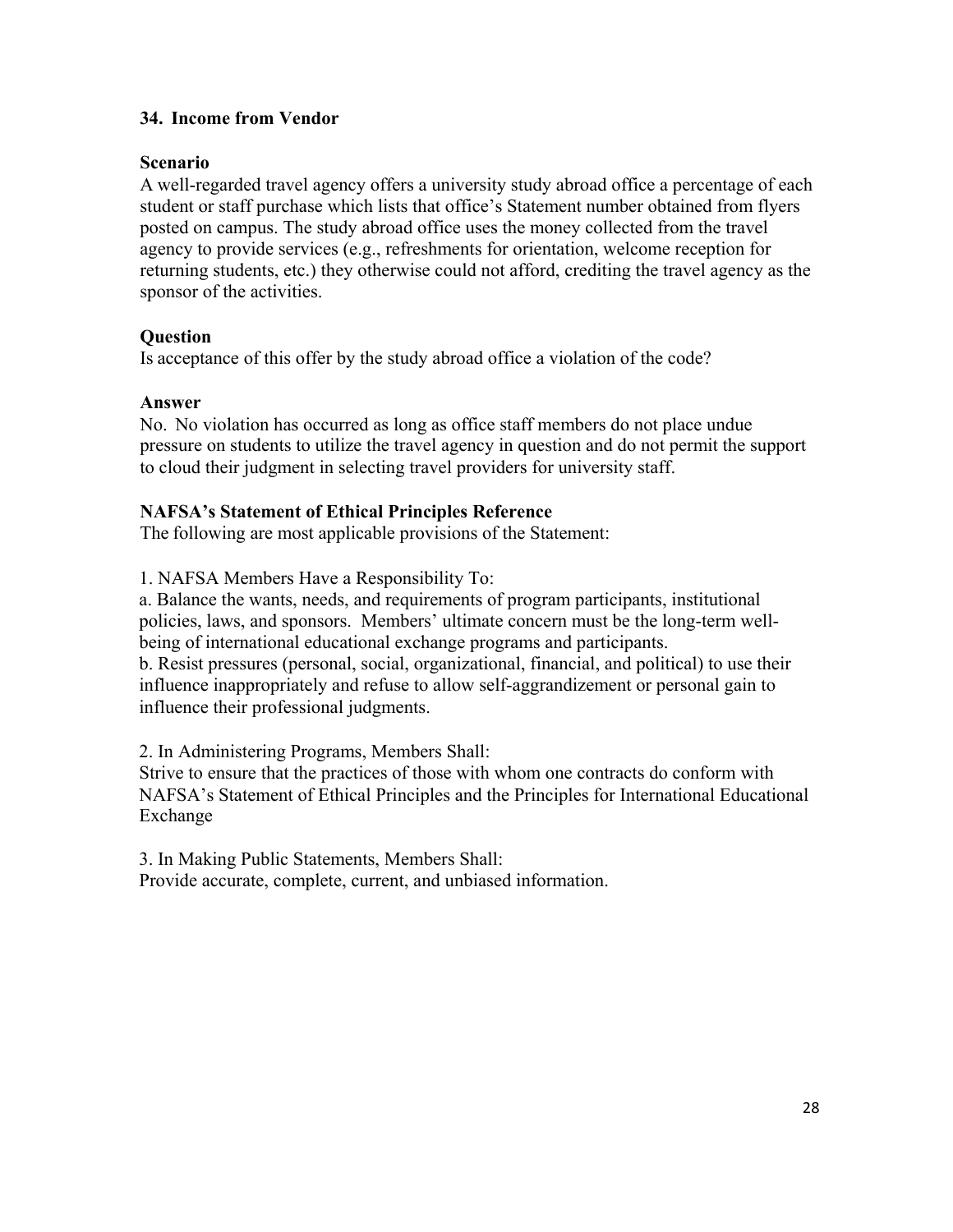# **34. Income from Vendor**

## **Scenario**

A well-regarded travel agency offers a university study abroad office a percentage of each student or staff purchase which lists that office's Statement number obtained from flyers posted on campus. The study abroad office uses the money collected from the travel agency to provide services (e.g., refreshments for orientation, welcome reception for returning students, etc.) they otherwise could not afford, crediting the travel agency as the sponsor of the activities.

## **Question**

Is acceptance of this offer by the study abroad office a violation of the code?

## **Answer**

No. No violation has occurred as long as office staff members do not place undue pressure on students to utilize the travel agency in question and do not permit the support to cloud their judgment in selecting travel providers for university staff.

## **NAFSA's Statement of Ethical Principles Reference**

The following are most applicable provisions of the Statement:

1. NAFSA Members Have a Responsibility To:

a. Balance the wants, needs, and requirements of program participants, institutional policies, laws, and sponsors. Members' ultimate concern must be the long-term wellbeing of international educational exchange programs and participants.

b. Resist pressures (personal, social, organizational, financial, and political) to use their influence inappropriately and refuse to allow self-aggrandizement or personal gain to influence their professional judgments.

2. In Administering Programs, Members Shall:

Strive to ensure that the practices of those with whom one contracts do conform with NAFSA's Statement of Ethical Principles and the Principles for International Educational Exchange

3. In Making Public Statements, Members Shall: Provide accurate, complete, current, and unbiased information.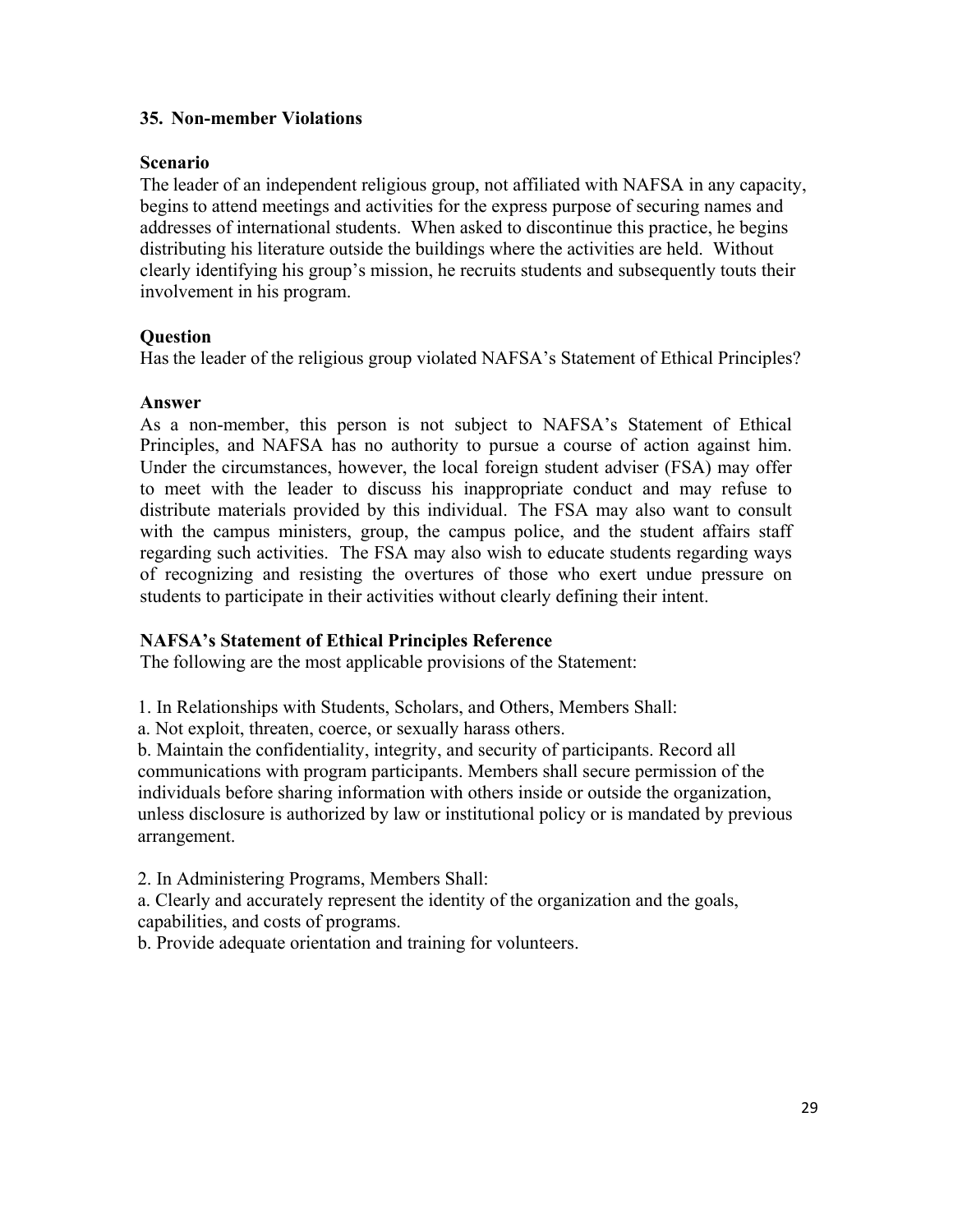## **35. Non-member Violations**

## **Scenario**

The leader of an independent religious group, not affiliated with NAFSA in any capacity, begins to attend meetings and activities for the express purpose of securing names and addresses of international students. When asked to discontinue this practice, he begins distributing his literature outside the buildings where the activities are held. Without clearly identifying his group's mission, he recruits students and subsequently touts their involvement in his program.

## **Question**

Has the leader of the religious group violated NAFSA's Statement of Ethical Principles?

## **Answer**

As a non-member, this person is not subject to NAFSA's Statement of Ethical Principles, and NAFSA has no authority to pursue a course of action against him. Under the circumstances, however, the local foreign student adviser (FSA) may offer to meet with the leader to discuss his inappropriate conduct and may refuse to distribute materials provided by this individual. The FSA may also want to consult with the campus ministers, group, the campus police, and the student affairs staff regarding such activities. The FSA may also wish to educate students regarding ways of recognizing and resisting the overtures of those who exert undue pressure on students to participate in their activities without clearly defining their intent.

# **NAFSA's Statement of Ethical Principles Reference**

The following are the most applicable provisions of the Statement:

1. In Relationships with Students, Scholars, and Others, Members Shall:

a. Not exploit, threaten, coerce, or sexually harass others.

b. Maintain the confidentiality, integrity, and security of participants. Record all communications with program participants. Members shall secure permission of the individuals before sharing information with others inside or outside the organization, unless disclosure is authorized by law or institutional policy or is mandated by previous arrangement.

2. In Administering Programs, Members Shall:

a. Clearly and accurately represent the identity of the organization and the goals, capabilities, and costs of programs.

b. Provide adequate orientation and training for volunteers.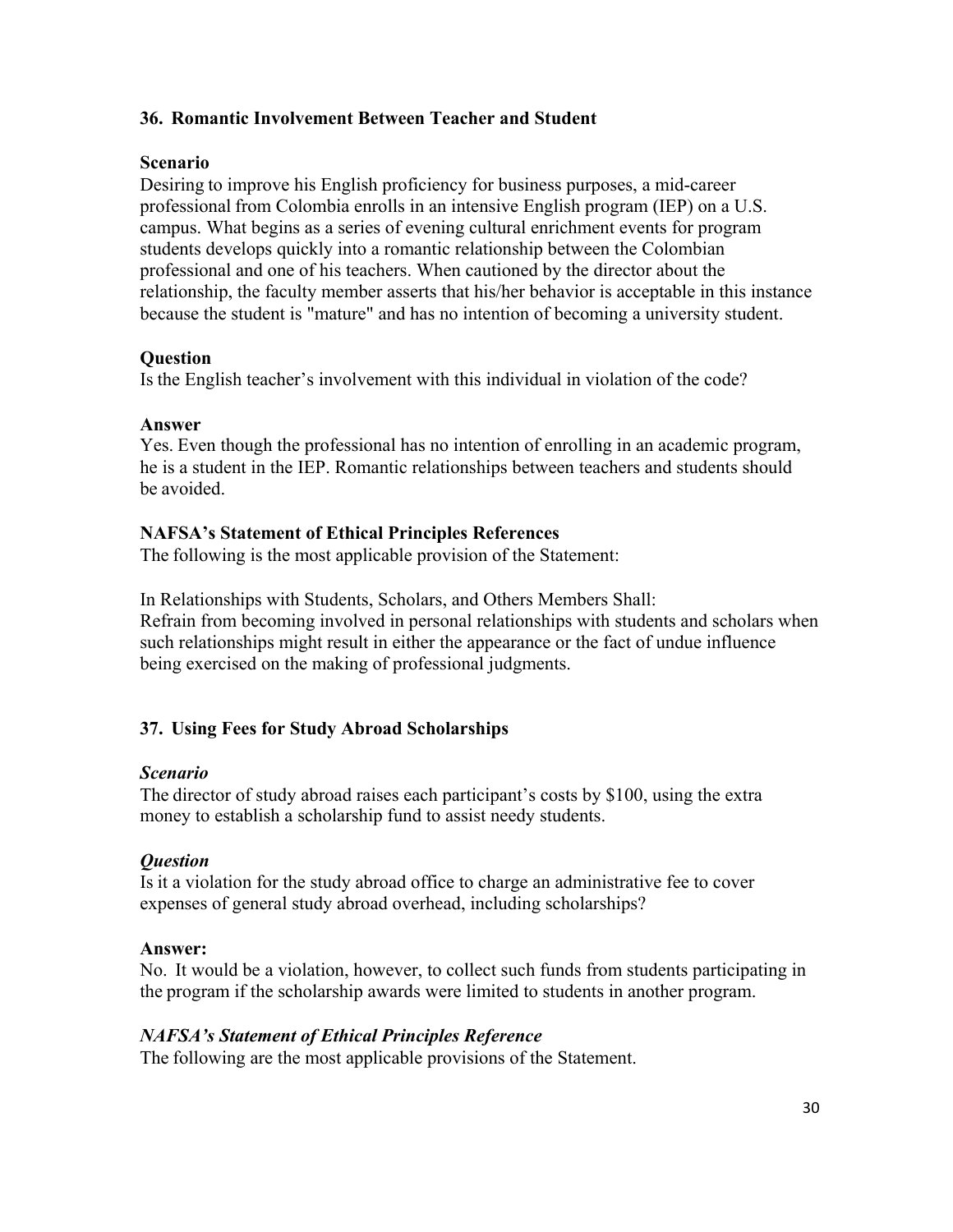# **36. Romantic Involvement Between Teacher and Student**

## **Scenario**

Desiring to improve his English proficiency for business purposes, a mid-career professional from Colombia enrolls in an intensive English program (IEP) on a U.S. campus. What begins as a series of evening cultural enrichment events for program students develops quickly into a romantic relationship between the Colombian professional and one of his teachers. When cautioned by the director about the relationship, the faculty member asserts that his/her behavior is acceptable in this instance because the student is "mature" and has no intention of becoming a university student.

# **Question**

Is the English teacher's involvement with this individual in violation of the code?

## **Answer**

Yes. Even though the professional has no intention of enrolling in an academic program, he is a student in the IEP. Romantic relationships between teachers and students should be avoided.

# **NAFSA's Statement of Ethical Principles References**

The following is the most applicable provision of the Statement:

In Relationships with Students, Scholars, and Others Members Shall: Refrain from becoming involved in personal relationships with students and scholars when such relationships might result in either the appearance or the fact of undue influence being exercised on the making of professional judgments.

# **37. Using Fees for Study Abroad Scholarships**

# *Scenario*

The director of study abroad raises each participant's costs by \$100, using the extra money to establish a scholarship fund to assist needy students.

# *Question*

Is it a violation for the study abroad office to charge an administrative fee to cover expenses of general study abroad overhead, including scholarships?

# **Answer:**

No. It would be a violation, however, to collect such funds from students participating in the program if the scholarship awards were limited to students in another program.

# *NAFSA's Statement of Ethical Principles Reference*

The following are the most applicable provisions of the Statement.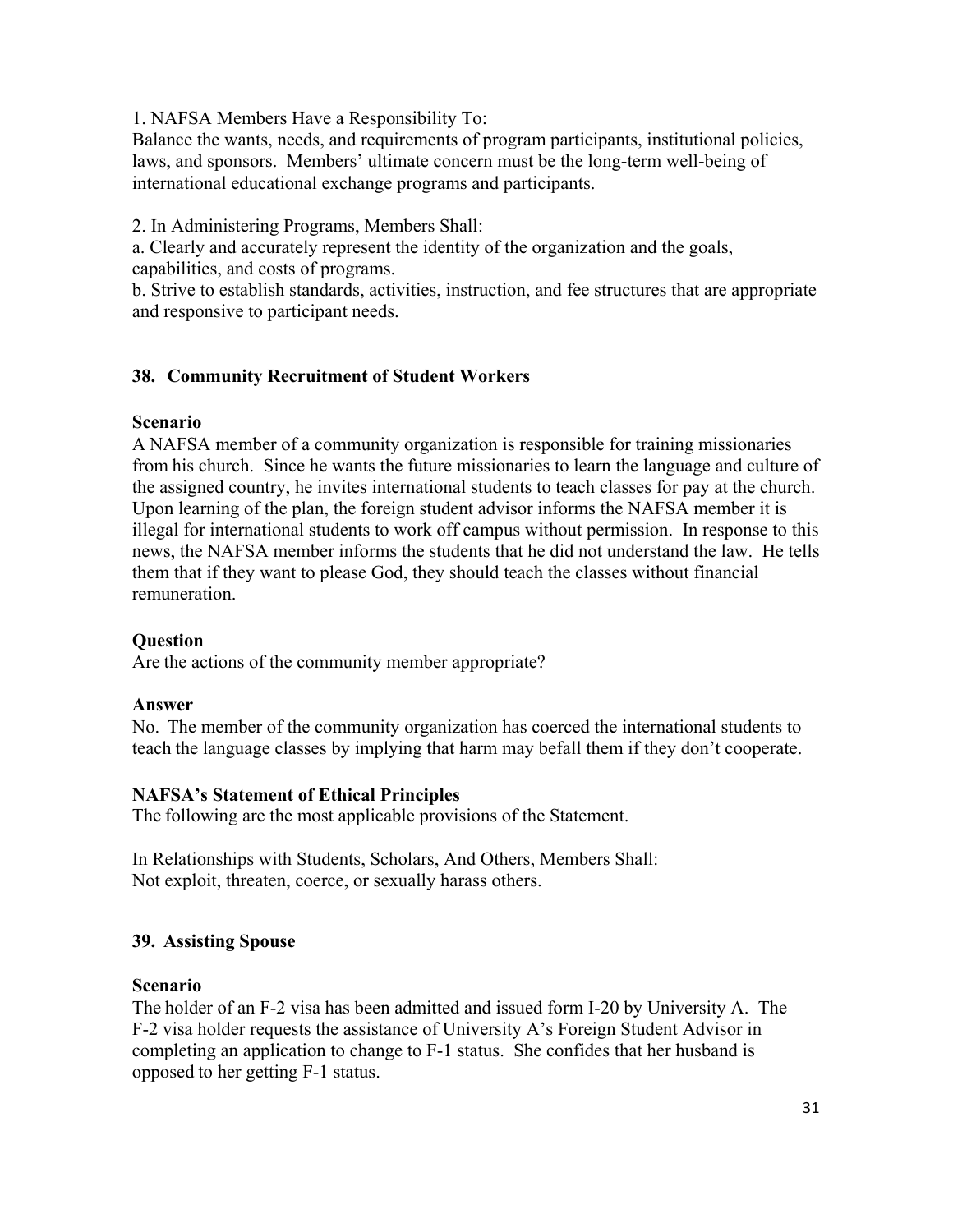1. NAFSA Members Have a Responsibility To:

Balance the wants, needs, and requirements of program participants, institutional policies, laws, and sponsors. Members' ultimate concern must be the long-term well-being of international educational exchange programs and participants.

2. In Administering Programs, Members Shall:

a. Clearly and accurately represent the identity of the organization and the goals, capabilities, and costs of programs.

b. Strive to establish standards, activities, instruction, and fee structures that are appropriate and responsive to participant needs.

# **38. Community Recruitment of Student Workers**

## **Scenario**

A NAFSA member of a community organization is responsible for training missionaries from his church. Since he wants the future missionaries to learn the language and culture of the assigned country, he invites international students to teach classes for pay at the church. Upon learning of the plan, the foreign student advisor informs the NAFSA member it is illegal for international students to work off campus without permission. In response to this news, the NAFSA member informs the students that he did not understand the law. He tells them that if they want to please God, they should teach the classes without financial remuneration.

# **Question**

Are the actions of the community member appropriate?

# **Answer**

No. The member of the community organization has coerced the international students to teach the language classes by implying that harm may befall them if they don't cooperate.

# **NAFSA's Statement of Ethical Principles**

The following are the most applicable provisions of the Statement.

In Relationships with Students, Scholars, And Others, Members Shall: Not exploit, threaten, coerce, or sexually harass others.

# **39. Assisting Spouse**

## **Scenario**

The holder of an F-2 visa has been admitted and issued form I-20 by University A. The F-2 visa holder requests the assistance of University A's Foreign Student Advisor in completing an application to change to F-1 status. She confides that her husband is opposed to her getting F-1 status.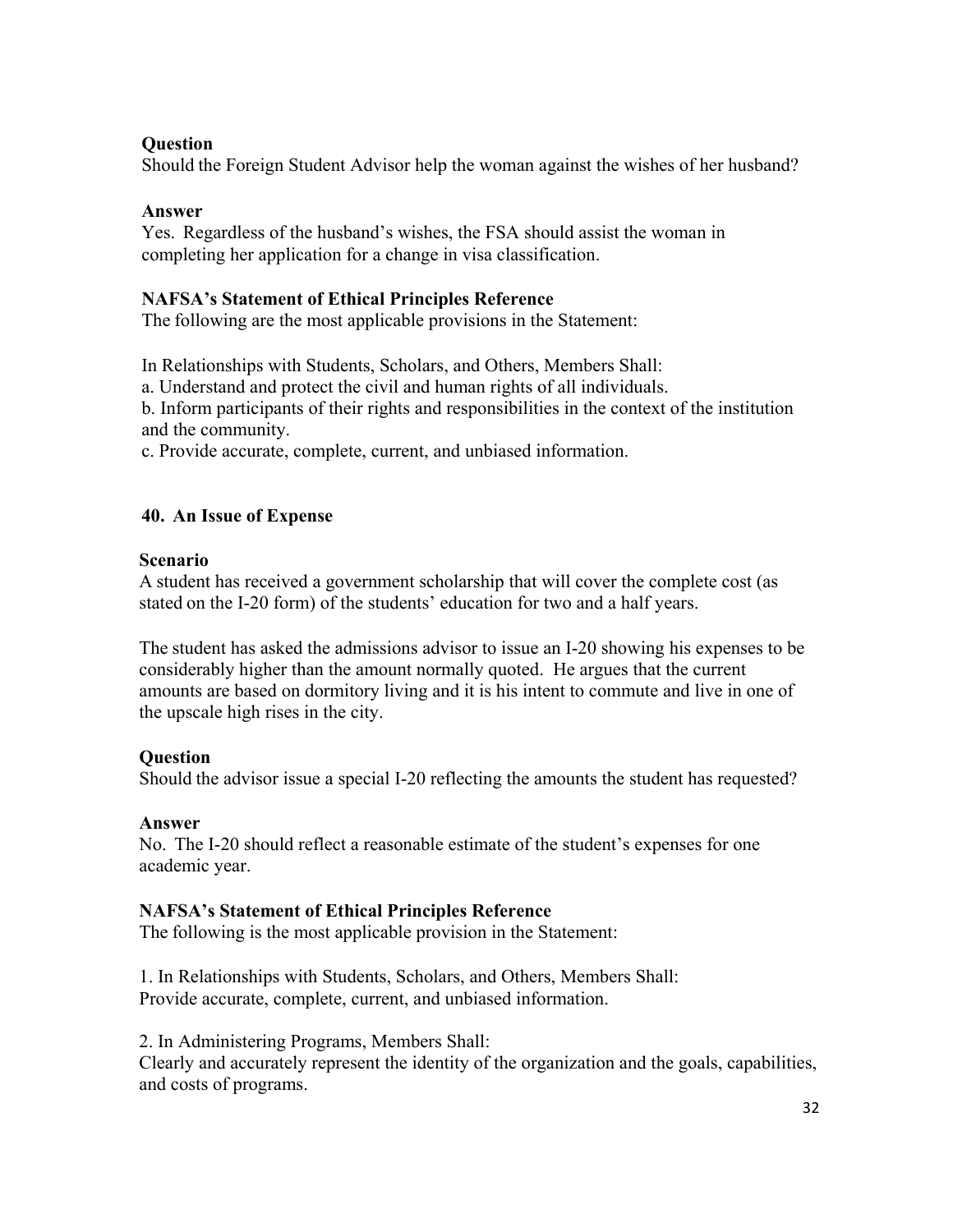## **Question**

Should the Foreign Student Advisor help the woman against the wishes of her husband?

## **Answer**

Yes. Regardless of the husband's wishes, the FSA should assist the woman in completing her application for a change in visa classification.

## **NAFSA's Statement of Ethical Principles Reference**

The following are the most applicable provisions in the Statement:

In Relationships with Students, Scholars, and Others, Members Shall:

a. Understand and protect the civil and human rights of all individuals.

b. Inform participants of their rights and responsibilities in the context of the institution and the community.

c. Provide accurate, complete, current, and unbiased information.

# **40. An Issue of Expense**

## **Scenario**

A student has received a government scholarship that will cover the complete cost (as stated on the I-20 form) of the students' education for two and a half years.

The student has asked the admissions advisor to issue an I-20 showing his expenses to be considerably higher than the amount normally quoted. He argues that the current amounts are based on dormitory living and it is his intent to commute and live in one of the upscale high rises in the city.

# **Question**

Should the advisor issue a special I-20 reflecting the amounts the student has requested?

## **Answer**

No. The I-20 should reflect a reasonable estimate of the student's expenses for one academic year.

## **NAFSA's Statement of Ethical Principles Reference**

The following is the most applicable provision in the Statement:

1. In Relationships with Students, Scholars, and Others, Members Shall: Provide accurate, complete, current, and unbiased information.

2. In Administering Programs, Members Shall:

Clearly and accurately represent the identity of the organization and the goals, capabilities, and costs of programs.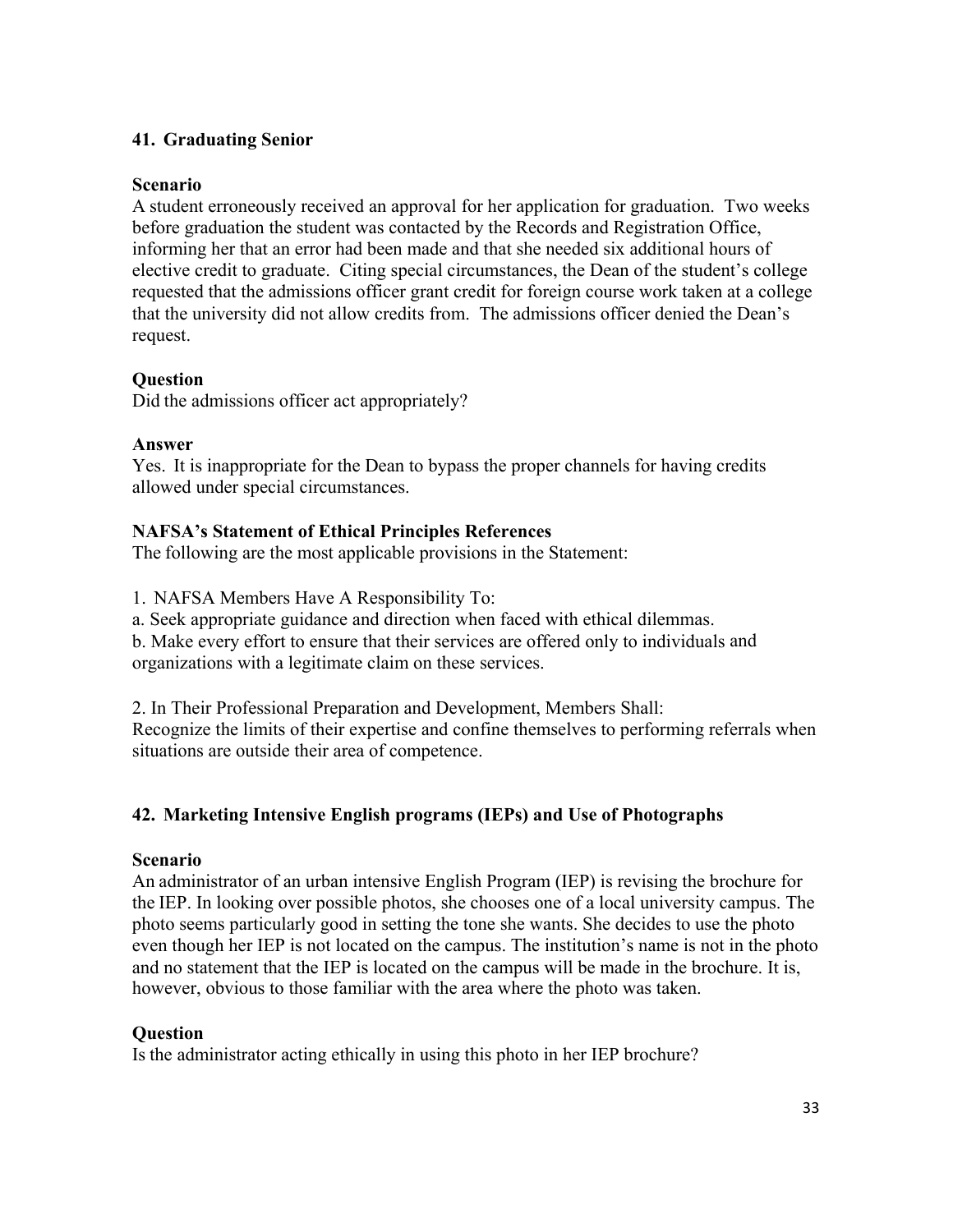## **41. Graduating Senior**

## **Scenario**

A student erroneously received an approval for her application for graduation. Two weeks before graduation the student was contacted by the Records and Registration Office, informing her that an error had been made and that she needed six additional hours of elective credit to graduate. Citing special circumstances, the Dean of the student's college requested that the admissions officer grant credit for foreign course work taken at a college that the university did not allow credits from. The admissions officer denied the Dean's request.

# **Question**

Did the admissions officer act appropriately?

## **Answer**

Yes. It is inappropriate for the Dean to bypass the proper channels for having credits allowed under special circumstances.

# **NAFSA's Statement of Ethical Principles References**

The following are the most applicable provisions in the Statement:

1. NAFSA Members Have A Responsibility To:

a. Seek appropriate guidance and direction when faced with ethical dilemmas.

b. Make every effort to ensure that their services are offered only to individuals and organizations with a legitimate claim on these services.

2. In Their Professional Preparation and Development, Members Shall: Recognize the limits of their expertise and confine themselves to performing referrals when situations are outside their area of competence.

# **42. Marketing Intensive English programs (IEPs) and Use of Photographs**

# **Scenario**

An administrator of an urban intensive English Program (IEP) is revising the brochure for the IEP. In looking over possible photos, she chooses one of a local university campus. The photo seems particularly good in setting the tone she wants. She decides to use the photo even though her IEP is not located on the campus. The institution's name is not in the photo and no statement that the IEP is located on the campus will be made in the brochure. It is, however, obvious to those familiar with the area where the photo was taken.

# **Question**

Is the administrator acting ethically in using this photo in her IEP brochure?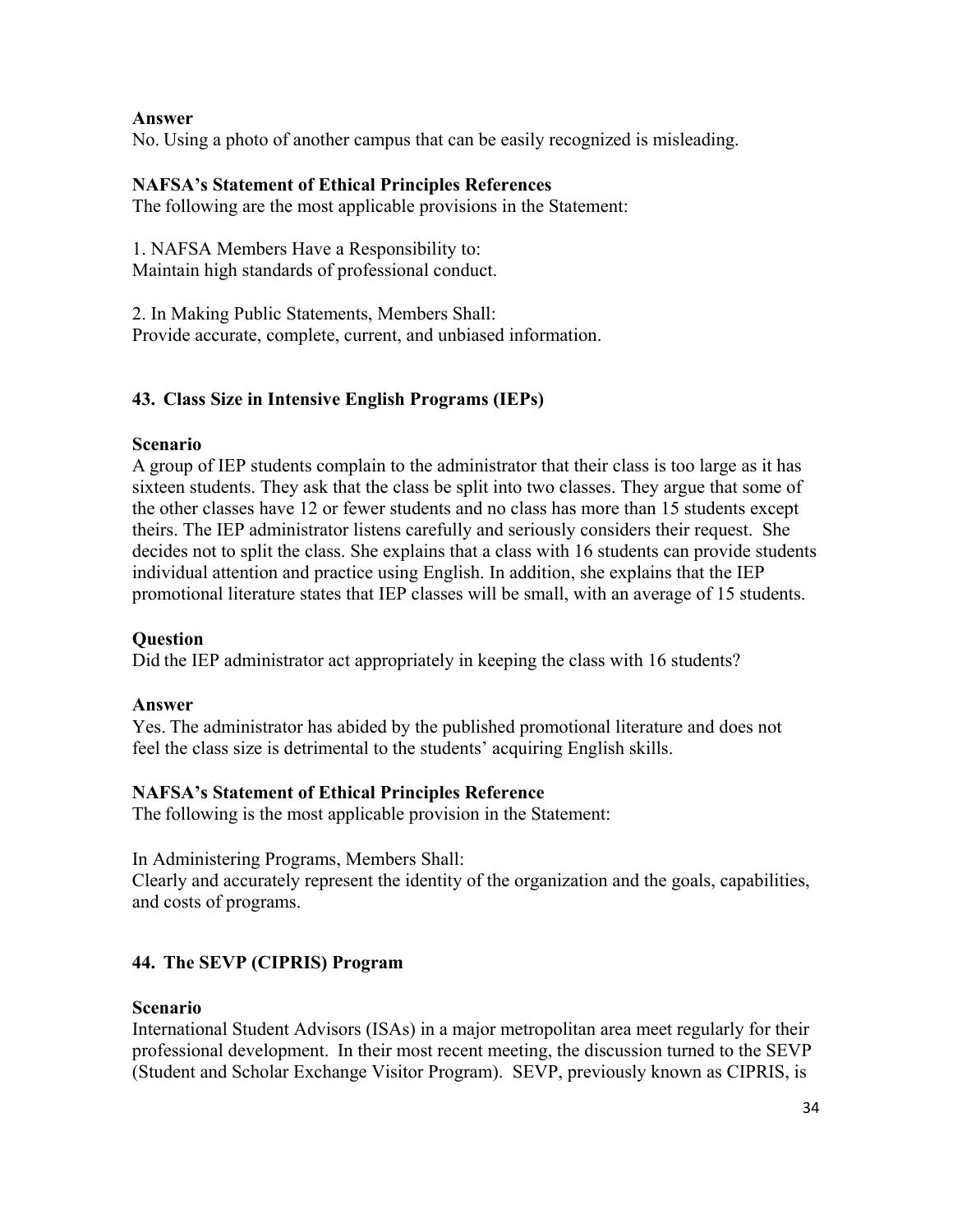## **Answer**

No. Using a photo of another campus that can be easily recognized is misleading.

# **NAFSA's Statement of Ethical Principles References**

The following are the most applicable provisions in the Statement:

1. NAFSA Members Have a Responsibility to: Maintain high standards of professional conduct.

2. In Making Public Statements, Members Shall: Provide accurate, complete, current, and unbiased information.

# **43. Class Size in Intensive English Programs (IEPs)**

## **Scenario**

A group of IEP students complain to the administrator that their class is too large as it has sixteen students. They ask that the class be split into two classes. They argue that some of the other classes have 12 or fewer students and no class has more than 15 students except theirs. The IEP administrator listens carefully and seriously considers their request. She decides not to split the class. She explains that a class with 16 students can provide students individual attention and practice using English. In addition, she explains that the IEP promotional literature states that IEP classes will be small, with an average of 15 students.

# **Question**

Did the IEP administrator act appropriately in keeping the class with 16 students?

## **Answer**

Yes. The administrator has abided by the published promotional literature and does not feel the class size is detrimental to the students' acquiring English skills.

# **NAFSA's Statement of Ethical Principles Reference**

The following is the most applicable provision in the Statement:

In Administering Programs, Members Shall:

Clearly and accurately represent the identity of the organization and the goals, capabilities, and costs of programs.

# **44. The SEVP (CIPRIS) Program**

## **Scenario**

International Student Advisors (ISAs) in a major metropolitan area meet regularly for their professional development. In their most recent meeting, the discussion turned to the SEVP (Student and Scholar Exchange Visitor Program). SEVP, previously known as CIPRIS, is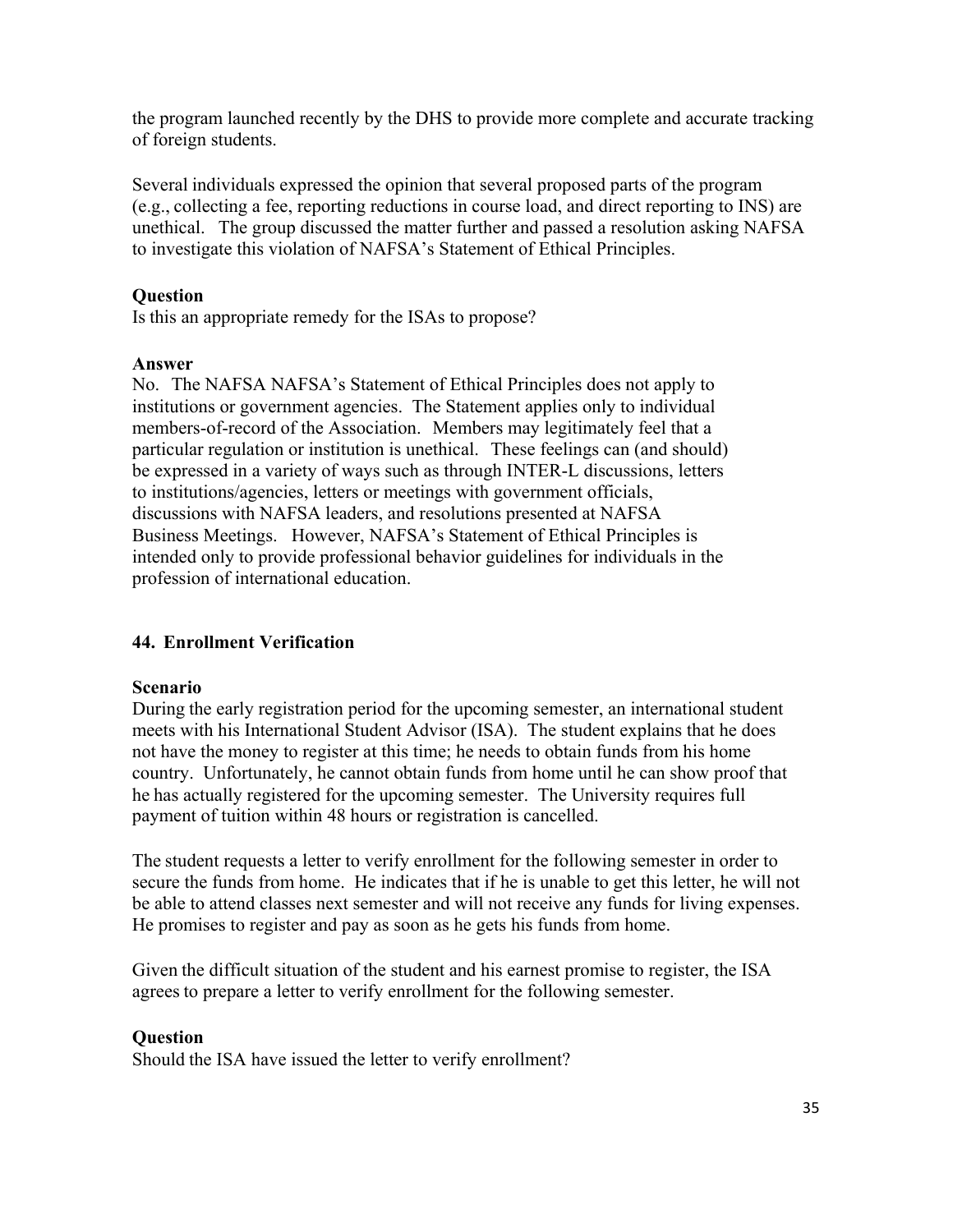the program launched recently by the DHS to provide more complete and accurate tracking of foreign students.

Several individuals expressed the opinion that several proposed parts of the program (e.g., collecting a fee, reporting reductions in course load, and direct reporting to INS) are unethical. The group discussed the matter further and passed a resolution asking NAFSA to investigate this violation of NAFSA's Statement of Ethical Principles.

## **Question**

Is this an appropriate remedy for the ISAs to propose?

#### **Answer**

No. The NAFSA NAFSA's Statement of Ethical Principles does not apply to institutions or government agencies. The Statement applies only to individual members-of-record of the Association. Members may legitimately feel that a particular regulation or institution is unethical. These feelings can (and should) be expressed in a variety of ways such as through INTER-L discussions, letters to institutions/agencies, letters or meetings with government officials, discussions with NAFSA leaders, and resolutions presented at NAFSA Business Meetings. However, NAFSA's Statement of Ethical Principles is intended only to provide professional behavior guidelines for individuals in the profession of international education.

## **44. Enrollment Verification**

## **Scenario**

During the early registration period for the upcoming semester, an international student meets with his International Student Advisor (ISA). The student explains that he does not have the money to register at this time; he needs to obtain funds from his home country. Unfortunately, he cannot obtain funds from home until he can show proof that he has actually registered for the upcoming semester. The University requires full payment of tuition within 48 hours or registration is cancelled.

The student requests a letter to verify enrollment for the following semester in order to secure the funds from home. He indicates that if he is unable to get this letter, he will not be able to attend classes next semester and will not receive any funds for living expenses. He promises to register and pay as soon as he gets his funds from home.

Given the difficult situation of the student and his earnest promise to register, the ISA agrees to prepare a letter to verify enrollment for the following semester.

## **Question**

Should the ISA have issued the letter to verify enrollment?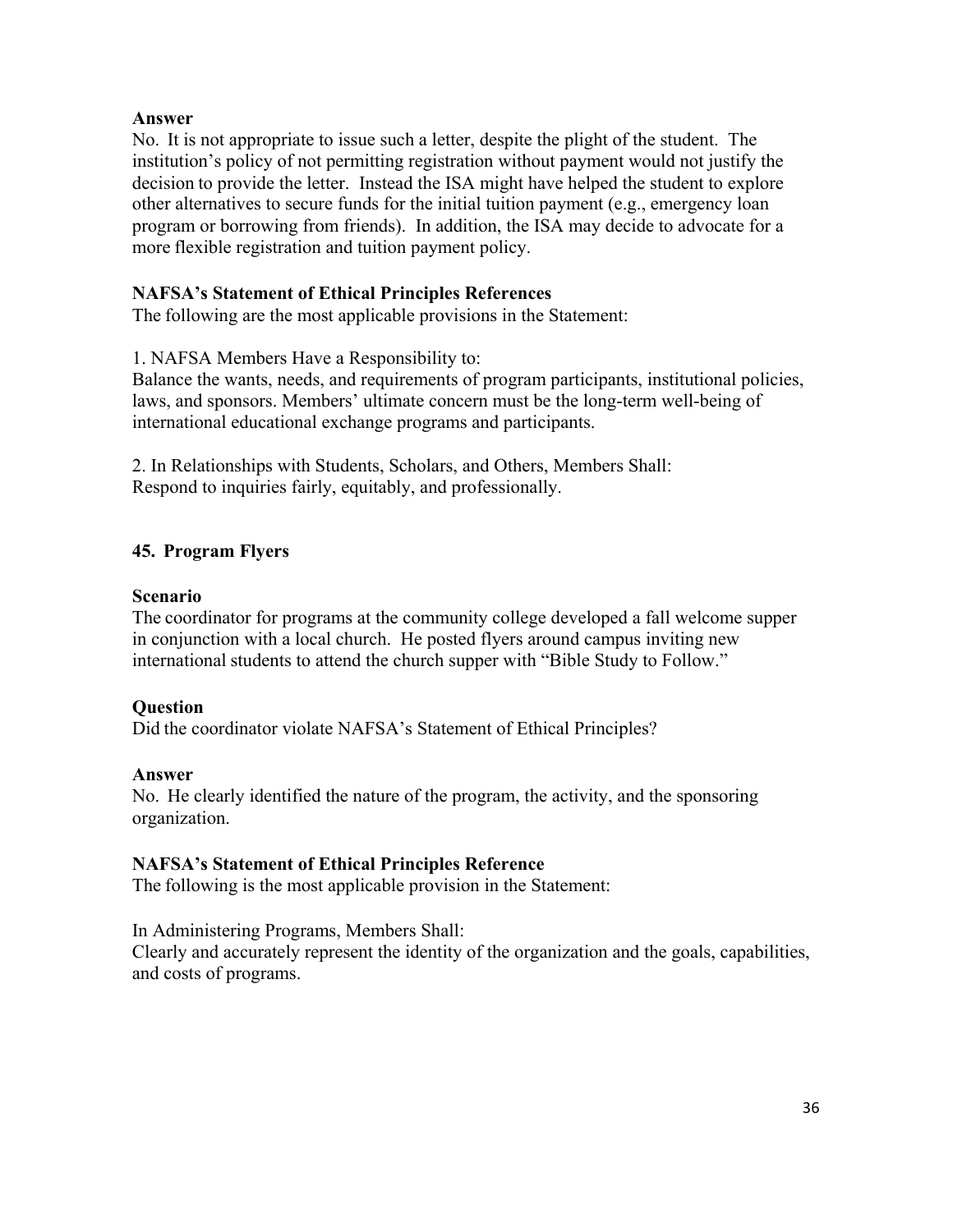## **Answer**

No. It is not appropriate to issue such a letter, despite the plight of the student. The institution's policy of not permitting registration without payment would not justify the decision to provide the letter. Instead the ISA might have helped the student to explore other alternatives to secure funds for the initial tuition payment (e.g., emergency loan program or borrowing from friends). In addition, the ISA may decide to advocate for a more flexible registration and tuition payment policy.

#### **NAFSA's Statement of Ethical Principles References**

The following are the most applicable provisions in the Statement:

1. NAFSA Members Have a Responsibility to:

Balance the wants, needs, and requirements of program participants, institutional policies, laws, and sponsors. Members' ultimate concern must be the long-term well-being of international educational exchange programs and participants.

2. In Relationships with Students, Scholars, and Others, Members Shall: Respond to inquiries fairly, equitably, and professionally.

## **45. Program Flyers**

#### **Scenario**

The coordinator for programs at the community college developed a fall welcome supper in conjunction with a local church. He posted flyers around campus inviting new international students to attend the church supper with "Bible Study to Follow."

## **Question**

Did the coordinator violate NAFSA's Statement of Ethical Principles?

#### **Answer**

No. He clearly identified the nature of the program, the activity, and the sponsoring organization.

## **NAFSA's Statement of Ethical Principles Reference**

The following is the most applicable provision in the Statement:

In Administering Programs, Members Shall:

Clearly and accurately represent the identity of the organization and the goals, capabilities, and costs of programs.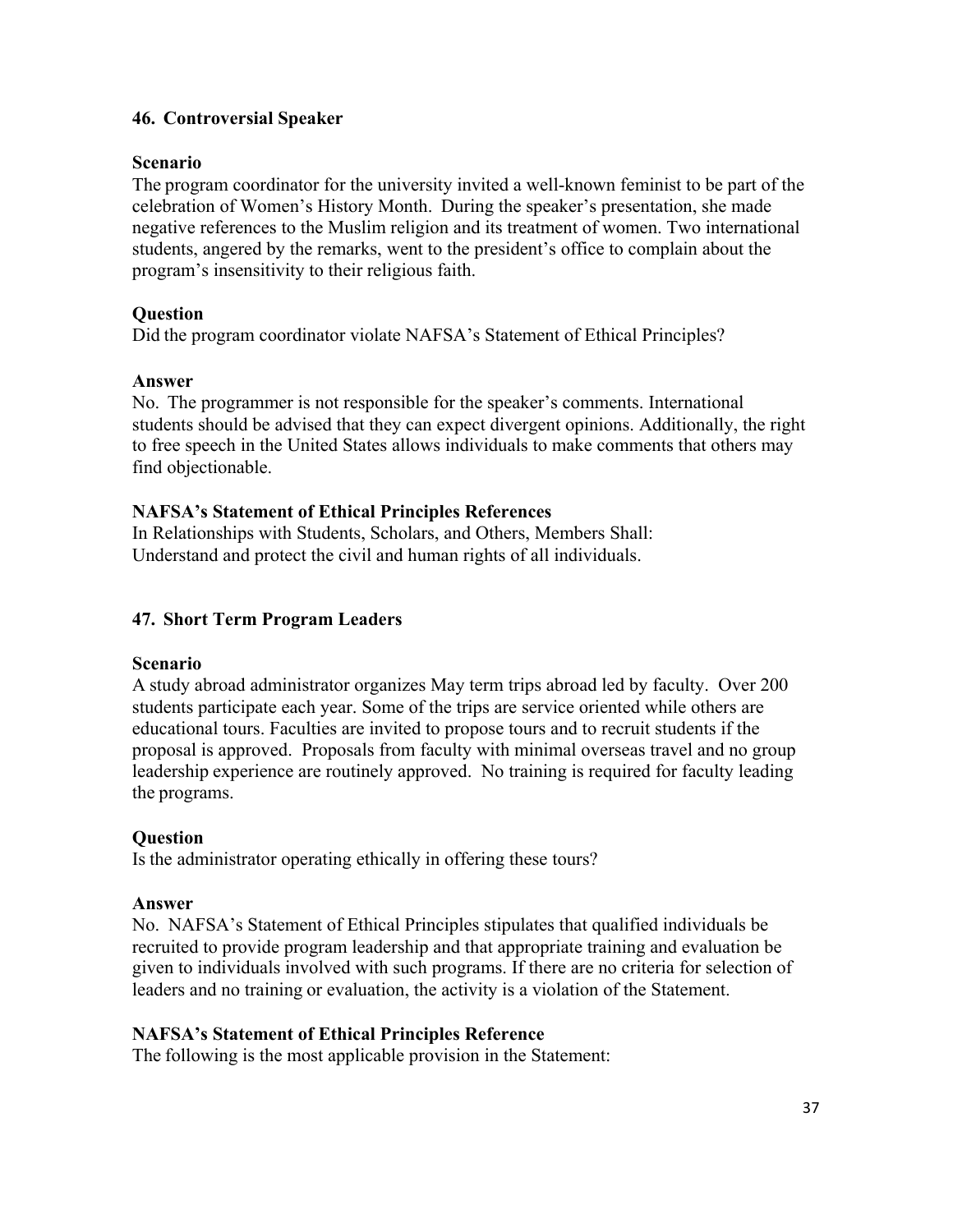# **46. Controversial Speaker**

## **Scenario**

The program coordinator for the university invited a well-known feminist to be part of the celebration of Women's History Month. During the speaker's presentation, she made negative references to the Muslim religion and its treatment of women. Two international students, angered by the remarks, went to the president's office to complain about the program's insensitivity to their religious faith.

## **Question**

Did the program coordinator violate NAFSA's Statement of Ethical Principles?

## **Answer**

No. The programmer is not responsible for the speaker's comments. International students should be advised that they can expect divergent opinions. Additionally, the right to free speech in the United States allows individuals to make comments that others may find objectionable.

## **NAFSA's Statement of Ethical Principles References**

In Relationships with Students, Scholars, and Others, Members Shall: Understand and protect the civil and human rights of all individuals.

# **47. Short Term Program Leaders**

## **Scenario**

A study abroad administrator organizes May term trips abroad led by faculty. Over 200 students participate each year. Some of the trips are service oriented while others are educational tours. Faculties are invited to propose tours and to recruit students if the proposal is approved. Proposals from faculty with minimal overseas travel and no group leadership experience are routinely approved. No training is required for faculty leading the programs.

## **Question**

Is the administrator operating ethically in offering these tours?

## **Answer**

No. NAFSA's Statement of Ethical Principles stipulates that qualified individuals be recruited to provide program leadership and that appropriate training and evaluation be given to individuals involved with such programs. If there are no criteria for selection of leaders and no training or evaluation, the activity is a violation of the Statement.

## **NAFSA's Statement of Ethical Principles Reference**

The following is the most applicable provision in the Statement: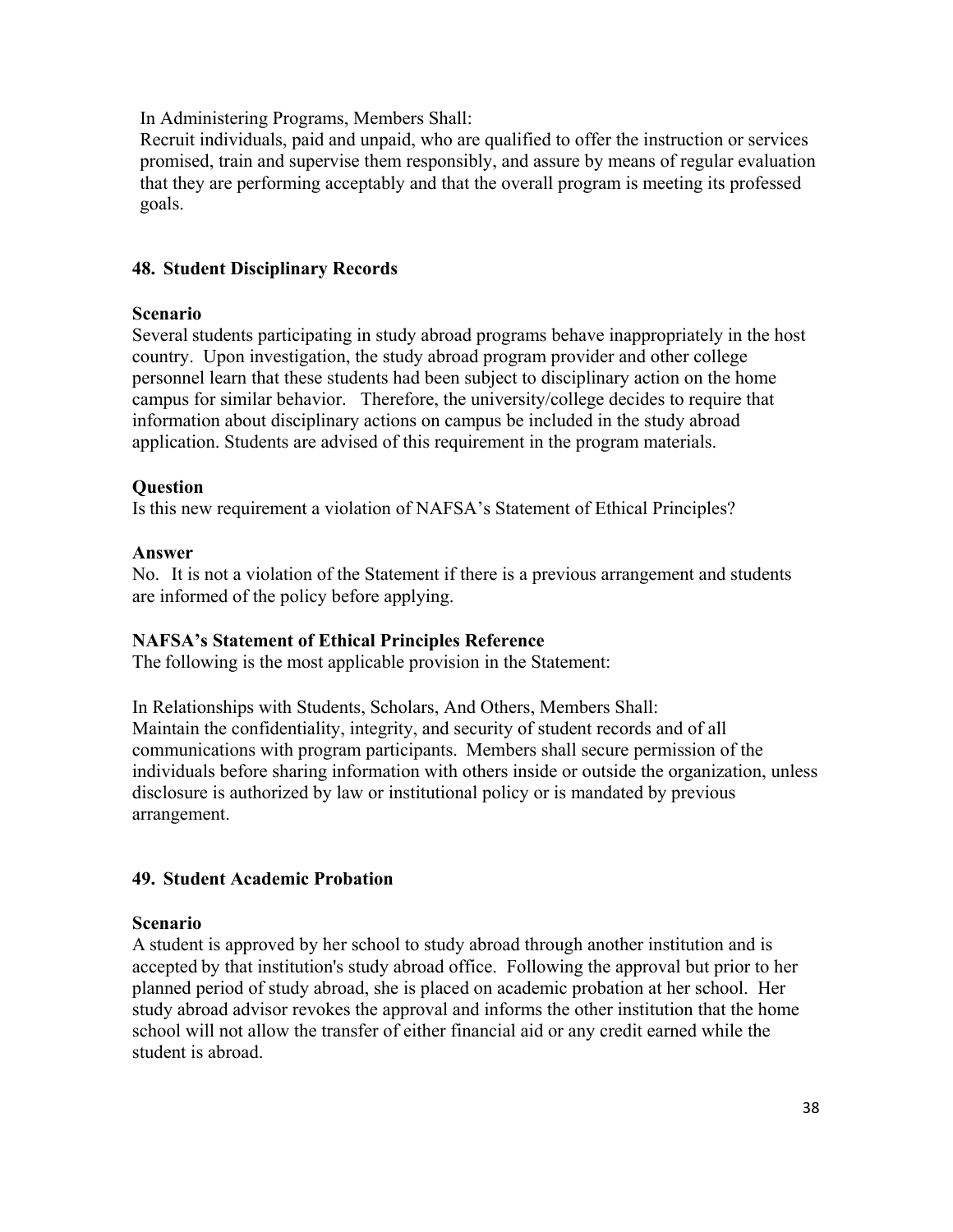In Administering Programs, Members Shall:

Recruit individuals, paid and unpaid, who are qualified to offer the instruction or services promised, train and supervise them responsibly, and assure by means of regular evaluation that they are performing acceptably and that the overall program is meeting its professed goals.

# **48. Student Disciplinary Records**

## **Scenario**

Several students participating in study abroad programs behave inappropriately in the host country. Upon investigation, the study abroad program provider and other college personnel learn that these students had been subject to disciplinary action on the home campus for similar behavior. Therefore, the university/college decides to require that information about disciplinary actions on campus be included in the study abroad application. Students are advised of this requirement in the program materials.

## **Question**

Is this new requirement a violation of NAFSA's Statement of Ethical Principles?

## **Answer**

No. It is not a violation of the Statement if there is a previous arrangement and students are informed of the policy before applying.

## **NAFSA's Statement of Ethical Principles Reference**

The following is the most applicable provision in the Statement:

In Relationships with Students, Scholars, And Others, Members Shall: Maintain the confidentiality, integrity, and security of student records and of all communications with program participants. Members shall secure permission of the individuals before sharing information with others inside or outside the organization, unless disclosure is authorized by law or institutional policy or is mandated by previous arrangement.

# **49. Student Academic Probation**

## **Scenario**

A student is approved by her school to study abroad through another institution and is accepted by that institution's study abroad office. Following the approval but prior to her planned period of study abroad, she is placed on academic probation at her school. Her study abroad advisor revokes the approval and informs the other institution that the home school will not allow the transfer of either financial aid or any credit earned while the student is abroad.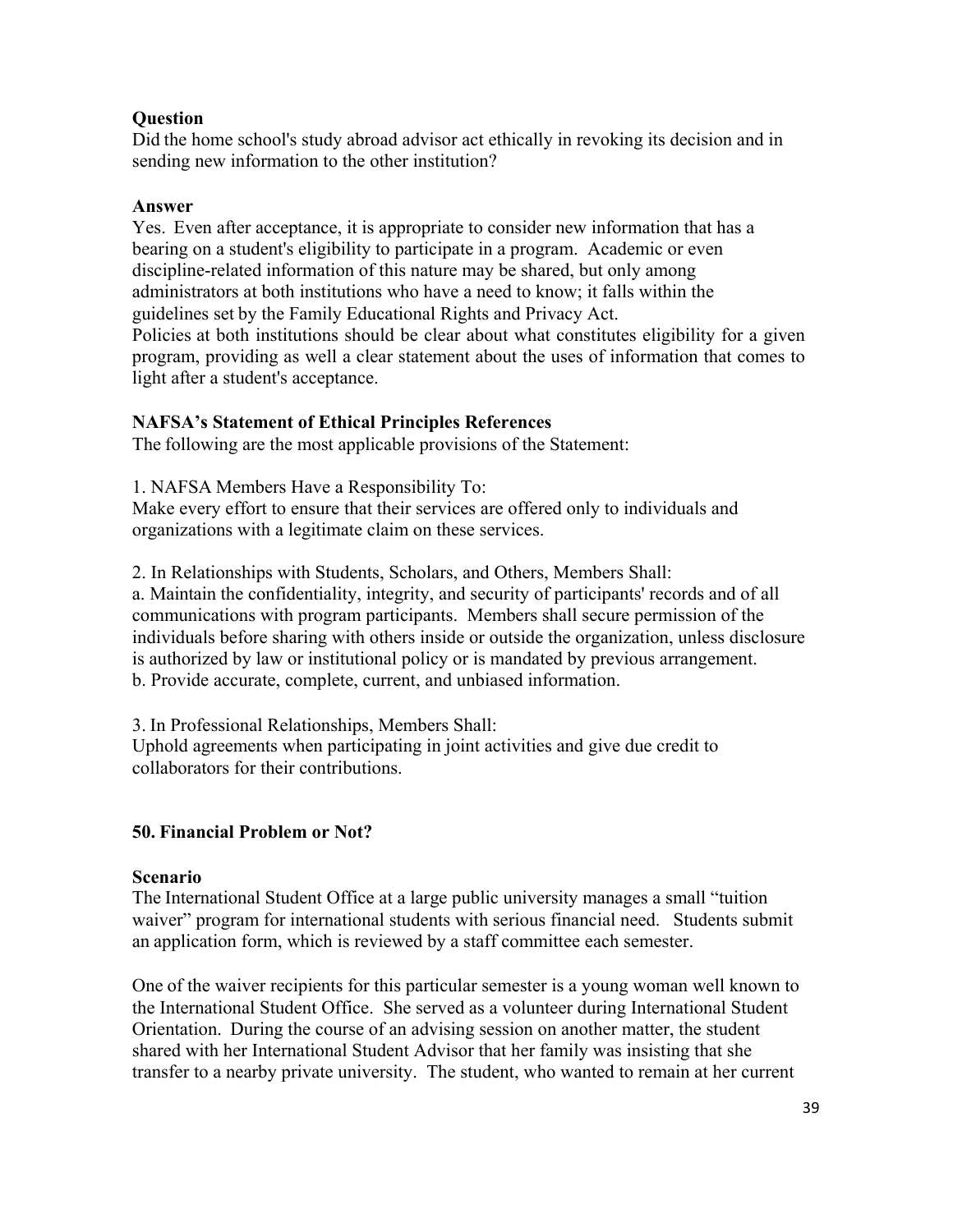## **Question**

Did the home school's study abroad advisor act ethically in revoking its decision and in sending new information to the other institution?

## **Answer**

Yes. Even after acceptance, it is appropriate to consider new information that has a bearing on a student's eligibility to participate in a program. Academic or even discipline-related information of this nature may be shared, but only among administrators at both institutions who have a need to know; it falls within the guidelines set by the Family Educational Rights and Privacy Act. Policies at both institutions should be clear about what constitutes eligibility for a given program, providing as well a clear statement about the uses of information that comes to light after a student's acceptance.

## **NAFSA's Statement of Ethical Principles References**

The following are the most applicable provisions of the Statement:

1. NAFSA Members Have a Responsibility To:

Make every effort to ensure that their services are offered only to individuals and organizations with a legitimate claim on these services.

2. In Relationships with Students, Scholars, and Others, Members Shall:

a. Maintain the confidentiality, integrity, and security of participants' records and of all communications with program participants. Members shall secure permission of the individuals before sharing with others inside or outside the organization, unless disclosure is authorized by law or institutional policy or is mandated by previous arrangement. b. Provide accurate, complete, current, and unbiased information.

3. In Professional Relationships, Members Shall:

Uphold agreements when participating in joint activities and give due credit to collaborators for their contributions.

## **50. Financial Problem or Not?**

## **Scenario**

The International Student Office at a large public university manages a small "tuition waiver" program for international students with serious financial need. Students submit an application form, which is reviewed by a staff committee each semester.

One of the waiver recipients for this particular semester is a young woman well known to the International Student Office. She served as a volunteer during International Student Orientation. During the course of an advising session on another matter, the student shared with her International Student Advisor that her family was insisting that she transfer to a nearby private university. The student, who wanted to remain at her current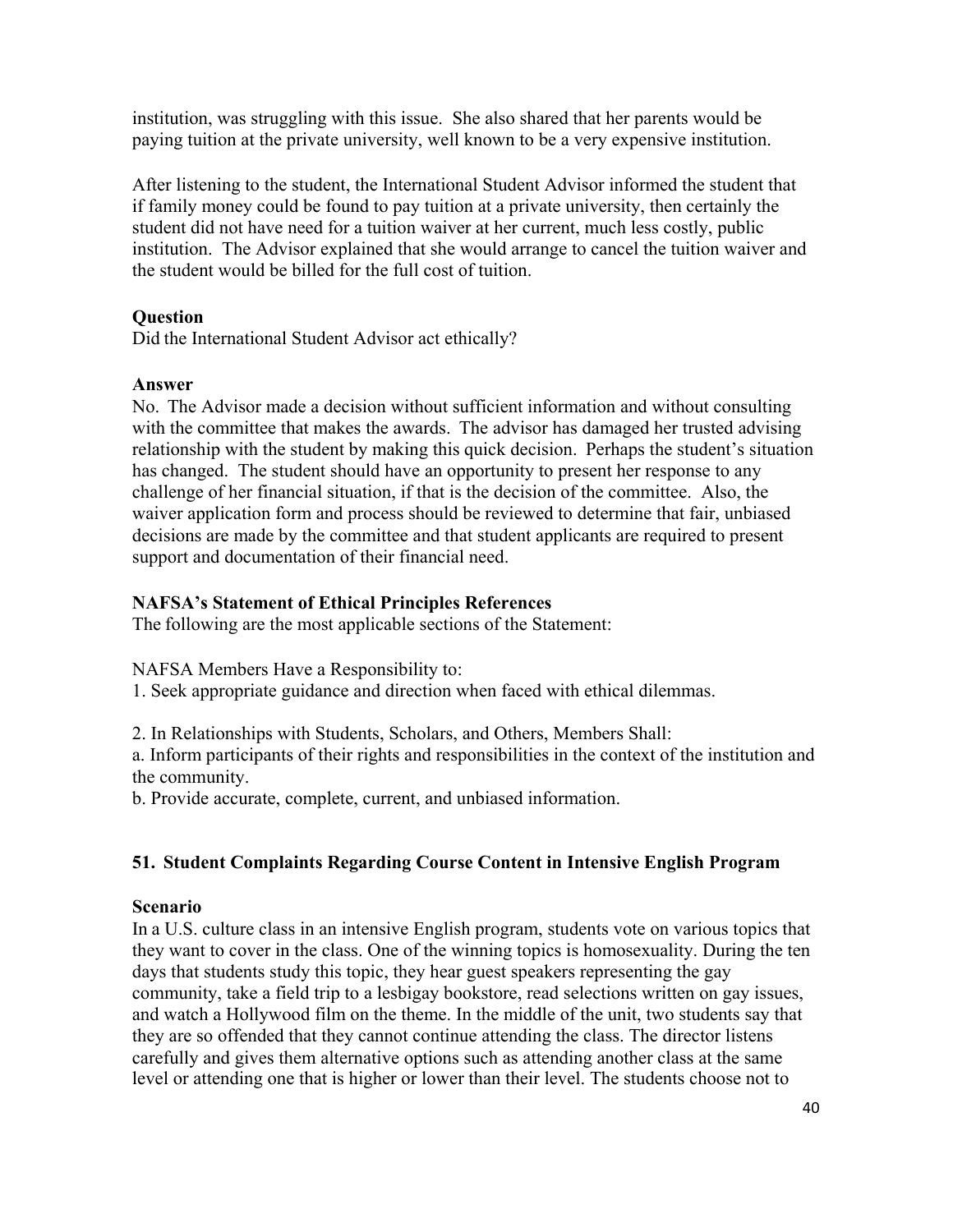institution, was struggling with this issue. She also shared that her parents would be paying tuition at the private university, well known to be a very expensive institution.

After listening to the student, the International Student Advisor informed the student that if family money could be found to pay tuition at a private university, then certainly the student did not have need for a tuition waiver at her current, much less costly, public institution. The Advisor explained that she would arrange to cancel the tuition waiver and the student would be billed for the full cost of tuition.

## **Question**

Did the International Student Advisor act ethically?

## **Answer**

No. The Advisor made a decision without sufficient information and without consulting with the committee that makes the awards. The advisor has damaged her trusted advising relationship with the student by making this quick decision. Perhaps the student's situation has changed. The student should have an opportunity to present her response to any challenge of her financial situation, if that is the decision of the committee. Also, the waiver application form and process should be reviewed to determine that fair, unbiased decisions are made by the committee and that student applicants are required to present support and documentation of their financial need.

# **NAFSA's Statement of Ethical Principles References**

The following are the most applicable sections of the Statement:

NAFSA Members Have a Responsibility to:

1. Seek appropriate guidance and direction when faced with ethical dilemmas.

2. In Relationships with Students, Scholars, and Others, Members Shall:

a. Inform participants of their rights and responsibilities in the context of the institution and the community.

b. Provide accurate, complete, current, and unbiased information.

# **51. Student Complaints Regarding Course Content in Intensive English Program**

## **Scenario**

In a U.S. culture class in an intensive English program, students vote on various topics that they want to cover in the class. One of the winning topics is homosexuality. During the ten days that students study this topic, they hear guest speakers representing the gay community, take a field trip to a lesbigay bookstore, read selections written on gay issues, and watch a Hollywood film on the theme. In the middle of the unit, two students say that they are so offended that they cannot continue attending the class. The director listens carefully and gives them alternative options such as attending another class at the same level or attending one that is higher or lower than their level. The students choose not to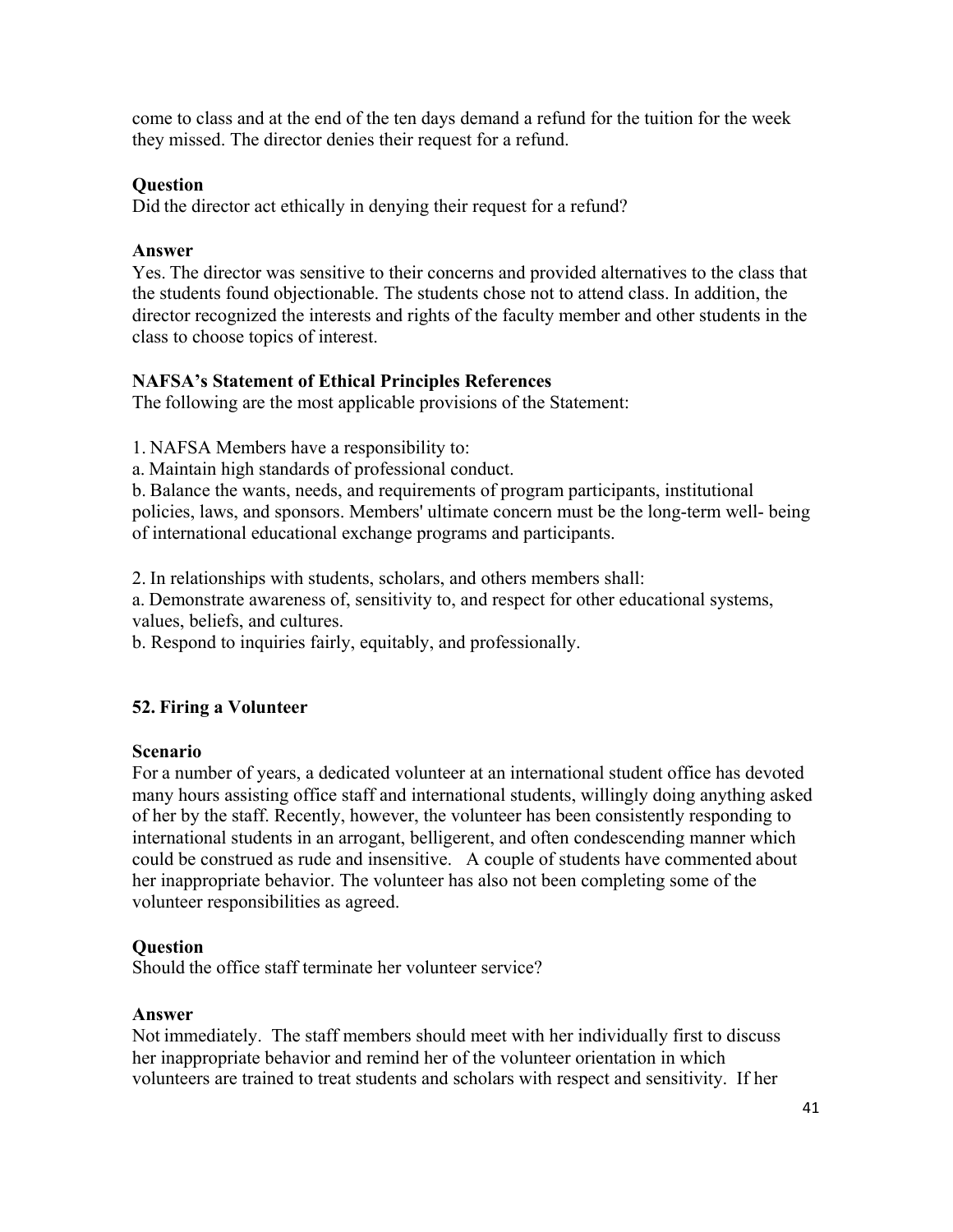come to class and at the end of the ten days demand a refund for the tuition for the week they missed. The director denies their request for a refund.

#### **Question**

Did the director act ethically in denying their request for a refund?

#### **Answer**

Yes. The director was sensitive to their concerns and provided alternatives to the class that the students found objectionable. The students chose not to attend class. In addition, the director recognized the interests and rights of the faculty member and other students in the class to choose topics of interest.

## **NAFSA's Statement of Ethical Principles References**

The following are the most applicable provisions of the Statement:

1. NAFSA Members have a responsibility to:

a. Maintain high standards of professional conduct.

b. Balance the wants, needs, and requirements of program participants, institutional policies, laws, and sponsors. Members' ultimate concern must be the long-term well- being of international educational exchange programs and participants.

2. In relationships with students, scholars, and others members shall:

a. Demonstrate awareness of, sensitivity to, and respect for other educational systems, values, beliefs, and cultures.

b. Respond to inquiries fairly, equitably, and professionally.

## **52. Firing a Volunteer**

#### **Scenario**

For a number of years, a dedicated volunteer at an international student office has devoted many hours assisting office staff and international students, willingly doing anything asked of her by the staff. Recently, however, the volunteer has been consistently responding to international students in an arrogant, belligerent, and often condescending manner which could be construed as rude and insensitive. A couple of students have commented about her inappropriate behavior. The volunteer has also not been completing some of the volunteer responsibilities as agreed.

## **Question**

Should the office staff terminate her volunteer service?

#### **Answer**

Not immediately. The staff members should meet with her individually first to discuss her inappropriate behavior and remind her of the volunteer orientation in which volunteers are trained to treat students and scholars with respect and sensitivity. If her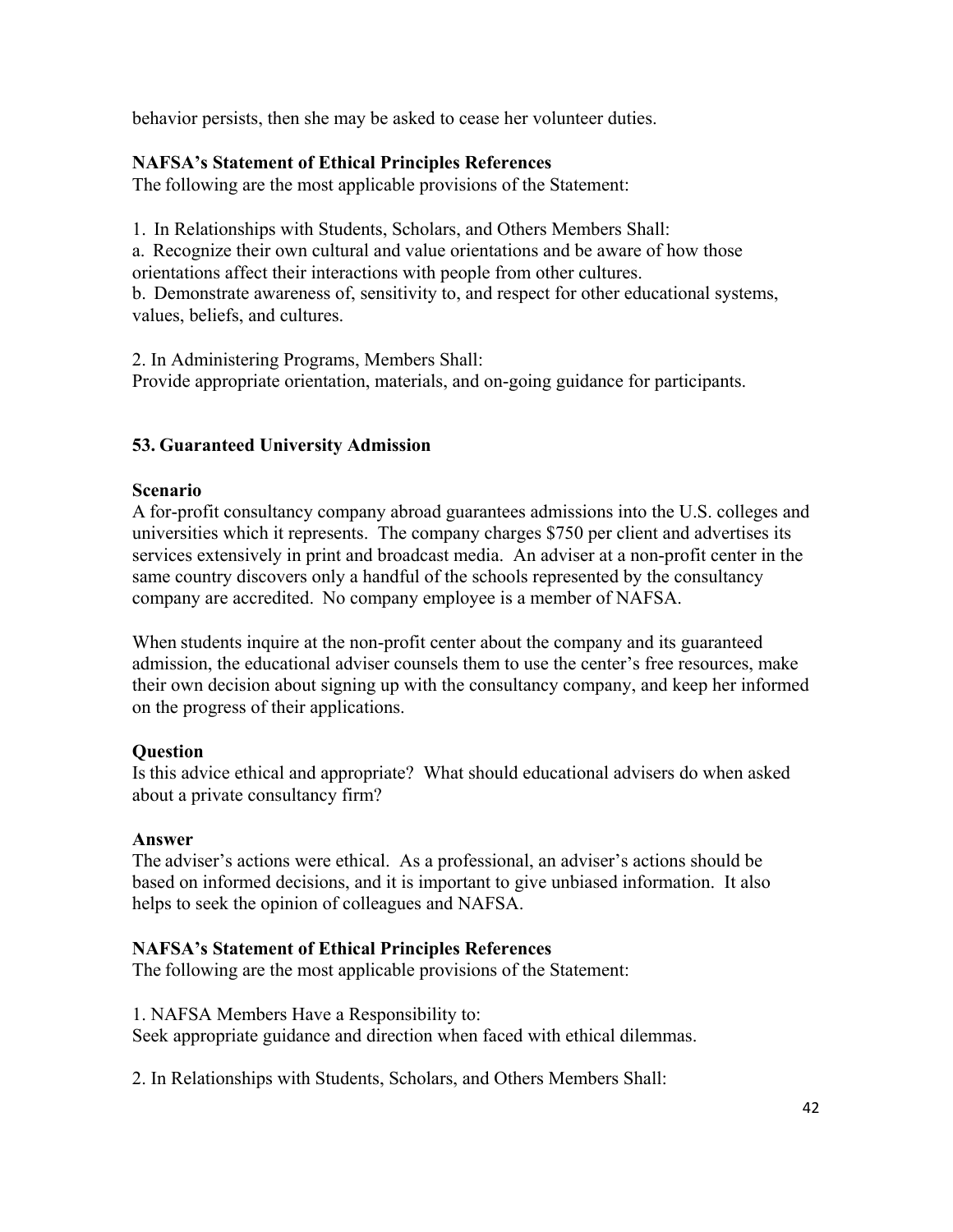behavior persists, then she may be asked to cease her volunteer duties.

## **NAFSA's Statement of Ethical Principles References**

The following are the most applicable provisions of the Statement:

1. In Relationships with Students, Scholars, and Others Members Shall:

a. Recognize their own cultural and value orientations and be aware of how those orientations affect their interactions with people from other cultures.

b. Demonstrate awareness of, sensitivity to, and respect for other educational systems, values, beliefs, and cultures.

2. In Administering Programs, Members Shall: Provide appropriate orientation, materials, and on-going guidance for participants.

# **53. Guaranteed University Admission**

## **Scenario**

A for-profit consultancy company abroad guarantees admissions into the U.S. colleges and universities which it represents. The company charges \$750 per client and advertises its services extensively in print and broadcast media. An adviser at a non-profit center in the same country discovers only a handful of the schools represented by the consultancy company are accredited. No company employee is a member of NAFSA.

When students inquire at the non-profit center about the company and its guaranteed admission, the educational adviser counsels them to use the center's free resources, make their own decision about signing up with the consultancy company, and keep her informed on the progress of their applications.

## **Question**

Is this advice ethical and appropriate? What should educational advisers do when asked about a private consultancy firm?

## **Answer**

The adviser's actions were ethical. As a professional, an adviser's actions should be based on informed decisions, and it is important to give unbiased information. It also helps to seek the opinion of colleagues and NAFSA.

# **NAFSA's Statement of Ethical Principles References**

The following are the most applicable provisions of the Statement:

1. NAFSA Members Have a Responsibility to:

Seek appropriate guidance and direction when faced with ethical dilemmas.

2. In Relationships with Students, Scholars, and Others Members Shall: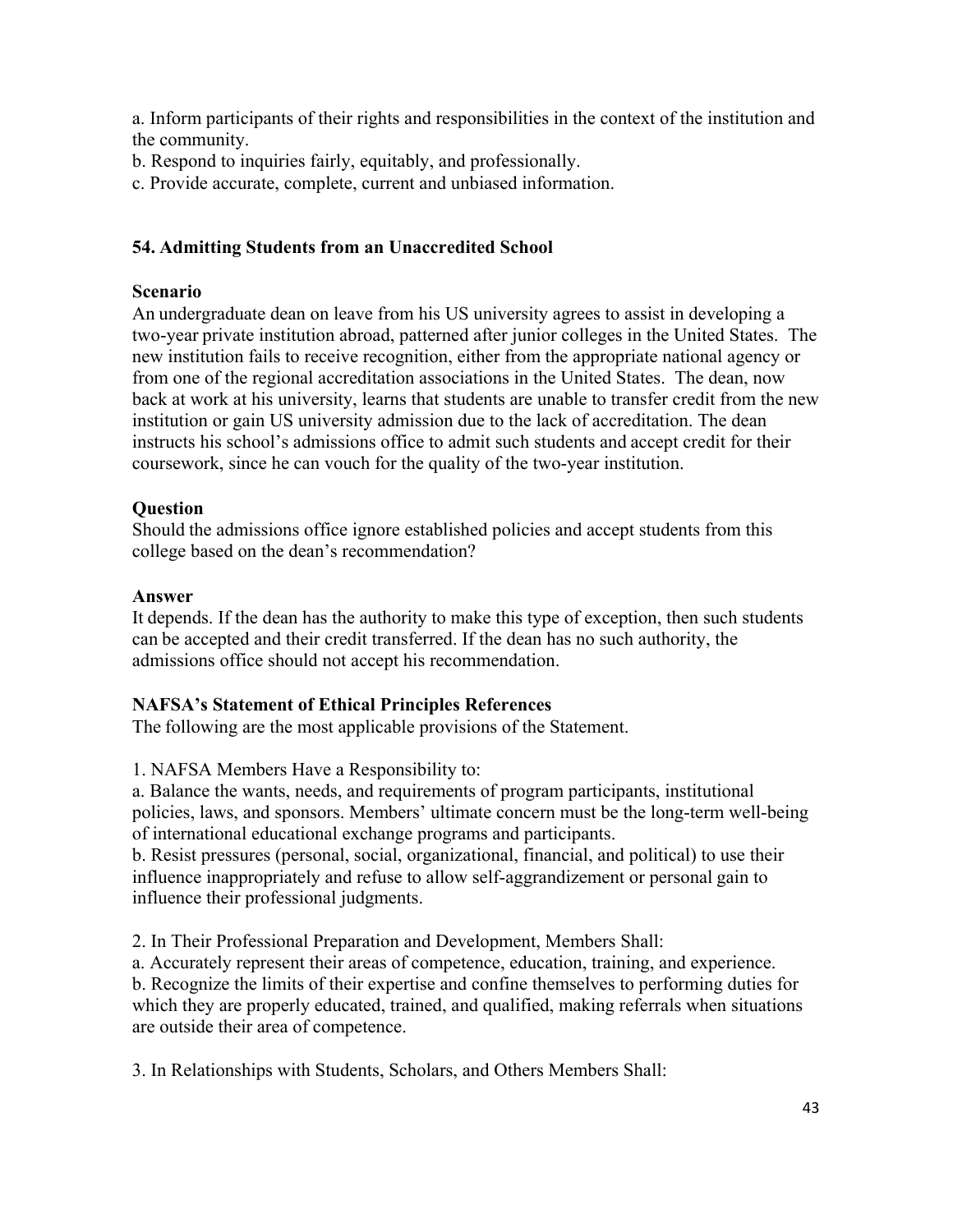a. Inform participants of their rights and responsibilities in the context of the institution and the community.

- b. Respond to inquiries fairly, equitably, and professionally.
- c. Provide accurate, complete, current and unbiased information.

## **54. Admitting Students from an Unaccredited School**

#### **Scenario**

An undergraduate dean on leave from his US university agrees to assist in developing a two-year private institution abroad, patterned after junior colleges in the United States. The new institution fails to receive recognition, either from the appropriate national agency or from one of the regional accreditation associations in the United States. The dean, now back at work at his university, learns that students are unable to transfer credit from the new institution or gain US university admission due to the lack of accreditation. The dean instructs his school's admissions office to admit such students and accept credit for their coursework, since he can vouch for the quality of the two-year institution.

## **Question**

Should the admissions office ignore established policies and accept students from this college based on the dean's recommendation?

#### **Answer**

It depends. If the dean has the authority to make this type of exception, then such students can be accepted and their credit transferred. If the dean has no such authority, the admissions office should not accept his recommendation.

## **NAFSA's Statement of Ethical Principles References**

The following are the most applicable provisions of the Statement.

1. NAFSA Members Have a Responsibility to:

a. Balance the wants, needs, and requirements of program participants, institutional policies, laws, and sponsors. Members' ultimate concern must be the long-term well-being of international educational exchange programs and participants.

b. Resist pressures (personal, social, organizational, financial, and political) to use their influence inappropriately and refuse to allow self-aggrandizement or personal gain to influence their professional judgments.

2. In Their Professional Preparation and Development, Members Shall:

a. Accurately represent their areas of competence, education, training, and experience. b. Recognize the limits of their expertise and confine themselves to performing duties for which they are properly educated, trained, and qualified, making referrals when situations are outside their area of competence.

3. In Relationships with Students, Scholars, and Others Members Shall: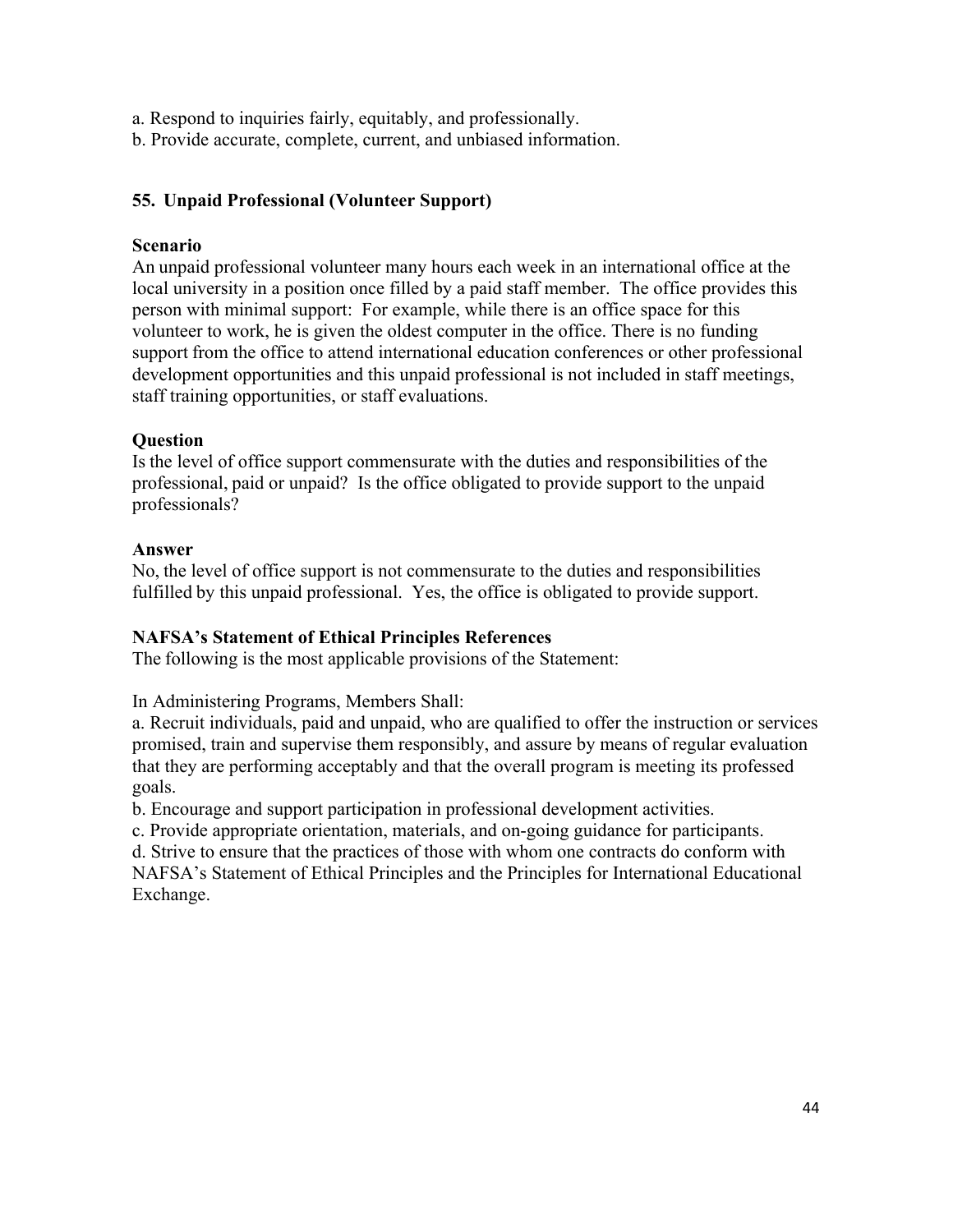a. Respond to inquiries fairly, equitably, and professionally.

b. Provide accurate, complete, current, and unbiased information.

# **55. Unpaid Professional (Volunteer Support)**

## **Scenario**

An unpaid professional volunteer many hours each week in an international office at the local university in a position once filled by a paid staff member. The office provides this person with minimal support: For example, while there is an office space for this volunteer to work, he is given the oldest computer in the office. There is no funding support from the office to attend international education conferences or other professional development opportunities and this unpaid professional is not included in staff meetings, staff training opportunities, or staff evaluations.

## **Question**

Is the level of office support commensurate with the duties and responsibilities of the professional, paid or unpaid? Is the office obligated to provide support to the unpaid professionals?

## **Answer**

No, the level of office support is not commensurate to the duties and responsibilities fulfilled by this unpaid professional. Yes, the office is obligated to provide support.

# **NAFSA's Statement of Ethical Principles References**

The following is the most applicable provisions of the Statement:

In Administering Programs, Members Shall:

a. Recruit individuals, paid and unpaid, who are qualified to offer the instruction or services promised, train and supervise them responsibly, and assure by means of regular evaluation that they are performing acceptably and that the overall program is meeting its professed goals.

b. Encourage and support participation in professional development activities.

c. Provide appropriate orientation, materials, and on-going guidance for participants.

d. Strive to ensure that the practices of those with whom one contracts do conform with

NAFSA's Statement of Ethical Principles and the Principles for International Educational Exchange.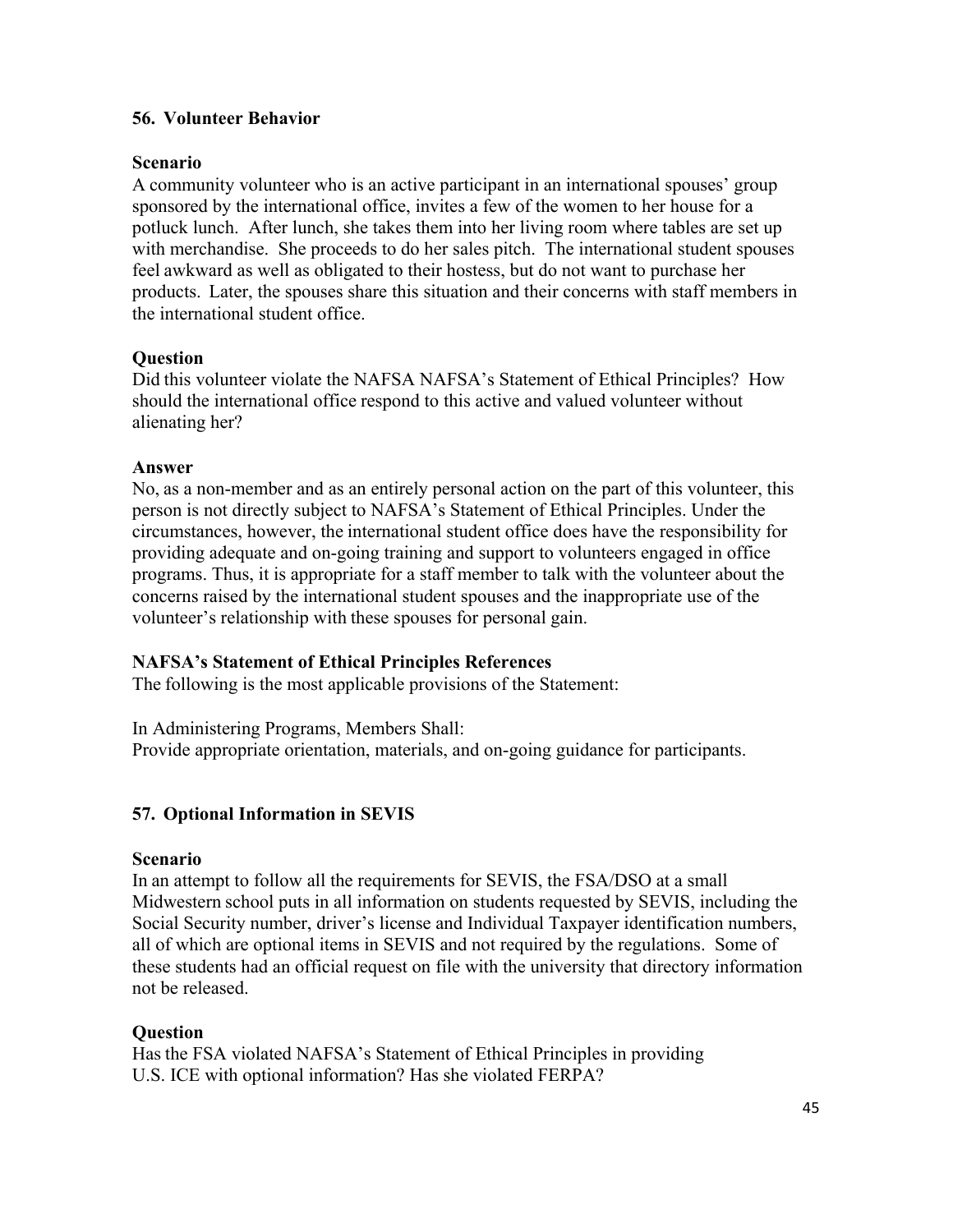## **56. Volunteer Behavior**

## **Scenario**

A community volunteer who is an active participant in an international spouses' group sponsored by the international office, invites a few of the women to her house for a potluck lunch. After lunch, she takes them into her living room where tables are set up with merchandise. She proceeds to do her sales pitch. The international student spouses feel awkward as well as obligated to their hostess, but do not want to purchase her products. Later, the spouses share this situation and their concerns with staff members in the international student office.

## **Question**

Did this volunteer violate the NAFSA NAFSA's Statement of Ethical Principles? How should the international office respond to this active and valued volunteer without alienating her?

## **Answer**

No, as a non-member and as an entirely personal action on the part of this volunteer, this person is not directly subject to NAFSA's Statement of Ethical Principles. Under the circumstances, however, the international student office does have the responsibility for providing adequate and on-going training and support to volunteers engaged in office programs. Thus, it is appropriate for a staff member to talk with the volunteer about the concerns raised by the international student spouses and the inappropriate use of the volunteer's relationship with these spouses for personal gain.

# **NAFSA's Statement of Ethical Principles References**

The following is the most applicable provisions of the Statement:

In Administering Programs, Members Shall: Provide appropriate orientation, materials, and on-going guidance for participants.

# **57. Optional Information in SEVIS**

## **Scenario**

In an attempt to follow all the requirements for SEVIS, the FSA/DSO at a small Midwestern school puts in all information on students requested by SEVIS, including the Social Security number, driver's license and Individual Taxpayer identification numbers, all of which are optional items in SEVIS and not required by the regulations. Some of these students had an official request on file with the university that directory information not be released.

# **Question**

Has the FSA violated NAFSA's Statement of Ethical Principles in providing U.S. ICE with optional information? Has she violated FERPA?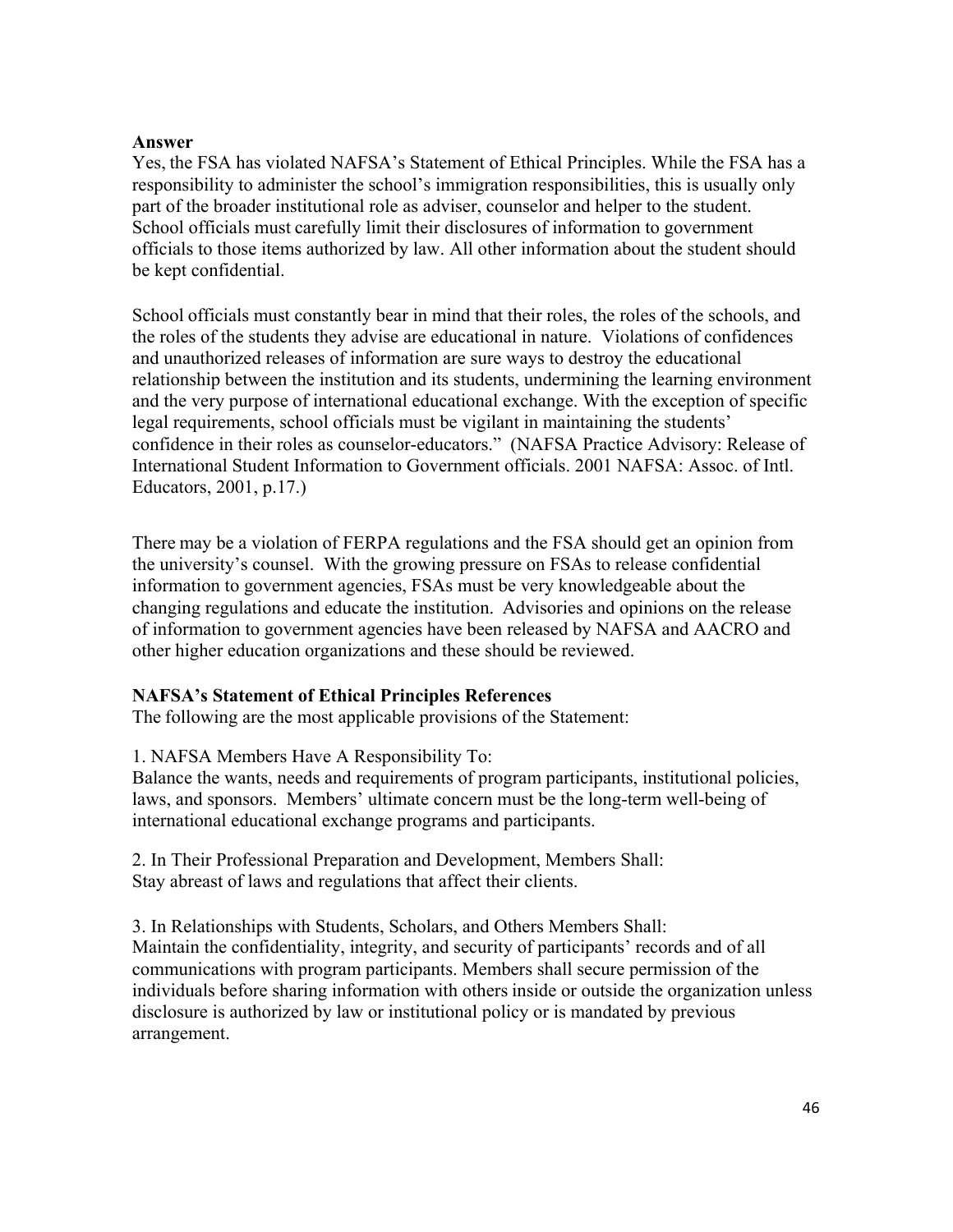## **Answer**

Yes, the FSA has violated NAFSA's Statement of Ethical Principles. While the FSA has a responsibility to administer the school's immigration responsibilities, this is usually only part of the broader institutional role as adviser, counselor and helper to the student. School officials must carefully limit their disclosures of information to government officials to those items authorized by law. All other information about the student should be kept confidential.

School officials must constantly bear in mind that their roles, the roles of the schools, and the roles of the students they advise are educational in nature. Violations of confidences and unauthorized releases of information are sure ways to destroy the educational relationship between the institution and its students, undermining the learning environment and the very purpose of international educational exchange. With the exception of specific legal requirements, school officials must be vigilant in maintaining the students' confidence in their roles as counselor-educators." (NAFSA Practice Advisory: Release of International Student Information to Government officials. 2001 NAFSA: Assoc. of Intl. Educators, 2001, p.17.)

There may be a violation of FERPA regulations and the FSA should get an opinion from the university's counsel. With the growing pressure on FSAs to release confidential information to government agencies, FSAs must be very knowledgeable about the changing regulations and educate the institution. Advisories and opinions on the release of information to government agencies have been released by NAFSA and AACRO and other higher education organizations and these should be reviewed.

# **NAFSA's Statement of Ethical Principles References**

The following are the most applicable provisions of the Statement:

1. NAFSA Members Have A Responsibility To:

Balance the wants, needs and requirements of program participants, institutional policies, laws, and sponsors. Members' ultimate concern must be the long-term well-being of international educational exchange programs and participants.

2. In Their Professional Preparation and Development, Members Shall: Stay abreast of laws and regulations that affect their clients.

3. In Relationships with Students, Scholars, and Others Members Shall: Maintain the confidentiality, integrity, and security of participants' records and of all communications with program participants. Members shall secure permission of the individuals before sharing information with others inside or outside the organization unless disclosure is authorized by law or institutional policy or is mandated by previous arrangement.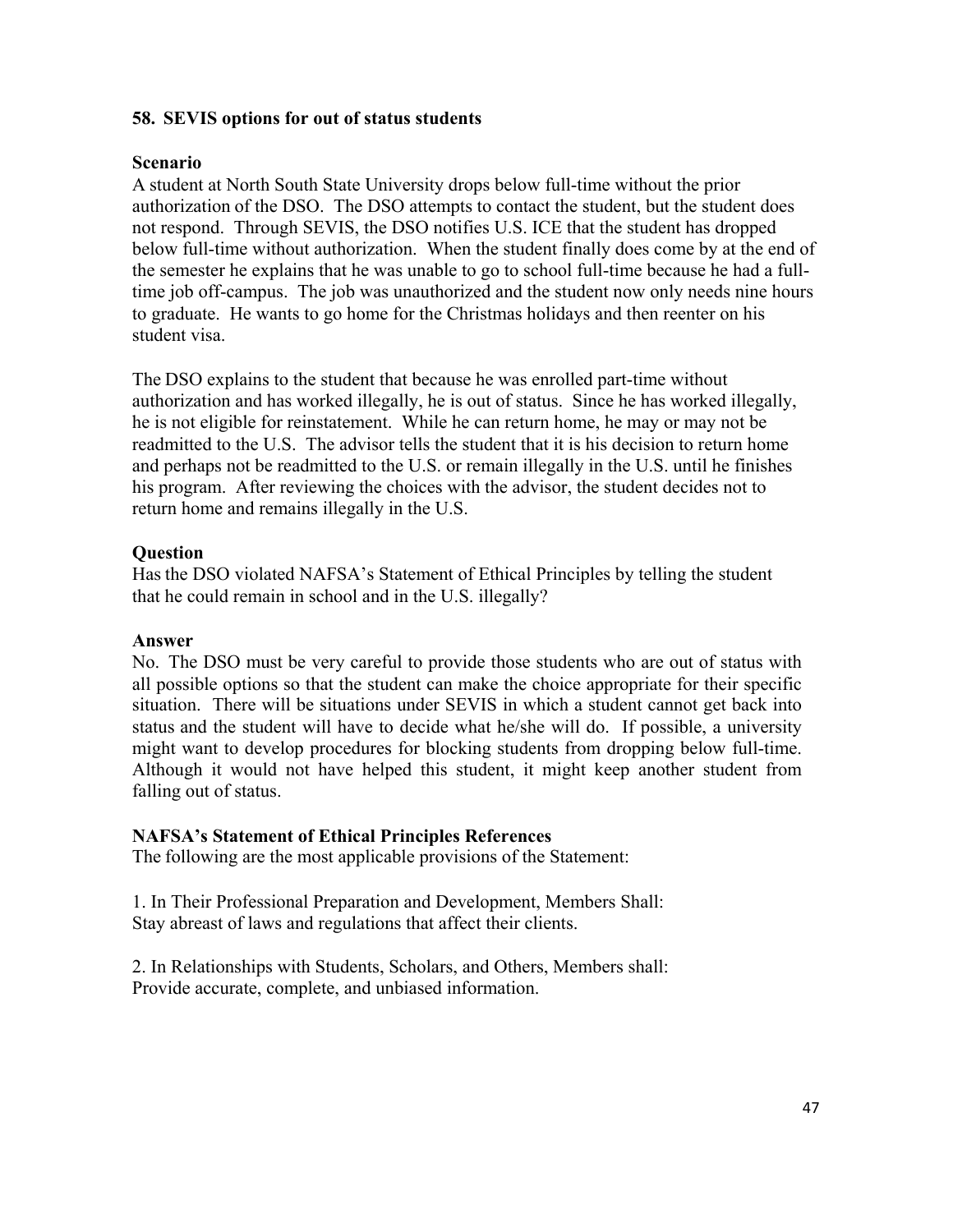## **58. SEVIS options for out of status students**

## **Scenario**

A student at North South State University drops below full-time without the prior authorization of the DSO. The DSO attempts to contact the student, but the student does not respond. Through SEVIS, the DSO notifies U.S. ICE that the student has dropped below full-time without authorization. When the student finally does come by at the end of the semester he explains that he was unable to go to school full-time because he had a fulltime job off-campus. The job was unauthorized and the student now only needs nine hours to graduate. He wants to go home for the Christmas holidays and then reenter on his student visa.

The DSO explains to the student that because he was enrolled part-time without authorization and has worked illegally, he is out of status. Since he has worked illegally, he is not eligible for reinstatement. While he can return home, he may or may not be readmitted to the U.S. The advisor tells the student that it is his decision to return home and perhaps not be readmitted to the U.S. or remain illegally in the U.S. until he finishes his program. After reviewing the choices with the advisor, the student decides not to return home and remains illegally in the U.S.

## **Question**

Has the DSO violated NAFSA's Statement of Ethical Principles by telling the student that he could remain in school and in the U.S. illegally?

## **Answer**

No. The DSO must be very careful to provide those students who are out of status with all possible options so that the student can make the choice appropriate for their specific situation. There will be situations under SEVIS in which a student cannot get back into status and the student will have to decide what he/she will do. If possible, a university might want to develop procedures for blocking students from dropping below full-time. Although it would not have helped this student, it might keep another student from falling out of status.

## **NAFSA's Statement of Ethical Principles References**

The following are the most applicable provisions of the Statement:

1. In Their Professional Preparation and Development, Members Shall: Stay abreast of laws and regulations that affect their clients.

2. In Relationships with Students, Scholars, and Others, Members shall: Provide accurate, complete, and unbiased information.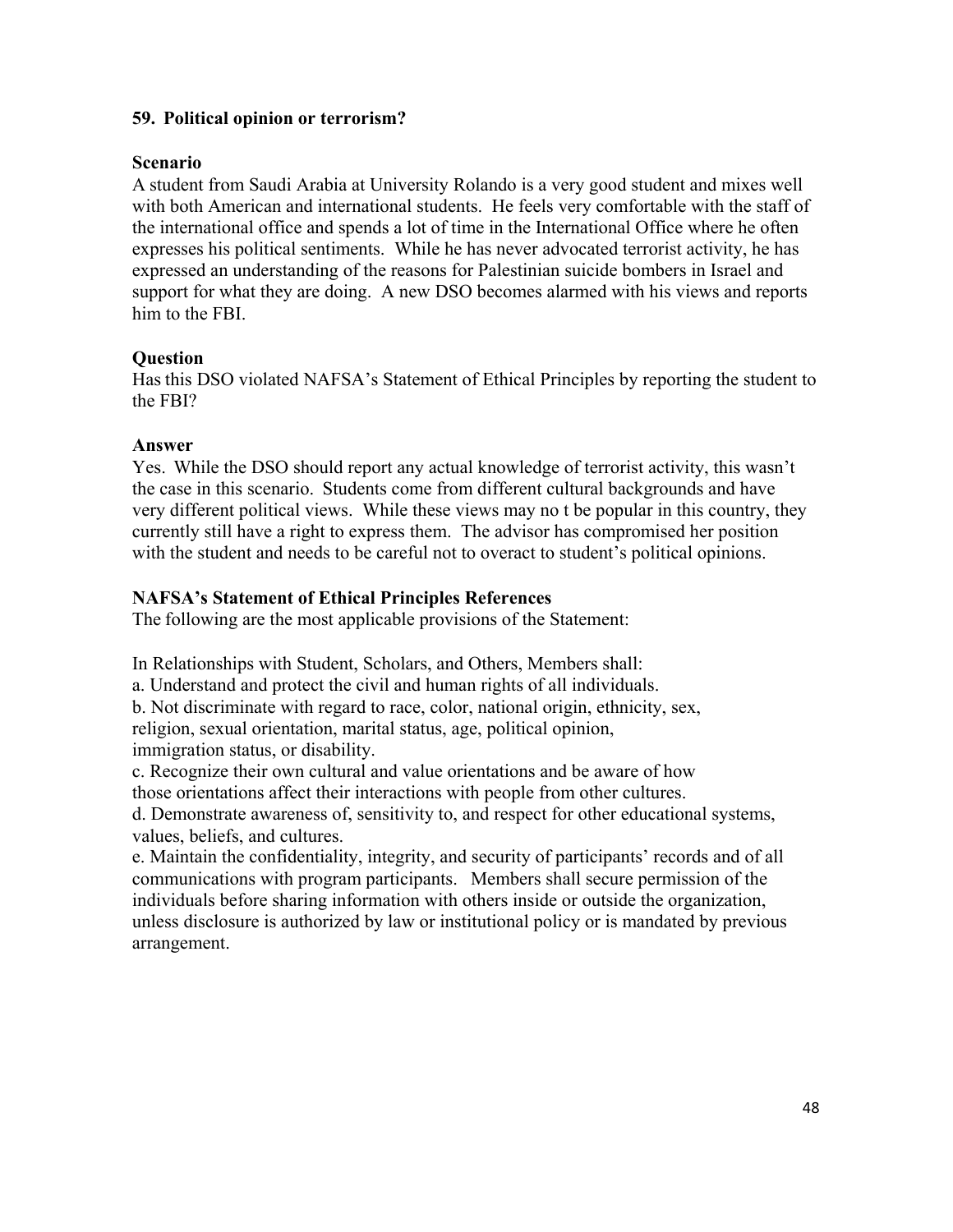## **59. Political opinion or terrorism?**

## **Scenario**

A student from Saudi Arabia at University Rolando is a very good student and mixes well with both American and international students. He feels very comfortable with the staff of the international office and spends a lot of time in the International Office where he often expresses his political sentiments. While he has never advocated terrorist activity, he has expressed an understanding of the reasons for Palestinian suicide bombers in Israel and support for what they are doing. A new DSO becomes alarmed with his views and reports him to the FBI.

## **Question**

Has this DSO violated NAFSA's Statement of Ethical Principles by reporting the student to the FBI?

## **Answer**

Yes. While the DSO should report any actual knowledge of terrorist activity, this wasn't the case in this scenario. Students come from different cultural backgrounds and have very different political views. While these views may no t be popular in this country, they currently still have a right to express them. The advisor has compromised her position with the student and needs to be careful not to overact to student's political opinions.

## **NAFSA's Statement of Ethical Principles References**

The following are the most applicable provisions of the Statement:

In Relationships with Student, Scholars, and Others, Members shall:

a. Understand and protect the civil and human rights of all individuals.

b. Not discriminate with regard to race, color, national origin, ethnicity, sex, religion, sexual orientation, marital status, age, political opinion, immigration status, or disability.

c. Recognize their own cultural and value orientations and be aware of how those orientations affect their interactions with people from other cultures.

d. Demonstrate awareness of, sensitivity to, and respect for other educational systems, values, beliefs, and cultures.

e. Maintain the confidentiality, integrity, and security of participants' records and of all communications with program participants. Members shall secure permission of the individuals before sharing information with others inside or outside the organization, unless disclosure is authorized by law or institutional policy or is mandated by previous arrangement.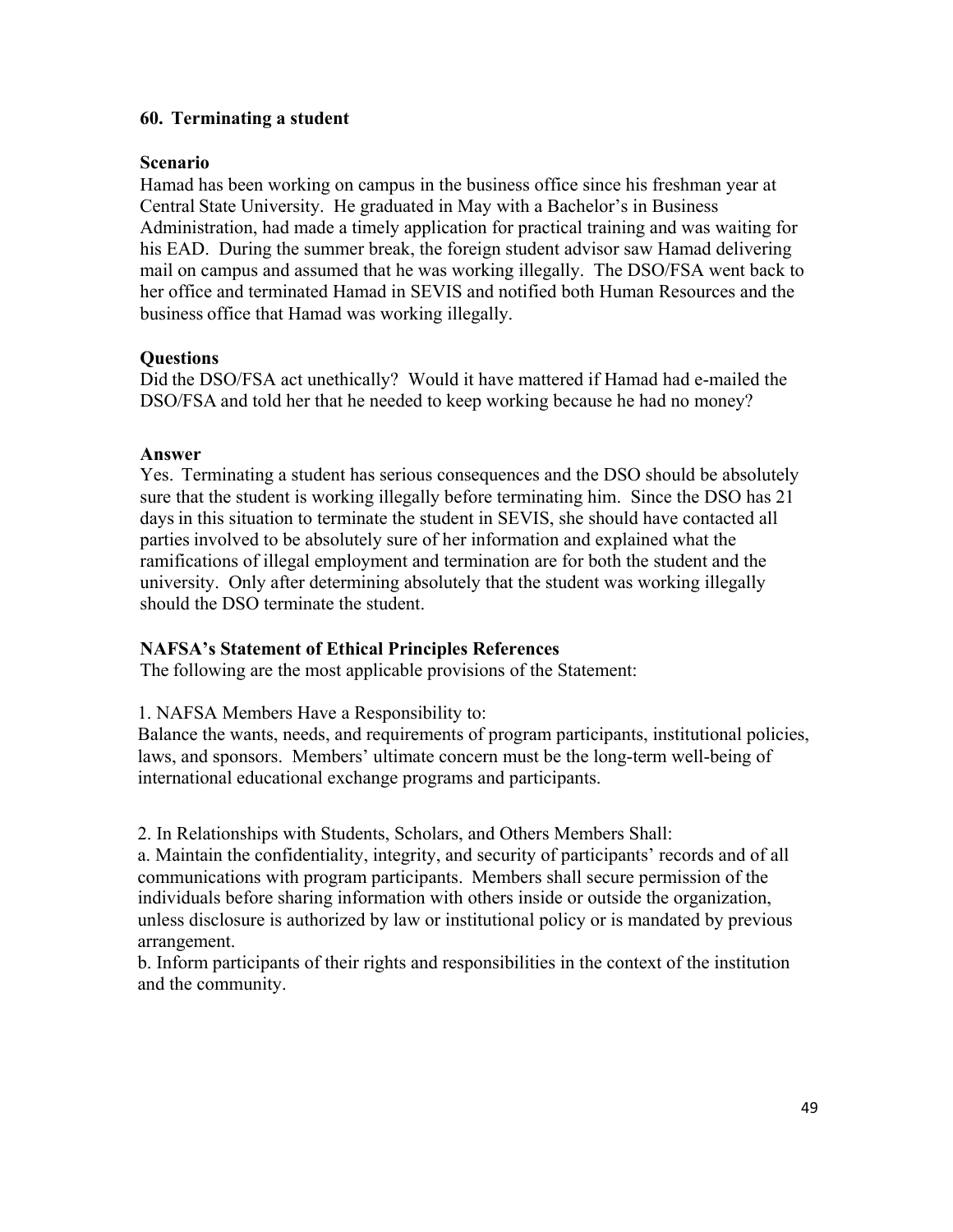## **60. Terminating a student**

## **Scenario**

Hamad has been working on campus in the business office since his freshman year at Central State University. He graduated in May with a Bachelor's in Business Administration, had made a timely application for practical training and was waiting for his EAD. During the summer break, the foreign student advisor saw Hamad delivering mail on campus and assumed that he was working illegally. The DSO/FSA went back to her office and terminated Hamad in SEVIS and notified both Human Resources and the business office that Hamad was working illegally.

## **Questions**

Did the DSO/FSA act unethically? Would it have mattered if Hamad had e-mailed the DSO/FSA and told her that he needed to keep working because he had no money?

## **Answer**

Yes. Terminating a student has serious consequences and the DSO should be absolutely sure that the student is working illegally before terminating him. Since the DSO has 21 days in this situation to terminate the student in SEVIS, she should have contacted all parties involved to be absolutely sure of her information and explained what the ramifications of illegal employment and termination are for both the student and the university. Only after determining absolutely that the student was working illegally should the DSO terminate the student.

# **NAFSA's Statement of Ethical Principles References**

The following are the most applicable provisions of the Statement:

1. NAFSA Members Have a Responsibility to:

Balance the wants, needs, and requirements of program participants, institutional policies, laws, and sponsors. Members' ultimate concern must be the long-term well-being of international educational exchange programs and participants.

2. In Relationships with Students, Scholars, and Others Members Shall:

a. Maintain the confidentiality, integrity, and security of participants' records and of all communications with program participants. Members shall secure permission of the individuals before sharing information with others inside or outside the organization, unless disclosure is authorized by law or institutional policy or is mandated by previous arrangement.

b. Inform participants of their rights and responsibilities in the context of the institution and the community.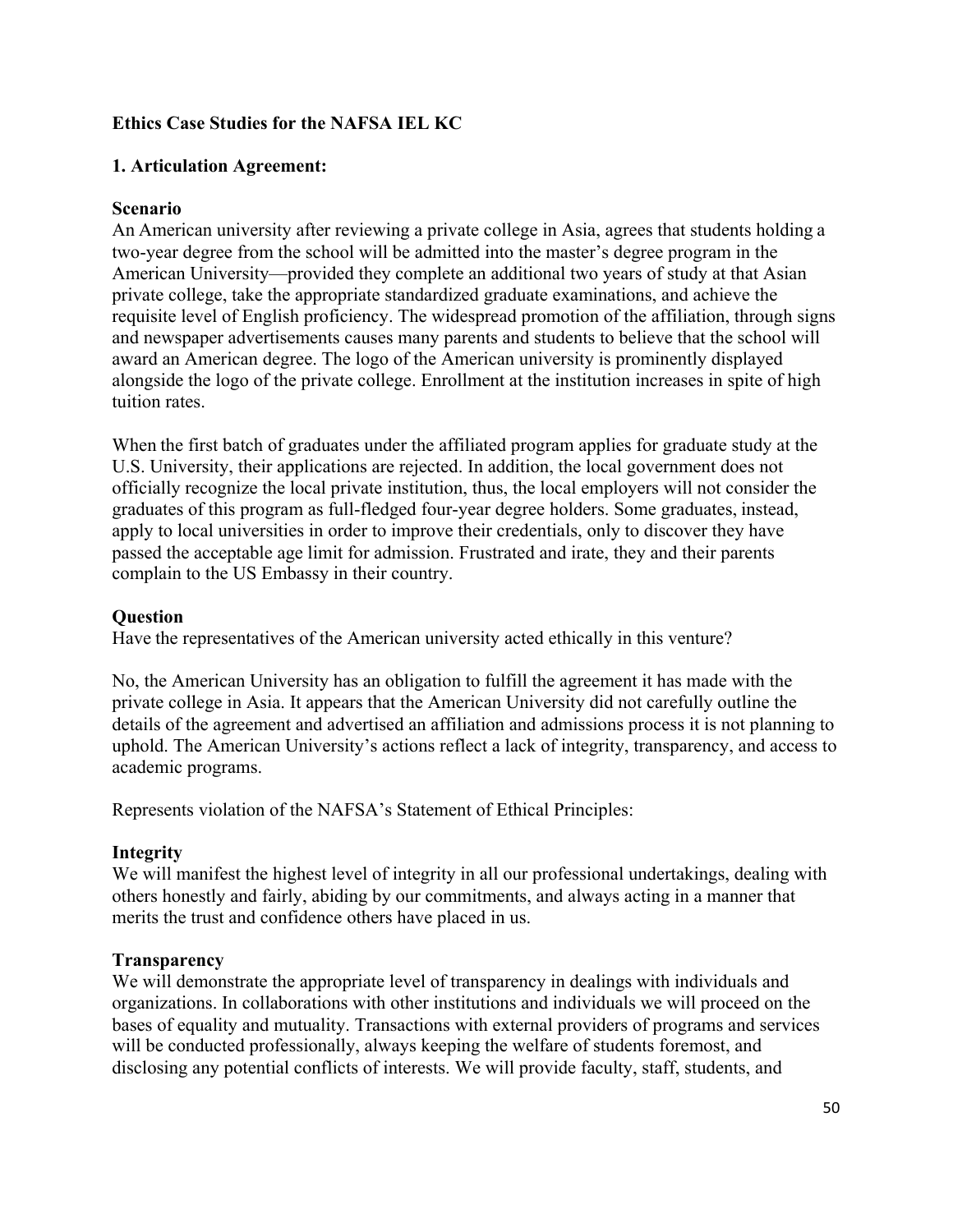# **Ethics Case Studies for the NAFSA IEL KC**

# **1. Articulation Agreement:**

# **Scenario**

An American university after reviewing a private college in Asia, agrees that students holding a two-year degree from the school will be admitted into the master's degree program in the American University—provided they complete an additional two years of study at that Asian private college, take the appropriate standardized graduate examinations, and achieve the requisite level of English proficiency. The widespread promotion of the affiliation, through signs and newspaper advertisements causes many parents and students to believe that the school will award an American degree. The logo of the American university is prominently displayed alongside the logo of the private college. Enrollment at the institution increases in spite of high tuition rates.

When the first batch of graduates under the affiliated program applies for graduate study at the U.S. University, their applications are rejected. In addition, the local government does not officially recognize the local private institution, thus, the local employers will not consider the graduates of this program as full-fledged four-year degree holders. Some graduates, instead, apply to local universities in order to improve their credentials, only to discover they have passed the acceptable age limit for admission. Frustrated and irate, they and their parents complain to the US Embassy in their country.

# **Question**

Have the representatives of the American university acted ethically in this venture?

No, the American University has an obligation to fulfill the agreement it has made with the private college in Asia. It appears that the American University did not carefully outline the details of the agreement and advertised an affiliation and admissions process it is not planning to uphold. The American University's actions reflect a lack of integrity, transparency, and access to academic programs.

Represents violation of the NAFSA's Statement of Ethical Principles:

# **Integrity**

We will manifest the highest level of integrity in all our professional undertakings, dealing with others honestly and fairly, abiding by our commitments, and always acting in a manner that merits the trust and confidence others have placed in us.

# **Transparency**

We will demonstrate the appropriate level of transparency in dealings with individuals and organizations. In collaborations with other institutions and individuals we will proceed on the bases of equality and mutuality. Transactions with external providers of programs and services will be conducted professionally, always keeping the welfare of students foremost, and disclosing any potential conflicts of interests. We will provide faculty, staff, students, and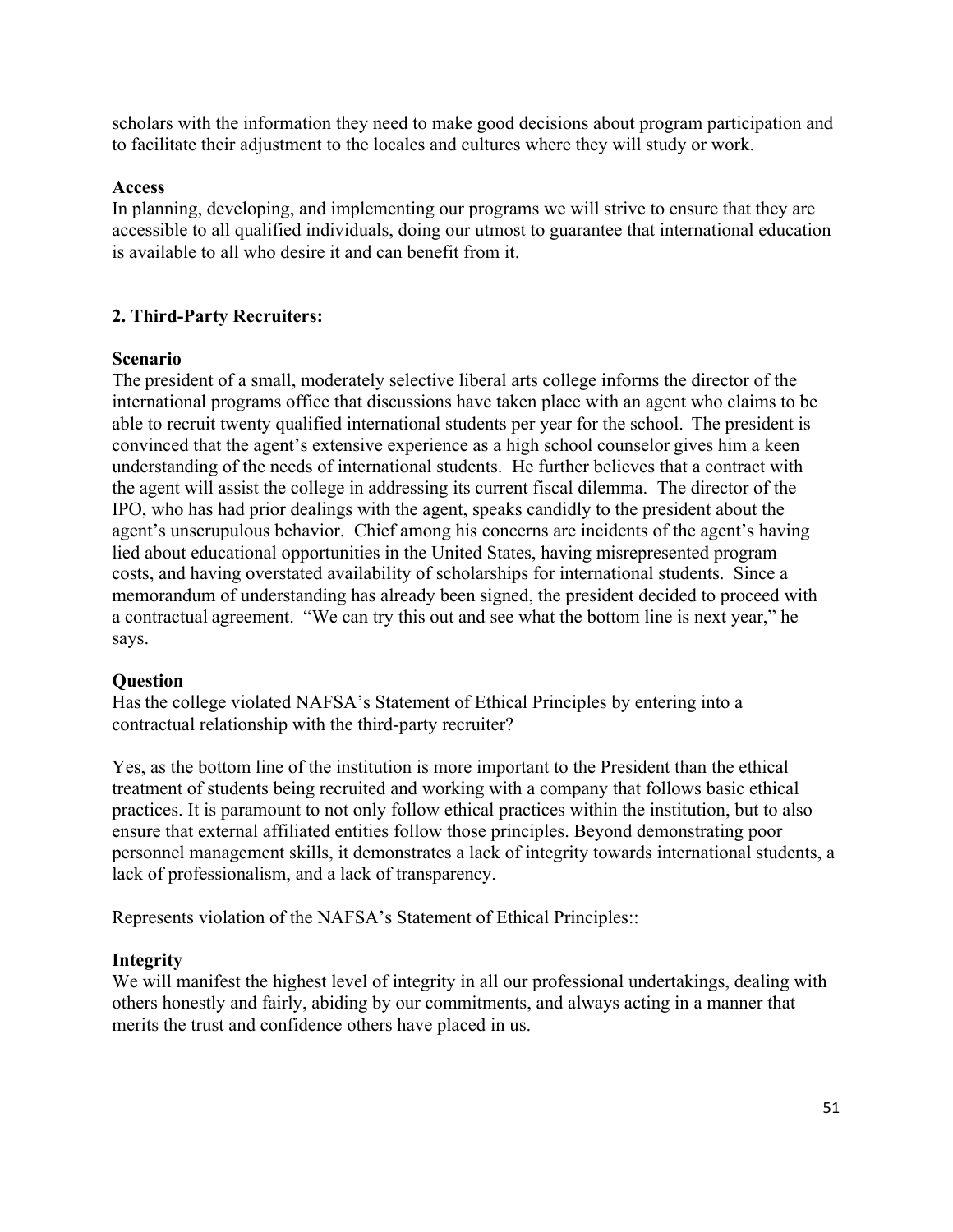scholars with the information they need to make good decisions about program participation and to facilitate their adjustment to the locales and cultures where they will study or work.

## **Access**

In planning, developing, and implementing our programs we will strive to ensure that they are accessible to all qualified individuals, doing our utmost to guarantee that international education is available to all who desire it and can benefit from it.

# **2. Third-Party Recruiters:**

## **Scenario**

The president of a small, moderately selective liberal arts college informs the director of the international programs office that discussions have taken place with an agent who claims to be able to recruit twenty qualified international students per year for the school. The president is convinced that the agent's extensive experience as a high school counselor gives him a keen understanding of the needs of international students. He further believes that a contract with the agent will assist the college in addressing its current fiscal dilemma. The director of the IPO, who has had prior dealings with the agent, speaks candidly to the president about the agent's unscrupulous behavior. Chief among his concerns are incidents of the agent's having lied about educational opportunities in the United States, having misrepresented program costs, and having overstated availability of scholarships for international students. Since a memorandum of understanding has already been signed, the president decided to proceed with a contractual agreement. "We can try this out and see what the bottom line is next year," he says.

# **Question**

Has the college violated NAFSA's Statement of Ethical Principles by entering into a contractual relationship with the third-party recruiter?

Yes, as the bottom line of the institution is more important to the President than the ethical treatment of students being recruited and working with a company that follows basic ethical practices. It is paramount to not only follow ethical practices within the institution, but to also ensure that external affiliated entities follow those principles. Beyond demonstrating poor personnel management skills, it demonstrates a lack of integrity towards international students, a lack of professionalism, and a lack of transparency.

Represents violation of the NAFSA's Statement of Ethical Principles::

# **Integrity**

We will manifest the highest level of integrity in all our professional undertakings, dealing with others honestly and fairly, abiding by our commitments, and always acting in a manner that merits the trust and confidence others have placed in us.